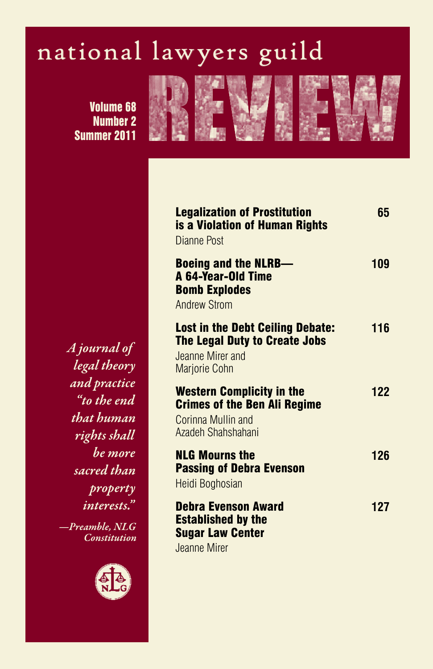national lawyers guild

Volume 68 Number 2 Summer 2011



| <b>Legalization of Prostitution</b><br>is a Violation of Human Rights<br><b>Dianne Post</b>                                 | 65  |
|-----------------------------------------------------------------------------------------------------------------------------|-----|
| <b>Boeing and the NLRB—</b><br>A 64-Year-Old Time<br><b>Bomb Explodes</b><br><b>Andrew Strom</b>                            | 109 |
| <b>Lost in the Debt Ceiling Debate:</b><br><b>The Legal Duty to Create Jobs</b><br>Jeanne Mirer and<br><b>Marjorie Cohn</b> | 116 |
| <b>Western Complicity in the</b><br><b>Crimes of the Ben Ali Regime</b><br>Corinna Mullin and<br>Azadeh Shahshahani         | 122 |
| <b>NLG Mourns the</b><br><b>Passing of Debra Evenson</b><br>Heidi Boghosian                                                 | 126 |
| <b>Debra Evenson Award</b><br><b>Established by the</b><br><b>Sugar Law Center</b><br><b>Jeanne Mirer</b>                   | 127 |

A journal of legal theory and practice "to the end that human rights shall be more sacred than property interests."

-Preamble, NLG Constitution

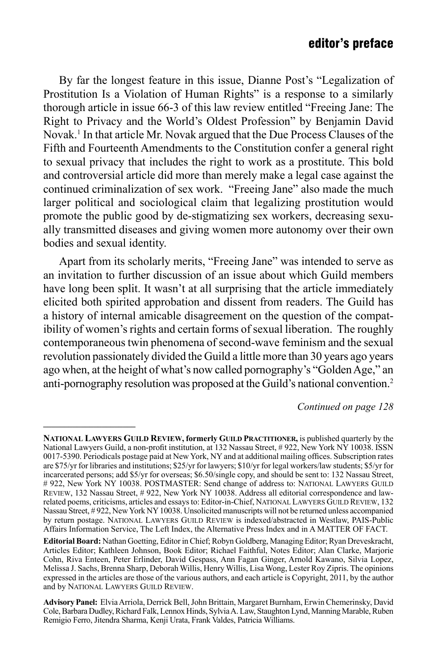### editor's preface

By far the longest feature in this issue, Dianne Post's "Legalization of Prostitution Is a Violation of Human Rights" is a response to a similarly thorough article in issue 66-3 of this law review entitled "Freeing Jane: The Right to Privacy and the World's Oldest Profession" by Benjamin David Novak.1 In that article Mr. Novak argued that the Due Process Clauses of the Fifth and Fourteenth Amendments to the Constitution confer a general right to sexual privacy that includes the right to work as a prostitute. This bold and controversial article did more than merely make a legal case against the continued criminalization of sex work. "Freeing Jane" also made the much larger political and sociological claim that legalizing prostitution would promote the public good by de-stigmatizing sex workers, decreasing sexually transmitted diseases and giving women more autonomy over their own bodies and sexual identity.

Apart from its scholarly merits, "Freeing Jane" was intended to serve as an invitation to further discussion of an issue about which Guild members have long been split. It wasn't at all surprising that the article immediately elicited both spirited approbation and dissent from readers. The Guild has a history of internal amicable disagreement on the question of the compatibility of women's rights and certain forms of sexual liberation. The roughly contemporaneous twin phenomena of second-wave feminism and the sexual revolution passionately divided the Guild a little more than 30 years ago years ago when, at the height of what's now called pornography's "Golden Age," an anti-pornography resolution was proposed at the Guild's national convention.2

*Continued on page 128*

**\_\_\_\_\_\_\_\_\_\_\_\_\_\_\_\_\_\_\_\_\_\_**

**National Lawyers Guild Review, formerly Guild Practitioner,** is published quarterly by the National Lawyers Guild, a non-profit institution, at 132 Nassau Street, # 922, New York NY 10038. ISSN 0017-5390. Periodicals postage paid at New York, NY and at additional mailing offices. Subscription rates are \$75/yr for libraries and institutions; \$25/yr for lawyers; \$10/yr for legal workers/law students; \$5/yr for incarcerated persons; add \$5/yr for overseas; \$6.50/single copy, and should be sent to: 132 Nassau Street, # 922, New York NY 10038. POSTMASTER: Send change of address to: National Lawyers Guild Review, 132 Nassau Street, # 922, New York NY 10038. Address all editorial correspondence and lawrelated poems, criticisms, articles and essays to: Editor-in-Chief, NATIONAL LAWYERS GUILD REVIEW, 132 Nassau Street, # 922, New York NY 10038. Unsolicited manuscripts will not be returned unless accompanied by return postage. NATIONAL LAWYERS GUILD REVIEW is indexed/abstracted in Westlaw, PAIS-Public Affairs Information Service, The Left Index, the Alternative Press Index and in A MATTER OF FACT.

**Editorial Board:** Nathan Goetting, Editor in Chief; Robyn Goldberg, Managing Editor; Ryan Dreveskracht, Articles Editor; Kathleen Johnson, Book Editor; Richael Faithful, Notes Editor; Alan Clarke, Marjorie Cohn, Riva Enteen, Peter Erlinder, David Gespass, Ann Fagan Ginger, Arnold Kawano, Silvia Lopez, Melissa J. Sachs, Brenna Sharp, Deborah Willis, Henry Willis, Lisa Wong, Lester Roy Zipris. The opinions expressed in the articles are those of the various authors, and each article is Copyright, 2011, by the author and by NATIONAL LAWYERS GUILD REVIEW.

**Advisory Panel:** Elvia Arriola, Derrick Bell, John Brittain, Margaret Burnham, Erwin Chemerinsky, David Cole, Barbara Dudley, Richard Falk, Lennox Hinds, Sylvia A. Law, Staughton Lynd, Manning Marable, Ruben Remigio Ferro, Jitendra Sharma, Kenji Urata, Frank Valdes, Patricia Williams.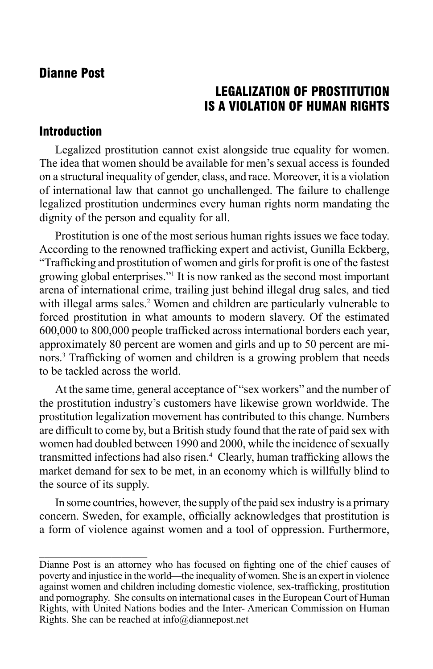### Dianne Post

# LEGALIZATION OF PROSTITUTION is a violation of HUMAN RIGHTS

### Introduction

Legalized prostitution cannot exist alongside true equality for women. The idea that women should be available for men's sexual access is founded on a structural inequality of gender, class, and race. Moreover, it is a violation of international law that cannot go unchallenged. The failure to challenge legalized prostitution undermines every human rights norm mandating the dignity of the person and equality for all.

Prostitution is one of the most serious human rights issues we face today. According to the renowned trafficking expert and activist, Gunilla Eckberg, "Trafficking and prostitution of women and girls for profit is one of the fastest growing global enterprises."1 It is now ranked as the second most important arena of international crime, trailing just behind illegal drug sales, and tied with illegal arms sales.<sup>2</sup> Women and children are particularly vulnerable to forced prostitution in what amounts to modern slavery. Of the estimated 600,000 to 800,000 people trafficked across international borders each year, approximately 80 percent are women and girls and up to 50 percent are minors.3 Trafficking of women and children is a growing problem that needs to be tackled across the world.

At the same time, general acceptance of "sex workers" and the number of the prostitution industry's customers have likewise grown worldwide. The prostitution legalization movement has contributed to this change. Numbers are difficult to come by, but a British study found that the rate of paid sex with women had doubled between 1990 and 2000, while the incidence of sexually transmitted infections had also risen.<sup>4</sup> Clearly, human trafficking allows the market demand for sex to be met, in an economy which is willfully blind to the source of its supply.

In some countries, however, the supply of the paid sex industry is a primary concern. Sweden, for example, officially acknowledges that prostitution is a form of violence against women and a tool of oppression. Furthermore,

Dianne Post is an attorney who has focused on fighting one of the chief causes of poverty and injustice in the world—the inequality of women. She is an expert in violence against women and children including domestic violence, sex-trafficking, prostitution and pornography. She consults on international cases in the European Court of Human Rights, with United Nations bodies and the Inter- American Commission on Human Rights. She can be reached at  $info@$ diannepost.net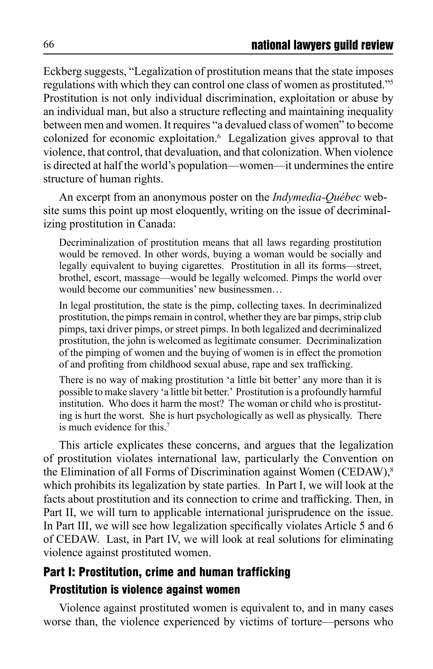Eckberg suggests, "Legalization of prostitution means that the state imposes regulations with which they can control one class of women as prostituted."5 Prostitution is not only individual discrimination, exploitation or abuse by an individual man, but also a structure reflecting and maintaining inequality between men and women. It requires "a devalued class of women" to become colonized for economic exploitation.<sup>6</sup> Legalization gives approval to that violence, that control, that devaluation, and that colonization. When violence is directed at half the world's population—women—it undermines the entire structure of human rights.

An excerpt from an anonymous poster on the *Indymedia-Québec* website sums this point up most eloquently, writing on the issue of decriminalizing prostitution in Canada:

Decriminalization of prostitution means that all laws regarding prostitution would be removed. In other words, buying a woman would be socially and legally equivalent to buying cigarettes. Prostitution in all its forms—street, brothel, escort, massage—would be legally welcomed. Pimps the world over would become our communities' new businessmen…

In legal prostitution, the state is the pimp, collecting taxes. In decriminalized prostitution, the pimps remain in control, whether they are bar pimps, strip club pimps, taxi driver pimps, or street pimps. In both legalized and decriminalized prostitution, the john is welcomed as legitimate consumer. Decriminalization of the pimping of women and the buying of women is in effect the promotion of and profiting from childhood sexual abuse, rape and sex trafficking.

There is no way of making prostitution 'a little bit better' any more than it is possible to make slavery 'a little bit better.' Prostitution is a profoundly harmful institution. Who does it harm the most? The woman or child who is prostituting is hurt the worst. She is hurt psychologically as well as physically. There is much evidence for this.<sup>7</sup>

This article explicates these concerns, and argues that the legalization of prostitution violates international law, particularly the Convention on the Elimination of all Forms of Discrimination against Women (CEDAW),<sup>8</sup> which prohibits its legalization by state parties. In Part I, we will look at the facts about prostitution and its connection to crime and trafficking. Then, in Part II, we will turn to applicable international jurisprudence on the issue. In Part III, we will see how legalization specifically violates Article 5 and 6 of CEDAW. Last, in Part IV, we will look at real solutions for eliminating violence against prostituted women.

### Part I: Prostitution, crime and human trafficking

### Prostitution is violence against women

Violence against prostituted women is equivalent to, and in many cases worse than, the violence experienced by victims of torture—persons who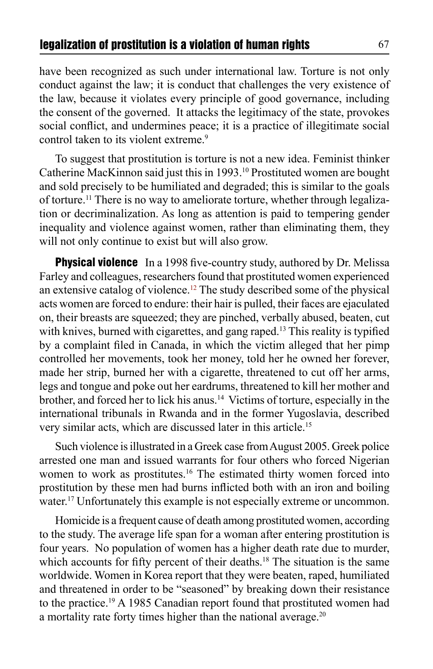have been recognized as such under international law. Torture is not only conduct against the law; it is conduct that challenges the very existence of the law, because it violates every principle of good governance, including the consent of the governed. It attacks the legitimacy of the state, provokes social conflict, and undermines peace; it is a practice of illegitimate social control taken to its violent extreme.<sup>9</sup>

To suggest that prostitution is torture is not a new idea. Feminist thinker Catherine MacKinnon said just this in 1993.10 Prostituted women are bought and sold precisely to be humiliated and degraded; this is similar to the goals of torture.11 There is no way to ameliorate torture, whether through legalization or decriminalization. As long as attention is paid to tempering gender inequality and violence against women, rather than eliminating them, they will not only continue to exist but will also grow.

**Physical violence** In a 1998 five-country study, authored by Dr. Melissa Farley and colleagues, researchers found that prostituted women experienced an extensive catalog of violence.<sup>12</sup> The study described some of the physical acts women are forced to endure: their hair is pulled, their faces are ejaculated on, their breasts are squeezed; they are pinched, verbally abused, beaten, cut with knives, burned with cigarettes, and gang raped.<sup>13</sup> This reality is typified by a complaint filed in Canada, in which the victim alleged that her pimp controlled her movements, took her money, told her he owned her forever, made her strip, burned her with a cigarette, threatened to cut off her arms, legs and tongue and poke out her eardrums, threatened to kill her mother and brother, and forced her to lick his anus.14 Victims of torture, especially in the international tribunals in Rwanda and in the former Yugoslavia, described very similar acts, which are discussed later in this article.15

Such violence is illustrated in a Greek case from August 2005. Greek police arrested one man and issued warrants for four others who forced Nigerian women to work as prostitutes.<sup>16</sup> The estimated thirty women forced into prostitution by these men had burns inflicted both with an iron and boiling water.<sup>17</sup> Unfortunately this example is not especially extreme or uncommon.

Homicide is a frequent cause of death among prostituted women, according to the study. The average life span for a woman after entering prostitution is four years. No population of women has a higher death rate due to murder, which accounts for fifty percent of their deaths.<sup>18</sup> The situation is the same worldwide. Women in Korea report that they were beaten, raped, humiliated and threatened in order to be "seasoned" by breaking down their resistance to the practice.19 A 1985 Canadian report found that prostituted women had a mortality rate forty times higher than the national average. $20$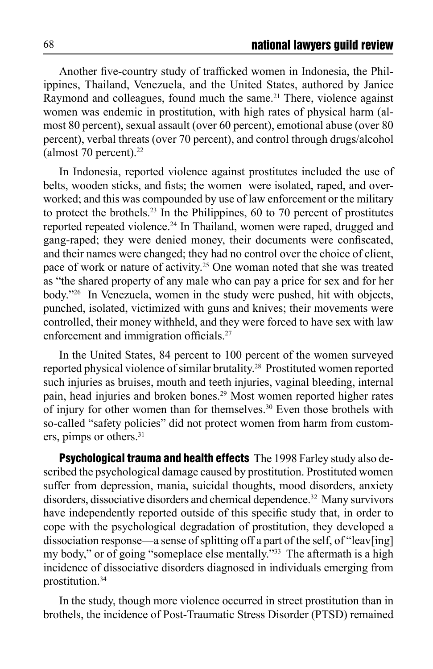Another five-country study of trafficked women in Indonesia, the Philippines, Thailand, Venezuela, and the United States, authored by Janice Raymond and colleagues, found much the same.<sup>21</sup> There, violence against women was endemic in prostitution, with high rates of physical harm (almost 80 percent), sexual assault (over 60 percent), emotional abuse (over 80 percent), verbal threats (over 70 percent), and control through drugs/alcohol (almost 70 percent).22

In Indonesia, reported violence against prostitutes included the use of belts, wooden sticks, and fists; the women were isolated, raped, and overworked; and this was compounded by use of law enforcement or the military to protect the brothels.<sup>23</sup> In the Philippines, 60 to 70 percent of prostitutes reported repeated violence.<sup>24</sup> In Thailand, women were raped, drugged and gang-raped; they were denied money, their documents were confiscated, and their names were changed; they had no control over the choice of client, pace of work or nature of activity.<sup>25</sup> One woman noted that she was treated as "the shared property of any male who can pay a price for sex and for her body."26 In Venezuela, women in the study were pushed, hit with objects, punched, isolated, victimized with guns and knives; their movements were controlled, their money withheld, and they were forced to have sex with law enforcement and immigration officials.<sup>27</sup>

In the United States, 84 percent to 100 percent of the women surveyed reported physical violence of similar brutality.28 Prostituted women reported such injuries as bruises, mouth and teeth injuries, vaginal bleeding, internal pain, head injuries and broken bones.29 Most women reported higher rates of injury for other women than for themselves.<sup>30</sup> Even those brothels with so-called "safety policies" did not protect women from harm from customers, pimps or others.<sup>31</sup>

**Psychological trauma and health effects** The 1998 Farley study also described the psychological damage caused by prostitution. Prostituted women suffer from depression, mania, suicidal thoughts, mood disorders, anxiety disorders, dissociative disorders and chemical dependence.<sup>32</sup> Many survivors have independently reported outside of this specific study that, in order to cope with the psychological degradation of prostitution, they developed a dissociation response—a sense of splitting off a part of the self, of "leav[ing] my body," or of going "someplace else mentally."<sup>33</sup> The aftermath is a high incidence of dissociative disorders diagnosed in individuals emerging from prostitution.34

In the study, though more violence occurred in street prostitution than in brothels, the incidence of Post-Traumatic Stress Disorder (PTSD) remained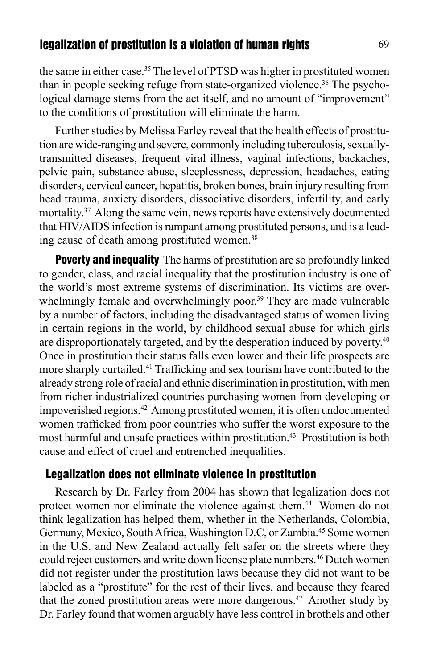the same in either case.<sup>35</sup> The level of PTSD was higher in prostituted women than in people seeking refuge from state-organized violence.<sup>36</sup> The psychological damage stems from the act itself, and no amount of "improvement" to the conditions of prostitution will eliminate the harm.

Further studies by Melissa Farley reveal that the health effects of prostitution are wide-ranging and severe, commonly including tuberculosis, sexuallytransmitted diseases, frequent viral illness, vaginal infections, backaches, pelvic pain, substance abuse, sleeplessness, depression, headaches, eating disorders, cervical cancer, hepatitis, broken bones, brain injury resulting from head trauma, anxiety disorders, dissociative disorders, infertility, and early mortality.<sup>37</sup> Along the same vein, news reports have extensively documented that HIV/AIDS infection is rampant among prostituted persons, and is a leading cause of death among prostituted women.<sup>38</sup>

**Poverty and inequality** The harms of prostitution are so profoundly linked to gender, class, and racial inequality that the prostitution industry is one of the world's most extreme systems of discrimination. Its victims are overwhelmingly female and overwhelmingly poor.<sup>39</sup> They are made vulnerable by a number of factors, including the disadvantaged status of women living in certain regions in the world, by childhood sexual abuse for which girls are disproportionately targeted, and by the desperation induced by poverty.<sup>40</sup> Once in prostitution their status falls even lower and their life prospects are more sharply curtailed.41 Trafficking and sex tourism have contributed to the already strong role of racial and ethnic discrimination in prostitution, with men from richer industrialized countries purchasing women from developing or impoverished regions.42 Among prostituted women, it is often undocumented women trafficked from poor countries who suffer the worst exposure to the most harmful and unsafe practices within prostitution.<sup>43</sup> Prostitution is both cause and effect of cruel and entrenched inequalities.

### Legalization does not eliminate violence in prostitution

Research by Dr. Farley from 2004 has shown that legalization does not protect women nor eliminate the violence against them.<sup>44</sup> Women do not think legalization has helped them, whether in the Netherlands, Colombia, Germany, Mexico, South Africa, Washington D.C, or Zambia.<sup>45</sup> Some women in the U.S. and New Zealand actually felt safer on the streets where they could reject customers and write down license plate numbers.<sup>46</sup> Dutch women did not register under the prostitution laws because they did not want to be labeled as a "prostitute" for the rest of their lives, and because they feared that the zoned prostitution areas were more dangerous.<sup>47</sup> Another study by Dr. Farley found that women arguably have less control in brothels and other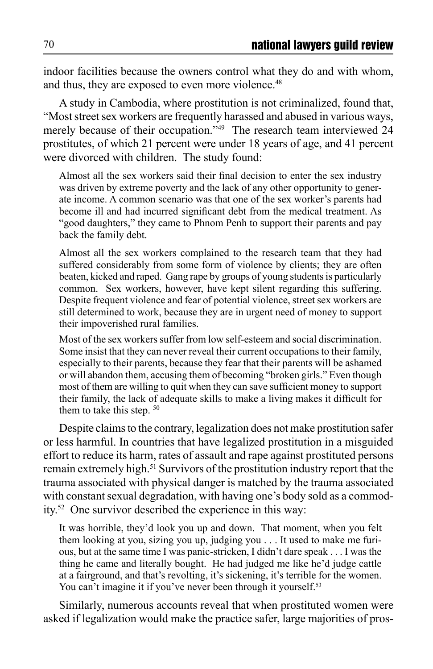indoor facilities because the owners control what they do and with whom, and thus, they are exposed to even more violence.<sup>48</sup>

A study in Cambodia, where prostitution is not criminalized, found that, "Most street sex workers are frequently harassed and abused in various ways, merely because of their occupation."<sup>49</sup> The research team interviewed 24 prostitutes, of which 21 percent were under 18 years of age, and 41 percent were divorced with children. The study found:

Almost all the sex workers said their final decision to enter the sex industry was driven by extreme poverty and the lack of any other opportunity to generate income. A common scenario was that one of the sex worker's parents had become ill and had incurred significant debt from the medical treatment. As "good daughters," they came to Phnom Penh to support their parents and pay back the family debt.

Almost all the sex workers complained to the research team that they had suffered considerably from some form of violence by clients; they are often beaten, kicked and raped. Gang rape by groups of young students is particularly common. Sex workers, however, have kept silent regarding this suffering. Despite frequent violence and fear of potential violence, street sex workers are still determined to work, because they are in urgent need of money to support their impoverished rural families.

Most of the sex workers suffer from low self-esteem and social discrimination. Some insist that they can never reveal their current occupations to their family, especially to their parents, because they fear that their parents will be ashamed or will abandon them, accusing them of becoming "broken girls." Even though most of them are willing to quit when they can save sufficient money to support their family, the lack of adequate skills to make a living makes it difficult for them to take this step.  $50$ 

Despite claims to the contrary, legalization does not make prostitution safer or less harmful. In countries that have legalized prostitution in a misguided effort to reduce its harm, rates of assault and rape against prostituted persons remain extremely high.51 Survivors of the prostitution industry report that the trauma associated with physical danger is matched by the trauma associated with constant sexual degradation, with having one's body sold as a commodity.52 One survivor described the experience in this way:

It was horrible, they'd look you up and down. That moment, when you felt them looking at you, sizing you up, judging you . . . It used to make me furious, but at the same time I was panic-stricken, I didn't dare speak . . . I was the thing he came and literally bought. He had judged me like he'd judge cattle at a fairground, and that's revolting, it's sickening, it's terrible for the women. You can't imagine it if you've never been through it yourself.<sup>53</sup>

Similarly, numerous accounts reveal that when prostituted women were asked if legalization would make the practice safer, large majorities of pros-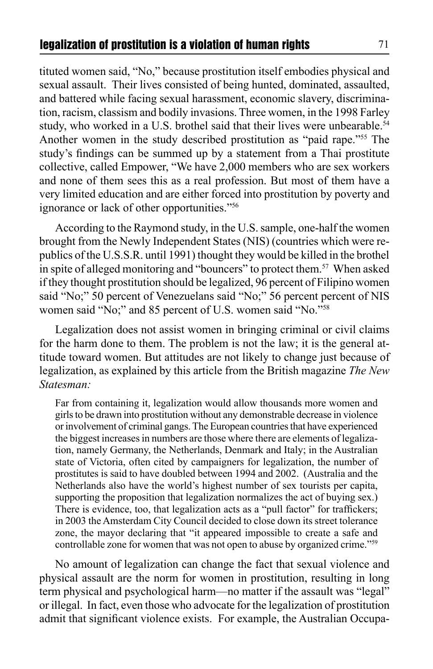tituted women said, "No," because prostitution itself embodies physical and sexual assault. Their lives consisted of being hunted, dominated, assaulted, and battered while facing sexual harassment, economic slavery, discrimination, racism, classism and bodily invasions. Three women, in the 1998 Farley study, who worked in a U.S. brothel said that their lives were unbearable.<sup>54</sup> Another women in the study described prostitution as "paid rape."55 The study's findings can be summed up by a statement from a Thai prostitute collective, called Empower, "We have 2,000 members who are sex workers and none of them sees this as a real profession. But most of them have a very limited education and are either forced into prostitution by poverty and ignorance or lack of other opportunities."56

According to the Raymond study, in the U.S. sample, one-half the women brought from the Newly Independent States (NIS) (countries which were republics of the U.S.S.R. until 1991) thought they would be killed in the brothel in spite of alleged monitoring and "bouncers" to protect them.<sup>57</sup> When asked if they thought prostitution should be legalized, 96 percent of Filipino women said "No;" 50 percent of Venezuelans said "No;" 56 percent percent of NIS women said "No;" and 85 percent of U.S. women said "No."58

Legalization does not assist women in bringing criminal or civil claims for the harm done to them. The problem is not the law; it is the general attitude toward women. But attitudes are not likely to change just because of legalization, as explained by this article from the British magazine *The New Statesman:*

Far from containing it, legalization would allow thousands more women and girls to be drawn into prostitution without any demonstrable decrease in violence or involvement of criminal gangs. The European countries that have experienced the biggest increases in numbers are those where there are elements of legalization, namely Germany, the Netherlands, Denmark and Italy; in the Australian state of Victoria, often cited by campaigners for legalization, the number of prostitutes is said to have doubled between 1994 and 2002. (Australia and the Netherlands also have the world's highest number of sex tourists per capita, supporting the proposition that legalization normalizes the act of buying sex.) There is evidence, too, that legalization acts as a "pull factor" for traffickers; in 2003 the Amsterdam City Council decided to close down its street tolerance zone, the mayor declaring that "it appeared impossible to create a safe and controllable zone for women that was not open to abuse by organized crime."59

No amount of legalization can change the fact that sexual violence and physical assault are the norm for women in prostitution, resulting in long term physical and psychological harm—no matter if the assault was "legal" or illegal. In fact, even those who advocate for the legalization of prostitution admit that significant violence exists. For example, the Australian Occupa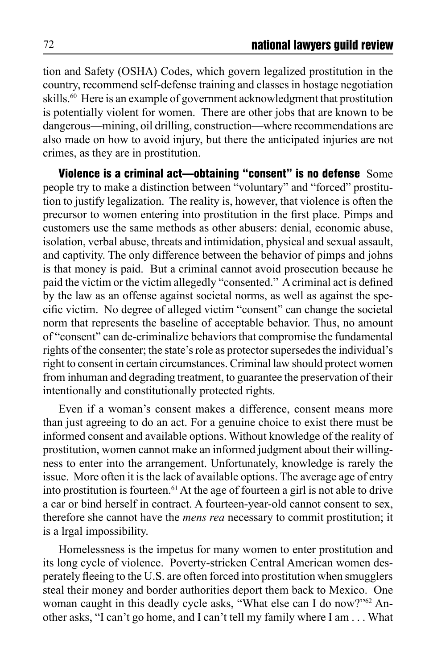tion and Safety (OSHA) Codes, which govern legalized prostitution in the country, recommend self-defense training and classes in hostage negotiation skills.<sup>60</sup> Here is an example of government acknowledgment that prostitution is potentially violent for women. There are other jobs that are known to be dangerous—mining, oil drilling, construction—where recommendations are also made on how to avoid injury, but there the anticipated injuries are not crimes, as they are in prostitution.

Violence is a criminal act—obtaining "consent" is no defense Some people try to make a distinction between "voluntary" and "forced" prostitution to justify legalization. The reality is, however, that violence is often the precursor to women entering into prostitution in the first place. Pimps and customers use the same methods as other abusers: denial, economic abuse, isolation, verbal abuse, threats and intimidation, physical and sexual assault, and captivity. The only difference between the behavior of pimps and johns is that money is paid. But a criminal cannot avoid prosecution because he paid the victim or the victim allegedly "consented." A criminal act is defined by the law as an offense against societal norms, as well as against the specific victim. No degree of alleged victim "consent" can change the societal norm that represents the baseline of acceptable behavior. Thus, no amount of "consent" can de-criminalize behaviors that compromise the fundamental rights of the consenter; the state's role as protector supersedes the individual's right to consent in certain circumstances. Criminal law should protect women from inhuman and degrading treatment, to guarantee the preservation of their intentionally and constitutionally protected rights.

Even if a woman's consent makes a difference, consent means more than just agreeing to do an act. For a genuine choice to exist there must be informed consent and available options. Without knowledge of the reality of prostitution, women cannot make an informed judgment about their willingness to enter into the arrangement. Unfortunately, knowledge is rarely the issue. More often it is the lack of available options. The average age of entry into prostitution is fourteen.<sup>61</sup> At the age of fourteen a girl is not able to drive a car or bind herself in contract. A fourteen-year-old cannot consent to sex, therefore she cannot have the *mens rea* necessary to commit prostitution; it is a lrgal impossibility.

Homelessness is the impetus for many women to enter prostitution and its long cycle of violence. Poverty-stricken Central American women desperately fleeing to the U.S. are often forced into prostitution when smugglers steal their money and border authorities deport them back to Mexico. One woman caught in this deadly cycle asks, "What else can I do now?"<sup>62</sup> Another asks, "I can't go home, and I can't tell my family where I am . . . What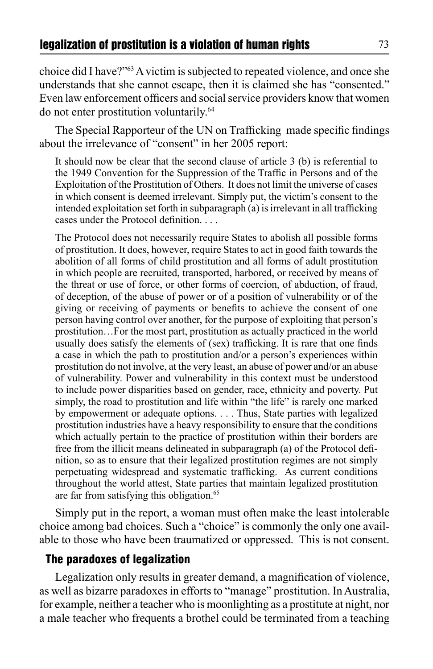choice did I have?"63 A victim is subjected to repeated violence, and once she understands that she cannot escape, then it is claimed she has "consented." Even law enforcement officers and social service providers know that women do not enter prostitution voluntarily.64

The Special Rapporteur of the UN on Trafficking made specific findings about the irrelevance of "consent" in her 2005 report:

It should now be clear that the second clause of article 3 (b) is referential to the 1949 Convention for the Suppression of the Traffic in Persons and of the Exploitation of the Prostitution of Others. It does not limit the universe of cases in which consent is deemed irrelevant. Simply put, the victim's consent to the intended exploitation set forth in subparagraph (a) is irrelevant in all trafficking cases under the Protocol definition. . . .

The Protocol does not necessarily require States to abolish all possible forms of prostitution. It does, however, require States to act in good faith towards the abolition of all forms of child prostitution and all forms of adult prostitution in which people are recruited, transported, harbored, or received by means of the threat or use of force, or other forms of coercion, of abduction, of fraud, of deception, of the abuse of power or of a position of vulnerability or of the giving or receiving of payments or benefits to achieve the consent of one person having control over another, for the purpose of exploiting that person's prostitution…For the most part, prostitution as actually practiced in the world usually does satisfy the elements of (sex) trafficking. It is rare that one finds a case in which the path to prostitution and/or a person's experiences within prostitution do not involve, at the very least, an abuse of power and/or an abuse of vulnerability. Power and vulnerability in this context must be understood to include power disparities based on gender, race, ethnicity and poverty. Put simply, the road to prostitution and life within "the life" is rarely one marked by empowerment or adequate options. . . . Thus, State parties with legalized prostitution industries have a heavy responsibility to ensure that the conditions which actually pertain to the practice of prostitution within their borders are free from the illicit means delineated in subparagraph (a) of the Protocol definition, so as to ensure that their legalized prostitution regimes are not simply perpetuating widespread and systematic trafficking. As current conditions throughout the world attest, State parties that maintain legalized prostitution are far from satisfying this obligation.<sup>65</sup>

Simply put in the report, a woman must often make the least intolerable choice among bad choices. Such a "choice" is commonly the only one available to those who have been traumatized or oppressed. This is not consent.

### The paradoxes of legalization

Legalization only results in greater demand, a magnification of violence, as well as bizarre paradoxes in efforts to "manage" prostitution. In Australia, for example, neither a teacher who is moonlighting as a prostitute at night, nor a male teacher who frequents a brothel could be terminated from a teaching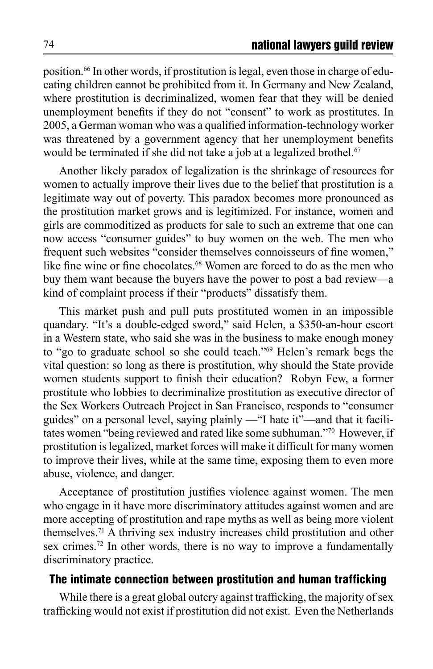position.66 In other words, if prostitution is legal, even those in charge of educating children cannot be prohibited from it. In Germany and New Zealand, where prostitution is decriminalized, women fear that they will be denied unemployment benefits if they do not "consent" to work as prostitutes. In 2005, a German woman who was a qualified information-technology worker was threatened by a government agency that her unemployment benefits would be terminated if she did not take a job at a legalized brothel.<sup>67</sup>

Another likely paradox of legalization is the shrinkage of resources for women to actually improve their lives due to the belief that prostitution is a legitimate way out of poverty. This paradox becomes more pronounced as the prostitution market grows and is legitimized. For instance, women and girls are commoditized as products for sale to such an extreme that one can now access "consumer guides" to buy women on the web. The men who frequent such websites "consider themselves connoisseurs of fine women," like fine wine or fine chocolates.<sup>68</sup> Women are forced to do as the men who buy them want because the buyers have the power to post a bad review—a kind of complaint process if their "products" dissatisfy them.

This market push and pull puts prostituted women in an impossible quandary. "It's a double-edged sword," said Helen, a \$350-an-hour escort in a Western state, who said she was in the business to make enough money to "go to graduate school so she could teach."69 Helen's remark begs the vital question: so long as there is prostitution, why should the State provide women students support to finish their education? Robyn Few, a former prostitute who lobbies to decriminalize prostitution as executive director of the Sex Workers Outreach Project in San Francisco, responds to "consumer guides" on a personal level, saying plainly —"I hate it"—and that it facilitates women "being reviewed and rated like some subhuman."70 However, if prostitution is legalized, market forces will make it difficult for many women to improve their lives, while at the same time, exposing them to even more abuse, violence, and danger.

Acceptance of prostitution justifies violence against women. The men who engage in it have more discriminatory attitudes against women and are more accepting of prostitution and rape myths as well as being more violent themselves.71 A thriving sex industry increases child prostitution and other sex crimes.<sup>72</sup> In other words, there is no way to improve a fundamentally discriminatory practice.

### The intimate connection between prostitution and human trafficking

While there is a great global outcry against trafficking, the majority of sex trafficking would not exist if prostitution did not exist. Even the Netherlands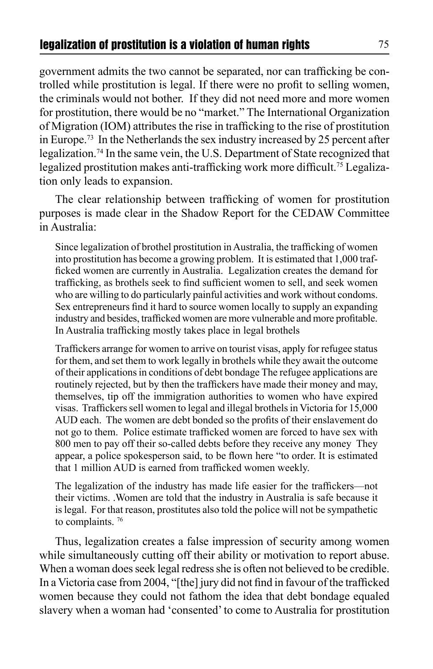government admits the two cannot be separated, nor can trafficking be controlled while prostitution is legal. If there were no profit to selling women, the criminals would not bother. If they did not need more and more women for prostitution, there would be no "market." The International Organization of Migration (IOM) attributes the rise in trafficking to the rise of prostitution in Europe.73 In the Netherlands the sex industry increased by 25 percent after legalization.74 In the same vein, the U.S. Department of State recognized that legalized prostitution makes anti-trafficking work more difficult.<sup>75</sup> Legalization only leads to expansion.

The clear relationship between trafficking of women for prostitution purposes is made clear in the Shadow Report for the CEDAW Committee in Australia:

Since legalization of brothel prostitution in Australia, the trafficking of women into prostitution has become a growing problem. It is estimated that 1,000 trafficked women are currently in Australia. Legalization creates the demand for trafficking, as brothels seek to find sufficient women to sell, and seek women who are willing to do particularly painful activities and work without condoms. Sex entrepreneurs find it hard to source women locally to supply an expanding industry and besides, trafficked women are more vulnerable and more profitable. In Australia trafficking mostly takes place in legal brothels

Traffickers arrange for women to arrive on tourist visas, apply for refugee status for them, and set them to work legally in brothels while they await the outcome of their applications in conditions of debt bondage The refugee applications are routinely rejected, but by then the traffickers have made their money and may, themselves, tip off the immigration authorities to women who have expired visas. Traffickers sell women to legal and illegal brothels in Victoria for 15,000 AUD each. The women are debt bonded so the profits of their enslavement do not go to them. Police estimate trafficked women are forced to have sex with 800 men to pay off their so-called debts before they receive any money They appear, a police spokesperson said, to be flown here "to order. It is estimated that 1 million AUD is earned from trafficked women weekly.

The legalization of the industry has made life easier for the traffickers—not their victims. .Women are told that the industry in Australia is safe because it is legal. For that reason, prostitutes also told the police will not be sympathetic to complaints.<sup>76</sup>

Thus, legalization creates a false impression of security among women while simultaneously cutting off their ability or motivation to report abuse. When a woman does seek legal redress she is often not believed to be credible. In a Victoria case from 2004, "[the] jury did not find in favour of the trafficked women because they could not fathom the idea that debt bondage equaled slavery when a woman had 'consented' to come to Australia for prostitution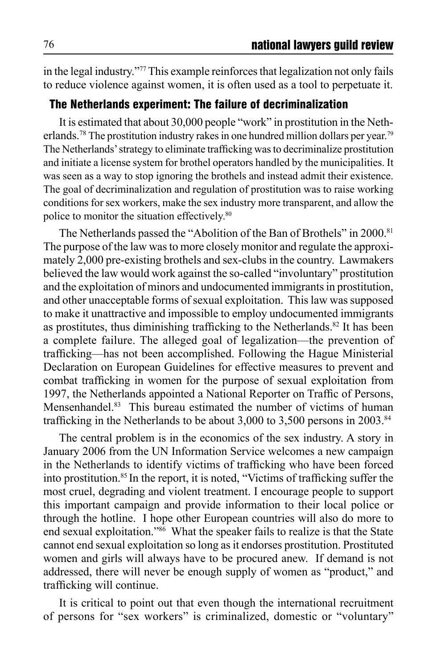in the legal industry."77 This example reinforces that legalization not only fails to reduce violence against women, it is often used as a tool to perpetuate it.

### The Netherlands experiment: The failure of decriminalization

It is estimated that about 30,000 people "work" in prostitution in the Netherlands.78 The prostitution industry rakes in one hundred million dollars per year.79 The Netherlands' strategy to eliminate trafficking was to decriminalize prostitution and initiate a license system for brothel operators handled by the municipalities. It was seen as a way to stop ignoring the brothels and instead admit their existence. The goal of decriminalization and regulation of prostitution was to raise working conditions for sex workers, make the sex industry more transparent, and allow the police to monitor the situation effectively.80

The Netherlands passed the "Abolition of the Ban of Brothels" in 2000.<sup>81</sup> The purpose of the law was to more closely monitor and regulate the approximately 2,000 pre-existing brothels and sex-clubs in the country. Lawmakers believed the law would work against the so-called "involuntary" prostitution and the exploitation of minors and undocumented immigrants in prostitution, and other unacceptable forms of sexual exploitation. This law was supposed to make it unattractive and impossible to employ undocumented immigrants as prostitutes, thus diminishing trafficking to the Netherlands. $82$  It has been a complete failure. The alleged goal of legalization—the prevention of trafficking—has not been accomplished. Following the Hague Ministerial Declaration on European Guidelines for effective measures to prevent and combat trafficking in women for the purpose of sexual exploitation from 1997, the Netherlands appointed a National Reporter on Traffic of Persons, Mensenhandel.<sup>83</sup> This bureau estimated the number of victims of human trafficking in the Netherlands to be about 3,000 to 3,500 persons in 2003.<sup>84</sup>

The central problem is in the economics of the sex industry. A story in January 2006 from the UN Information Service welcomes a new campaign in the Netherlands to identify victims of trafficking who have been forced into prostitution.85 In the report, it is noted, "Victims of trafficking suffer the most cruel, degrading and violent treatment. I encourage people to support this important campaign and provide information to their local police or through the hotline. I hope other European countries will also do more to end sexual exploitation." $86$  What the speaker fails to realize is that the State cannot end sexual exploitation so long as it endorses prostitution. Prostituted women and girls will always have to be procured anew. If demand is not addressed, there will never be enough supply of women as "product," and trafficking will continue.

It is critical to point out that even though the international recruitment of persons for "sex workers" is criminalized, domestic or "voluntary"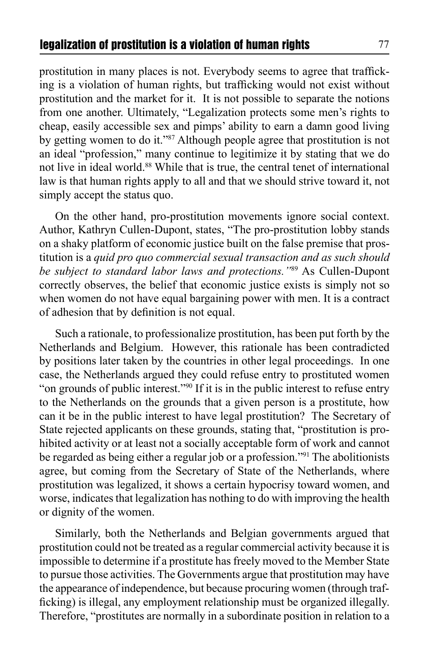prostitution in many places is not. Everybody seems to agree that trafficking is a violation of human rights, but trafficking would not exist without prostitution and the market for it. It is not possible to separate the notions from one another. Ultimately, "Legalization protects some men's rights to cheap, easily accessible sex and pimps' ability to earn a damn good living by getting women to do it."87 Although people agree that prostitution is not an ideal "profession," many continue to legitimize it by stating that we do not live in ideal world.88 While that is true, the central tenet of international law is that human rights apply to all and that we should strive toward it, not simply accept the status quo.

On the other hand, pro-prostitution movements ignore social context. Author, Kathryn Cullen-Dupont, states, "The pro-prostitution lobby stands on a shaky platform of economic justice built on the false premise that prostitution is a *quid pro quo commercial sexual transaction and as such should be subject to standard labor laws and protections."*89 As Cullen-Dupont correctly observes, the belief that economic justice exists is simply not so when women do not have equal bargaining power with men. It is a contract of adhesion that by definition is not equal.

Such a rationale, to professionalize prostitution, has been put forth by the Netherlands and Belgium. However, this rationale has been contradicted by positions later taken by the countries in other legal proceedings. In one case, the Netherlands argued they could refuse entry to prostituted women "on grounds of public interest."90 If it is in the public interest to refuse entry to the Netherlands on the grounds that a given person is a prostitute, how can it be in the public interest to have legal prostitution? The Secretary of State rejected applicants on these grounds, stating that, "prostitution is prohibited activity or at least not a socially acceptable form of work and cannot be regarded as being either a regular job or a profession."91 The abolitionists agree, but coming from the Secretary of State of the Netherlands, where prostitution was legalized, it shows a certain hypocrisy toward women, and worse, indicates that legalization has nothing to do with improving the health or dignity of the women.

Similarly, both the Netherlands and Belgian governments argued that prostitution could not be treated as a regular commercial activity because it is impossible to determine if a prostitute has freely moved to the Member State to pursue those activities. The Governments argue that prostitution may have the appearance of independence, but because procuring women (through trafficking) is illegal, any employment relationship must be organized illegally. Therefore, "prostitutes are normally in a subordinate position in relation to a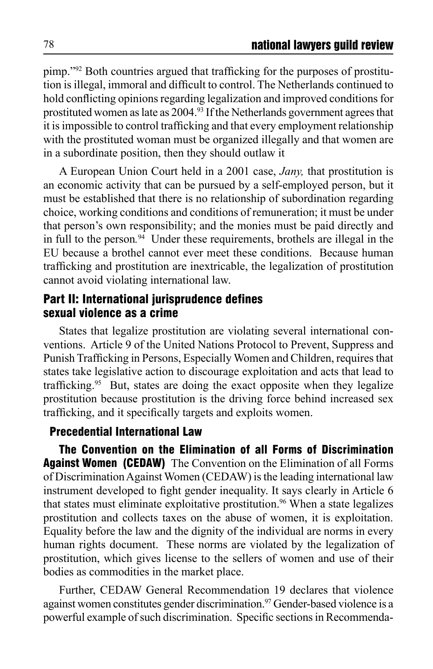pimp."92 Both countries argued that trafficking for the purposes of prostitution is illegal, immoral and difficult to control. The Netherlands continued to hold conflicting opinions regarding legalization and improved conditions for prostituted women as late as 2004.93 If the Netherlands government agrees that it is impossible to control trafficking and that every employment relationship with the prostituted woman must be organized illegally and that women are in a subordinate position, then they should outlaw it

A European Union Court held in a 2001 case, *Jany,* that prostitution is an economic activity that can be pursued by a self-employed person, but it must be established that there is no relationship of subordination regarding choice, working conditions and conditions of remuneration; it must be under that person's own responsibility; and the monies must be paid directly and in full to the person*.* 94 Under these requirements, brothels are illegal in the EU because a brothel cannot ever meet these conditions. Because human trafficking and prostitution are inextricable, the legalization of prostitution cannot avoid violating international law.

### Part II: International jurisprudence defines sexual violence as a crime

States that legalize prostitution are violating several international conventions. Article 9 of the United Nations Protocol to Prevent, Suppress and Punish Trafficking in Persons, Especially Women and Children, requires that states take legislative action to discourage exploitation and acts that lead to trafficking.95 But, states are doing the exact opposite when they legalize prostitution because prostitution is the driving force behind increased sex trafficking, and it specifically targets and exploits women.

### Precedential International Law

The Convention on the Elimination of all Forms of Discrimination Against Women (CEDAW) The Convention on the Elimination of all Forms of Discrimination Against Women (CEDAW) is the leading international law instrument developed to fight gender inequality. It says clearly in Article 6 that states must eliminate exploitative prostitution.<sup>96</sup> When a state legalizes prostitution and collects taxes on the abuse of women, it is exploitation. Equality before the law and the dignity of the individual are norms in every human rights document. These norms are violated by the legalization of prostitution, which gives license to the sellers of women and use of their bodies as commodities in the market place.

Further, CEDAW General Recommendation 19 declares that violence against women constitutes gender discrimination.<sup>97</sup> Gender-based violence is a powerful example of such discrimination. Specific sections in Recommenda-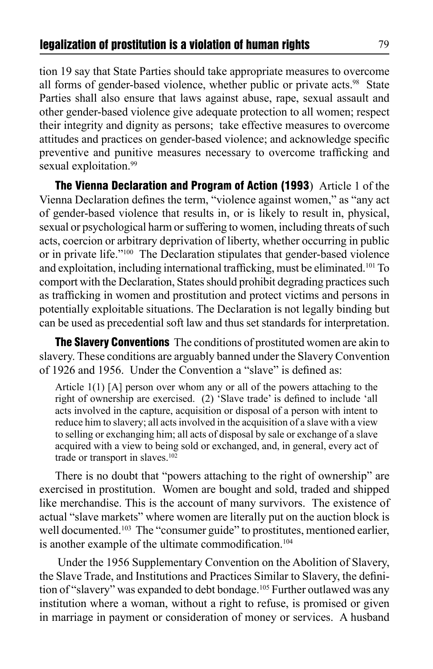tion 19 say that State Parties should take appropriate measures to overcome all forms of gender-based violence, whether public or private acts.<sup>98</sup> State Parties shall also ensure that laws against abuse, rape, sexual assault and other gender-based violence give adequate protection to all women; respect their integrity and dignity as persons; take effective measures to overcome attitudes and practices on gender-based violence; and acknowledge specific preventive and punitive measures necessary to overcome trafficking and sexual exploitation.<sup>99</sup>

The Vienna Declaration and Program of Action (1993) Article 1 of the Vienna Declaration defines the term, "violence against women," as "any act of gender-based violence that results in, or is likely to result in, physical, sexual or psychological harm or suffering to women, including threats of such acts, coercion or arbitrary deprivation of liberty, whether occurring in public or in private life."100 The Declaration stipulates that gender-based violence and exploitation, including international trafficking, must be eliminated.101 To comport with the Declaration, States should prohibit degrading practices such as trafficking in women and prostitution and protect victims and persons in potentially exploitable situations. The Declaration is not legally binding but can be used as precedential soft law and thus set standards for interpretation.

**The Slavery Conventions** The conditions of prostituted women are akin to slavery. These conditions are arguably banned under the Slavery Convention of 1926 and 1956. Under the Convention a "slave" is defined as:

Article 1(1) [A] person over whom any or all of the powers attaching to the right of ownership are exercised. (2) 'Slave trade' is defined to include 'all acts involved in the capture, acquisition or disposal of a person with intent to reduce him to slavery; all acts involved in the acquisition of a slave with a view to selling or exchanging him; all acts of disposal by sale or exchange of a slave acquired with a view to being sold or exchanged, and, in general, every act of trade or transport in slaves.<sup>102</sup>

There is no doubt that "powers attaching to the right of ownership" are exercised in prostitution. Women are bought and sold, traded and shipped like merchandise. This is the account of many survivors. The existence of actual "slave markets" where women are literally put on the auction block is well documented.<sup>103</sup> The "consumer guide" to prostitutes, mentioned earlier, is another example of the ultimate commodification.<sup>104</sup>

 Under the 1956 Supplementary Convention on the Abolition of Slavery, the Slave Trade, and Institutions and Practices Similar to Slavery, the definition of "slavery" was expanded to debt bondage.<sup>105</sup> Further outlawed was any institution where a woman, without a right to refuse, is promised or given in marriage in payment or consideration of money or services. A husband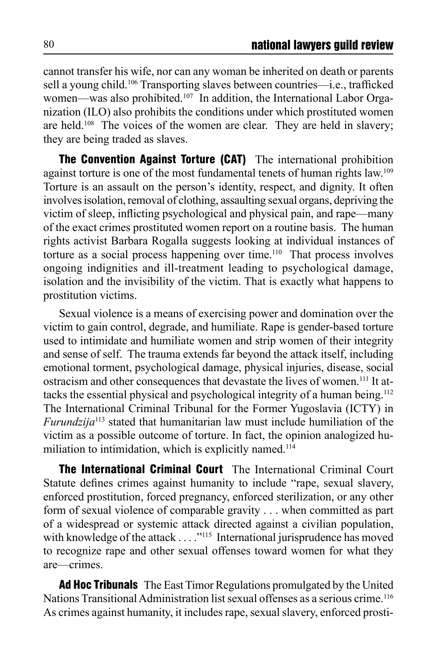cannot transfer his wife, nor can any woman be inherited on death or parents sell a young child.106 Transporting slaves between countries—i.e., trafficked women—was also prohibited.<sup>107</sup> In addition, the International Labor Organization (ILO) also prohibits the conditions under which prostituted women are held.<sup>108</sup> The voices of the women are clear. They are held in slavery; they are being traded as slaves.

The Convention Against Torture (CAT) The international prohibition against torture is one of the most fundamental tenets of human rights law.109 Torture is an assault on the person's identity, respect, and dignity. It often involves isolation, removal of clothing, assaulting sexual organs, depriving the victim of sleep, inflicting psychological and physical pain, and rape—many of the exact crimes prostituted women report on a routine basis. The human rights activist Barbara Rogalla suggests looking at individual instances of torture as a social process happening over time.110 That process involves ongoing indignities and ill-treatment leading to psychological damage, isolation and the invisibility of the victim. That is exactly what happens to prostitution victims.

Sexual violence is a means of exercising power and domination over the victim to gain control, degrade, and humiliate. Rape is gender-based torture used to intimidate and humiliate women and strip women of their integrity and sense of self. The trauma extends far beyond the attack itself, including emotional torment, psychological damage, physical injuries, disease, social ostracism and other consequences that devastate the lives of women.111 It attacks the essential physical and psychological integrity of a human being.<sup>112</sup> The International Criminal Tribunal for the Former Yugoslavia (ICTY) in *Furundzija*113 stated that humanitarian law must include humiliation of the victim as a possible outcome of torture. In fact, the opinion analogized humiliation to intimidation, which is explicitly named.<sup>114</sup>

The International Criminal Court The International Criminal Court Statute defines crimes against humanity to include "rape, sexual slavery, enforced prostitution, forced pregnancy, enforced sterilization, or any other form of sexual violence of comparable gravity . . . when committed as part of a widespread or systemic attack directed against a civilian population, with knowledge of the attack . . . . "<sup>115</sup> International jurisprudence has moved to recognize rape and other sexual offenses toward women for what they are—crimes.

Ad Hoc Tribunals The East Timor Regulations promulgated by the United Nations Transitional Administration list sexual offenses as a serious crime.<sup>116</sup> As crimes against humanity, it includes rape, sexual slavery, enforced prosti-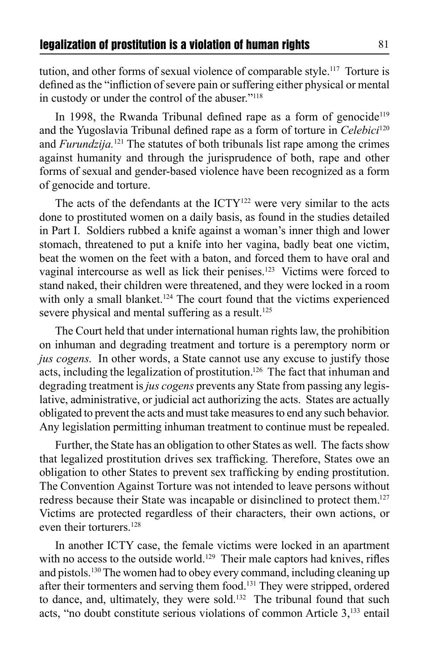tution, and other forms of sexual violence of comparable style.<sup>117</sup> Torture is defined as the "infliction of severe pain or suffering either physical or mental in custody or under the control of the abuser."118

In 1998, the Rwanda Tribunal defined rape as a form of genocide<sup>119</sup> and the Yugoslavia Tribunal defined rape as a form of torture in *Celebici*<sup>120</sup> and *Furundzija.*121 The statutes of both tribunals list rape among the crimes against humanity and through the jurisprudence of both, rape and other forms of sexual and gender-based violence have been recognized as a form of genocide and torture.

The acts of the defendants at the  $\text{ICTY}^{122}$  were very similar to the acts done to prostituted women on a daily basis, as found in the studies detailed in Part I. Soldiers rubbed a knife against a woman's inner thigh and lower stomach, threatened to put a knife into her vagina, badly beat one victim, beat the women on the feet with a baton, and forced them to have oral and vaginal intercourse as well as lick their penises.123 Victims were forced to stand naked, their children were threatened, and they were locked in a room with only a small blanket.<sup>124</sup> The court found that the victims experienced severe physical and mental suffering as a result.<sup>125</sup>

The Court held that under international human rights law, the prohibition on inhuman and degrading treatment and torture is a peremptory norm or *jus cogens*. In other words, a State cannot use any excuse to justify those acts, including the legalization of prostitution.126 The fact that inhuman and degrading treatment is *jus cogens* prevents any State from passing any legislative, administrative, or judicial act authorizing the acts. States are actually obligated to prevent the acts and must take measures to end any such behavior. Any legislation permitting inhuman treatment to continue must be repealed.

Further, the State has an obligation to other States as well. The facts show that legalized prostitution drives sex trafficking. Therefore, States owe an obligation to other States to prevent sex trafficking by ending prostitution. The Convention Against Torture was not intended to leave persons without redress because their State was incapable or disinclined to protect them.<sup>127</sup> Victims are protected regardless of their characters, their own actions, or even their torturers.<sup>128</sup>

In another ICTY case, the female victims were locked in an apartment with no access to the outside world.<sup>129</sup> Their male captors had knives, rifles and pistols.130 The women had to obey every command, including cleaning up after their tormenters and serving them food.<sup>131</sup> They were stripped, ordered to dance, and, ultimately, they were sold.<sup>132</sup> The tribunal found that such acts, "no doubt constitute serious violations of common Article 3,133 entail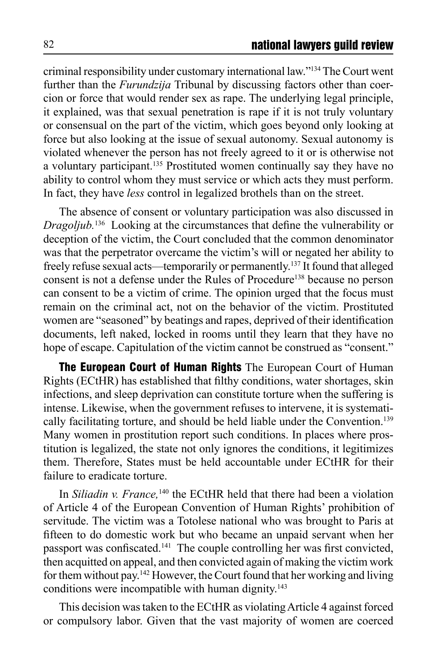criminal responsibility under customary international law."134 The Court went further than the *Furundzija* Tribunal by discussing factors other than coercion or force that would render sex as rape. The underlying legal principle, it explained, was that sexual penetration is rape if it is not truly voluntary or consensual on the part of the victim, which goes beyond only looking at force but also looking at the issue of sexual autonomy. Sexual autonomy is violated whenever the person has not freely agreed to it or is otherwise not a voluntary participant.135 Prostituted women continually say they have no ability to control whom they must service or which acts they must perform. In fact, they have *less* control in legalized brothels than on the street.

The absence of consent or voluntary participation was also discussed in *Dragoljub.*136 Looking at the circumstances that define the vulnerability or deception of the victim, the Court concluded that the common denominator was that the perpetrator overcame the victim's will or negated her ability to freely refuse sexual acts—temporarily or permanently.137 It found that alleged consent is not a defense under the Rules of Procedure<sup>138</sup> because no person can consent to be a victim of crime. The opinion urged that the focus must remain on the criminal act, not on the behavior of the victim. Prostituted women are "seasoned" by beatings and rapes, deprived of their identification documents, left naked, locked in rooms until they learn that they have no hope of escape. Capitulation of the victim cannot be construed as "consent."

**The European Court of Human Rights** The European Court of Human Rights (ECtHR) has established that filthy conditions, water shortages, skin infections, and sleep deprivation can constitute torture when the suffering is intense. Likewise, when the government refuses to intervene, it is systematically facilitating torture, and should be held liable under the Convention.<sup>139</sup> Many women in prostitution report such conditions. In places where prostitution is legalized, the state not only ignores the conditions, it legitimizes them. Therefore, States must be held accountable under ECtHR for their failure to eradicate torture.

In *Siliadin v. France,*140 the ECtHR held that there had been a violation of Article 4 of the European Convention of Human Rights' prohibition of servitude. The victim was a Totolese national who was brought to Paris at fifteen to do domestic work but who became an unpaid servant when her passport was confiscated.<sup>141</sup> The couple controlling her was first convicted, then acquitted on appeal, and then convicted again of making the victim work for them without pay.142 However, the Court found that her working and living conditions were incompatible with human dignity.<sup>143</sup>

This decision was taken to the ECtHR as violating Article 4 against forced or compulsory labor. Given that the vast majority of women are coerced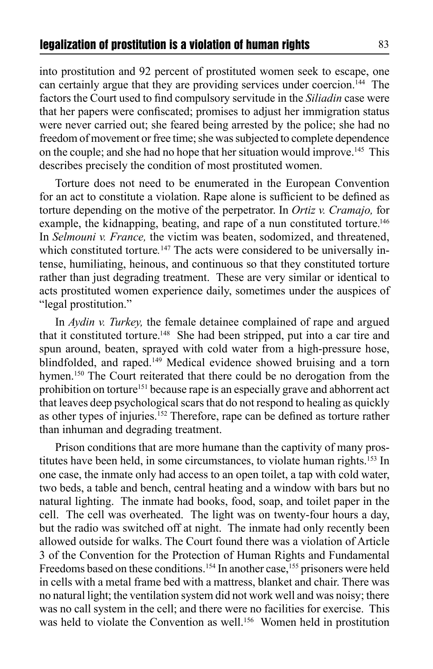into prostitution and 92 percent of prostituted women seek to escape, one can certainly argue that they are providing services under coercion.<sup>144</sup> The factors the Court used to find compulsory servitude in the *Siliadin* case were that her papers were confiscated; promises to adjust her immigration status were never carried out; she feared being arrested by the police; she had no freedom of movement or free time; she was subjected to complete dependence on the couple; and she had no hope that her situation would improve.145 This describes precisely the condition of most prostituted women.

Torture does not need to be enumerated in the European Convention for an act to constitute a violation. Rape alone is sufficient to be defined as torture depending on the motive of the perpetrator. In *Ortiz v. Cramajo,* for example, the kidnapping, beating, and rape of a nun constituted torture.<sup>146</sup> In *Selmouni v. France,* the victim was beaten, sodomized, and threatened, which constituted torture.<sup>147</sup> The acts were considered to be universally intense, humiliating, heinous, and continuous so that they constituted torture rather than just degrading treatment. These are very similar or identical to acts prostituted women experience daily, sometimes under the auspices of "legal prostitution."

In *Aydin v. Turkey,* the female detainee complained of rape and argued that it constituted torture.148 She had been stripped, put into a car tire and spun around, beaten, sprayed with cold water from a high-pressure hose, blindfolded, and raped.<sup>149</sup> Medical evidence showed bruising and a torn hymen.<sup>150</sup> The Court reiterated that there could be no derogation from the prohibition on torture151 because rape is an especially grave and abhorrent act that leaves deep psychological scars that do not respond to healing as quickly as other types of injuries.152 Therefore, rape can be defined as torture rather than inhuman and degrading treatment.

Prison conditions that are more humane than the captivity of many prostitutes have been held, in some circumstances, to violate human rights.153 In one case, the inmate only had access to an open toilet, a tap with cold water, two beds, a table and bench, central heating and a window with bars but no natural lighting. The inmate had books, food, soap, and toilet paper in the cell. The cell was overheated. The light was on twenty-four hours a day, but the radio was switched off at night. The inmate had only recently been allowed outside for walks. The Court found there was a violation of Article 3 of the Convention for the Protection of Human Rights and Fundamental Freedoms based on these conditions.<sup>154</sup> In another case,<sup>155</sup> prisoners were held in cells with a metal frame bed with a mattress, blanket and chair. There was no natural light; the ventilation system did not work well and was noisy; there was no call system in the cell; and there were no facilities for exercise. This was held to violate the Convention as well.<sup>156</sup> Women held in prostitution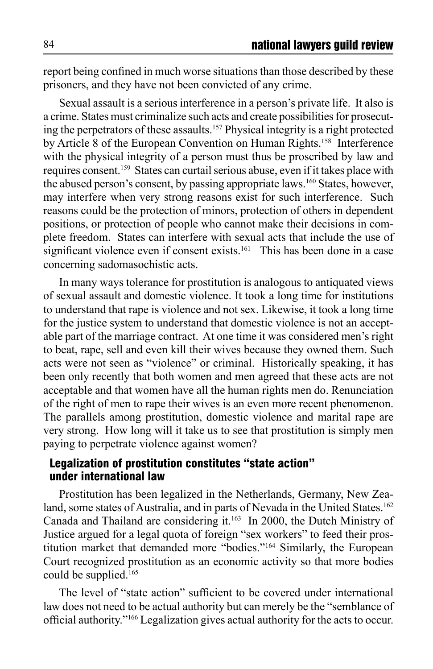report being confined in much worse situations than those described by these prisoners, and they have not been convicted of any crime.

Sexual assault is a serious interference in a person's private life. It also is a crime. States must criminalize such acts and create possibilities for prosecuting the perpetrators of these assaults.157 Physical integrity is a right protected by Article 8 of the European Convention on Human Rights.158 Interference with the physical integrity of a person must thus be proscribed by law and requires consent.159 States can curtail serious abuse, even if it takes place with the abused person's consent, by passing appropriate laws.160 States, however, may interfere when very strong reasons exist for such interference. Such reasons could be the protection of minors, protection of others in dependent positions, or protection of people who cannot make their decisions in complete freedom. States can interfere with sexual acts that include the use of significant violence even if consent exists.<sup>161</sup> This has been done in a case concerning sadomasochistic acts.

In many ways tolerance for prostitution is analogous to antiquated views of sexual assault and domestic violence. It took a long time for institutions to understand that rape is violence and not sex. Likewise, it took a long time for the justice system to understand that domestic violence is not an acceptable part of the marriage contract. At one time it was considered men's right to beat, rape, sell and even kill their wives because they owned them. Such acts were not seen as "violence" or criminal. Historically speaking, it has been only recently that both women and men agreed that these acts are not acceptable and that women have all the human rights men do. Renunciation of the right of men to rape their wives is an even more recent phenomenon. The parallels among prostitution, domestic violence and marital rape are very strong. How long will it take us to see that prostitution is simply men paying to perpetrate violence against women?

### Legalization of prostitution constitutes "state action" under international law

Prostitution has been legalized in the Netherlands, Germany, New Zealand, some states of Australia, and in parts of Nevada in the United States.<sup>162</sup> Canada and Thailand are considering it.163 In 2000, the Dutch Ministry of Justice argued for a legal quota of foreign "sex workers" to feed their prostitution market that demanded more "bodies."164 Similarly, the European Court recognized prostitution as an economic activity so that more bodies could be supplied.165

The level of "state action" sufficient to be covered under international law does not need to be actual authority but can merely be the "semblance of official authority."166 Legalization gives actual authority for the acts to occur.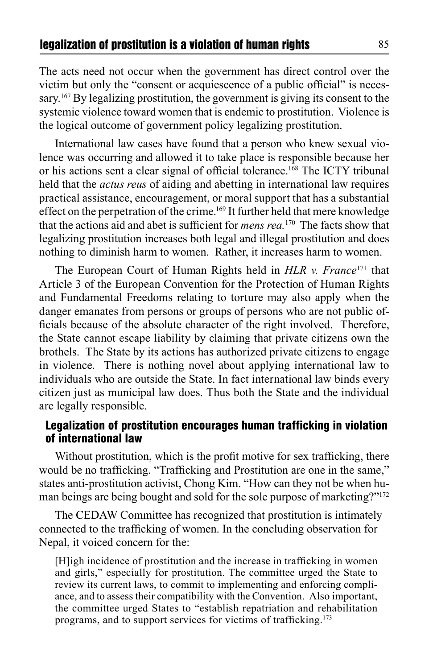The acts need not occur when the government has direct control over the victim but only the "consent or acquiescence of a public official" is necessary.<sup>167</sup> By legalizing prostitution, the government is giving its consent to the systemic violence toward women that is endemic to prostitution. Violence is the logical outcome of government policy legalizing prostitution.

International law cases have found that a person who knew sexual violence was occurring and allowed it to take place is responsible because her or his actions sent a clear signal of official tolerance.168 The ICTY tribunal held that the *actus reus* of aiding and abetting in international law requires practical assistance, encouragement, or moral support that has a substantial effect on the perpetration of the crime.<sup>169</sup> It further held that mere knowledge that the actions aid and abet is sufficient for *mens rea.*170 The facts show that legalizing prostitution increases both legal and illegal prostitution and does nothing to diminish harm to women. Rather, it increases harm to women.

The European Court of Human Rights held in *HLR v. France*<sup>171</sup> that Article 3 of the European Convention for the Protection of Human Rights and Fundamental Freedoms relating to torture may also apply when the danger emanates from persons or groups of persons who are not public officials because of the absolute character of the right involved. Therefore, the State cannot escape liability by claiming that private citizens own the brothels. The State by its actions has authorized private citizens to engage in violence. There is nothing novel about applying international law to individuals who are outside the State. In fact international law binds every citizen just as municipal law does. Thus both the State and the individual are legally responsible.

### Legalization of prostitution encourages human trafficking in violation of international law

Without prostitution, which is the profit motive for sex trafficking, there would be no trafficking. "Trafficking and Prostitution are one in the same," states anti-prostitution activist, Chong Kim. "How can they not be when human beings are being bought and sold for the sole purpose of marketing?"<sup>172</sup>

The CEDAW Committee has recognized that prostitution is intimately connected to the trafficking of women. In the concluding observation for Nepal, it voiced concern for the:

[H]igh incidence of prostitution and the increase in trafficking in women and girls," especially for prostitution. The committee urged the State to review its current laws, to commit to implementing and enforcing compliance, and to assess their compatibility with the Convention. Also important, the committee urged States to "establish repatriation and rehabilitation programs, and to support services for victims of trafficking.173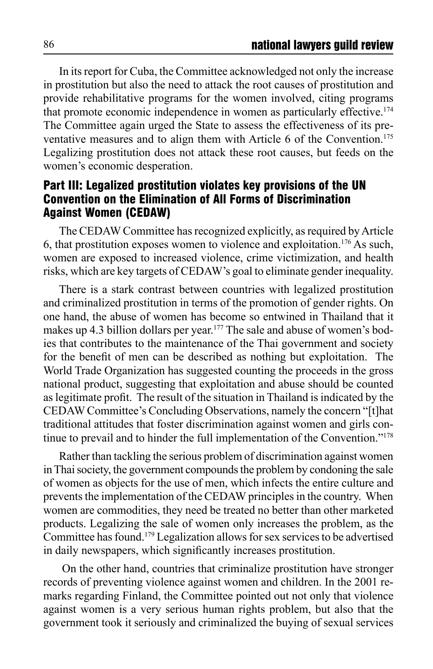In its report for Cuba, the Committee acknowledged not only the increase in prostitution but also the need to attack the root causes of prostitution and provide rehabilitative programs for the women involved, citing programs that promote economic independence in women as particularly effective.<sup>174</sup> The Committee again urged the State to assess the effectiveness of its preventative measures and to align them with Article 6 of the Convention.<sup>175</sup> Legalizing prostitution does not attack these root causes, but feeds on the women's economic desperation.

### Part III: Legalized prostitution violates key provisions of the UN Convention on the Elimination of All Forms of Discrimination Against Women (CEDAW)

The CEDAW Committee has recognized explicitly, as required by Article 6, that prostitution exposes women to violence and exploitation.176 As such, women are exposed to increased violence, crime victimization, and health risks, which are key targets of CEDAW's goal to eliminate gender inequality.

There is a stark contrast between countries with legalized prostitution and criminalized prostitution in terms of the promotion of gender rights. On one hand, the abuse of women has become so entwined in Thailand that it makes up 4.3 billion dollars per year.<sup>177</sup> The sale and abuse of women's bodies that contributes to the maintenance of the Thai government and society for the benefit of men can be described as nothing but exploitation. The World Trade Organization has suggested counting the proceeds in the gross national product, suggesting that exploitation and abuse should be counted as legitimate profit. The result of the situation in Thailand is indicated by the CEDAW Committee's Concluding Observations, namely the concern "[t]hat traditional attitudes that foster discrimination against women and girls continue to prevail and to hinder the full implementation of the Convention."178

Rather than tackling the serious problem of discrimination against women in Thai society, the government compounds the problem by condoning the sale of women as objects for the use of men, which infects the entire culture and prevents the implementation of the CEDAW principles in the country. When women are commodities, they need be treated no better than other marketed products. Legalizing the sale of women only increases the problem, as the Committee has found.179 Legalization allows for sex services to be advertised in daily newspapers, which significantly increases prostitution.

 On the other hand, countries that criminalize prostitution have stronger records of preventing violence against women and children. In the 2001 remarks regarding Finland, the Committee pointed out not only that violence against women is a very serious human rights problem, but also that the government took it seriously and criminalized the buying of sexual services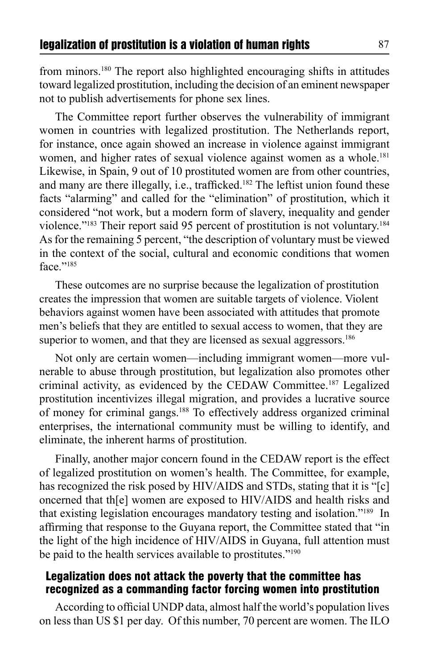from minors.180 The report also highlighted encouraging shifts in attitudes toward legalized prostitution, including the decision of an eminent newspaper not to publish advertisements for phone sex lines.

The Committee report further observes the vulnerability of immigrant women in countries with legalized prostitution. The Netherlands report, for instance, once again showed an increase in violence against immigrant women, and higher rates of sexual violence against women as a whole.<sup>181</sup> Likewise, in Spain, 9 out of 10 prostituted women are from other countries, and many are there illegally, i.e., trafficked.<sup>182</sup> The leftist union found these facts "alarming" and called for the "elimination" of prostitution, which it considered "not work, but a modern form of slavery, inequality and gender violence."<sup>183</sup> Their report said 95 percent of prostitution is not voluntary.<sup>184</sup> As for the remaining 5 percent, "the description of voluntary must be viewed in the context of the social, cultural and economic conditions that women face "185

These outcomes are no surprise because the legalization of prostitution creates the impression that women are suitable targets of violence. Violent behaviors against women have been associated with attitudes that promote men's beliefs that they are entitled to sexual access to women, that they are superior to women, and that they are licensed as sexual aggressors.<sup>186</sup>

Not only are certain women—including immigrant women—more vulnerable to abuse through prostitution, but legalization also promotes other criminal activity, as evidenced by the CEDAW Committee.187 Legalized prostitution incentivizes illegal migration, and provides a lucrative source of money for criminal gangs.188 To effectively address organized criminal enterprises, the international community must be willing to identify, and eliminate, the inherent harms of prostitution.

Finally, another major concern found in the CEDAW report is the effect of legalized prostitution on women's health. The Committee, for example, has recognized the risk posed by HIV/AIDS and STDs, stating that it is "[c] oncerned that th[e] women are exposed to HIV/AIDS and health risks and that existing legislation encourages mandatory testing and isolation."189 In affirming that response to the Guyana report, the Committee stated that "in the light of the high incidence of HIV/AIDS in Guyana, full attention must be paid to the health services available to prostitutes."<sup>190</sup>

### Legalization does not attack the poverty that the committee has recognized as a commanding factor forcing women into prostitution

According to official UNDP data, almost half the world's population lives on less than US \$1 per day. Of this number, 70 percent are women. The ILO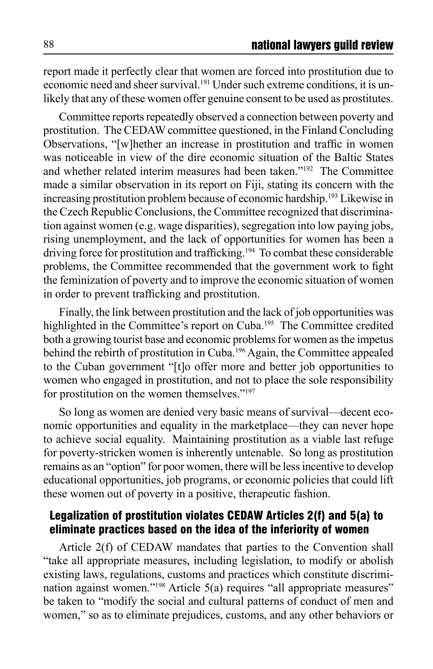report made it perfectly clear that women are forced into prostitution due to economic need and sheer survival.191 Under such extreme conditions, it is unlikely that any of these women offer genuine consent to be used as prostitutes.

Committee reports repeatedly observed a connection between poverty and prostitution. The CEDAW committee questioned, in the Finland Concluding Observations, "[w]hether an increase in prostitution and traffic in women was noticeable in view of the dire economic situation of the Baltic States and whether related interim measures had been taken."192 The Committee made a similar observation in its report on Fiji, stating its concern with the increasing prostitution problem because of economic hardship.193 Likewise in the Czech Republic Conclusions, the Committee recognized that discrimination against women (e.g. wage disparities), segregation into low paying jobs, rising unemployment, and the lack of opportunities for women has been a driving force for prostitution and trafficking.<sup>194</sup> To combat these considerable problems, the Committee recommended that the government work to fight the feminization of poverty and to improve the economic situation of women in order to prevent trafficking and prostitution.

Finally, the link between prostitution and the lack of job opportunities was highlighted in the Committee's report on Cuba.<sup>195</sup> The Committee credited both a growing tourist base and economic problems for women as the impetus behind the rebirth of prostitution in Cuba.<sup>196</sup> Again, the Committee appealed to the Cuban government "[t]o offer more and better job opportunities to women who engaged in prostitution, and not to place the sole responsibility for prostitution on the women themselves."197

So long as women are denied very basic means of survival—decent economic opportunities and equality in the marketplace—they can never hope to achieve social equality. Maintaining prostitution as a viable last refuge for poverty-stricken women is inherently untenable. So long as prostitution remains as an "option" for poor women, there will be less incentive to develop educational opportunities, job programs, or economic policies that could lift these women out of poverty in a positive, therapeutic fashion.

### Legalization of prostitution violates CEDAW Articles 2(f) and 5(a) to eliminate practices based on the idea of the inferiority of women

Article 2(f) of CEDAW mandates that parties to the Convention shall "take all appropriate measures, including legislation, to modify or abolish existing laws, regulations, customs and practices which constitute discrimination against women."198 Article 5(a) requires "all appropriate measures" be taken to "modify the social and cultural patterns of conduct of men and women," so as to eliminate prejudices, customs, and any other behaviors or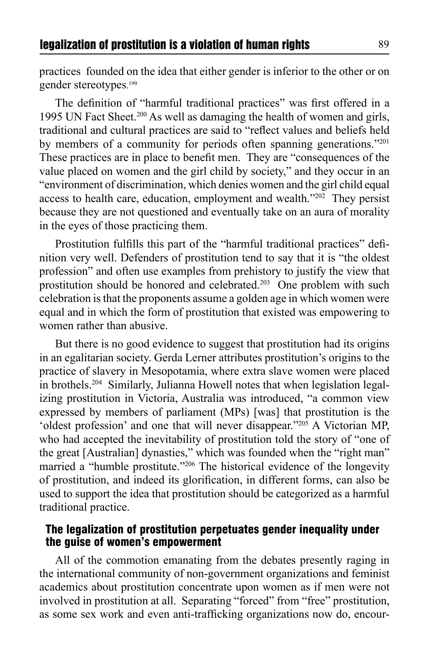practices founded on the idea that either gender is inferior to the other or on gender stereotypes. 199

The definition of "harmful traditional practices" was first offered in a 1995 UN Fact Sheet.200 As well as damaging the health of women and girls, traditional and cultural practices are said to "reflect values and beliefs held by members of a community for periods often spanning generations."201 These practices are in place to benefit men. They are "consequences of the value placed on women and the girl child by society," and they occur in an "environment of discrimination, which denies women and the girl child equal access to health care, education, employment and wealth."202 They persist because they are not questioned and eventually take on an aura of morality in the eyes of those practicing them.

Prostitution fulfills this part of the "harmful traditional practices" definition very well. Defenders of prostitution tend to say that it is "the oldest profession" and often use examples from prehistory to justify the view that prostitution should be honored and celebrated.203 One problem with such celebration is that the proponents assume a golden age in which women were equal and in which the form of prostitution that existed was empowering to women rather than abusive.

But there is no good evidence to suggest that prostitution had its origins in an egalitarian society. Gerda Lerner attributes prostitution's origins to the practice of slavery in Mesopotamia, where extra slave women were placed in brothels.204 Similarly, Julianna Howell notes that when legislation legalizing prostitution in Victoria, Australia was introduced, "a common view expressed by members of parliament (MPs) [was] that prostitution is the 'oldest profession' and one that will never disappear."205 A Victorian MP, who had accepted the inevitability of prostitution told the story of "one of the great [Australian] dynasties," which was founded when the "right man" married a "humble prostitute."206 The historical evidence of the longevity of prostitution, and indeed its glorification, in different forms, can also be used to support the idea that prostitution should be categorized as a harmful traditional practice.

#### The legalization of prostitution perpetuates gender inequality under the guise of women's empowerment

All of the commotion emanating from the debates presently raging in the international community of non-government organizations and feminist academics about prostitution concentrate upon women as if men were not involved in prostitution at all. Separating "forced" from "free" prostitution, as some sex work and even anti-trafficking organizations now do, encour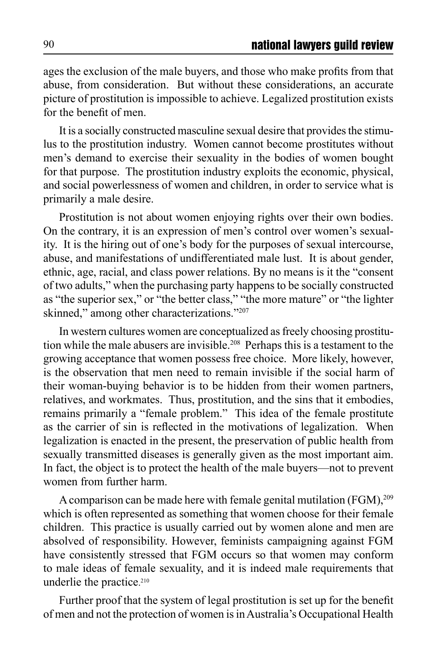ages the exclusion of the male buyers, and those who make profits from that abuse, from consideration. But without these considerations, an accurate picture of prostitution is impossible to achieve. Legalized prostitution exists for the benefit of men.

It is a socially constructed masculine sexual desire that provides the stimulus to the prostitution industry. Women cannot become prostitutes without men's demand to exercise their sexuality in the bodies of women bought for that purpose. The prostitution industry exploits the economic, physical, and social powerlessness of women and children, in order to service what is primarily a male desire.

Prostitution is not about women enjoying rights over their own bodies. On the contrary, it is an expression of men's control over women's sexuality. It is the hiring out of one's body for the purposes of sexual intercourse, abuse, and manifestations of undifferentiated male lust. It is about gender, ethnic, age, racial, and class power relations. By no means is it the "consent of two adults," when the purchasing party happens to be socially constructed as "the superior sex," or "the better class," "the more mature" or "the lighter skinned," among other characterizations."207

In western cultures women are conceptualized as freely choosing prostitution while the male abusers are invisible.<sup>208</sup> Perhaps this is a testament to the growing acceptance that women possess free choice. More likely, however, is the observation that men need to remain invisible if the social harm of their woman-buying behavior is to be hidden from their women partners, relatives, and workmates. Thus, prostitution, and the sins that it embodies, remains primarily a "female problem." This idea of the female prostitute as the carrier of sin is reflected in the motivations of legalization. When legalization is enacted in the present, the preservation of public health from sexually transmitted diseases is generally given as the most important aim. In fact, the object is to protect the health of the male buyers—not to prevent women from further harm.

A comparison can be made here with female genital mutilation  $(FGM)$ ,  $^{209}$ which is often represented as something that women choose for their female children. This practice is usually carried out by women alone and men are absolved of responsibility. However, feminists campaigning against FGM have consistently stressed that FGM occurs so that women may conform to male ideas of female sexuality, and it is indeed male requirements that underlie the practice. 210

Further proof that the system of legal prostitution is set up for the benefit of men and not the protection of women is in Australia's Occupational Health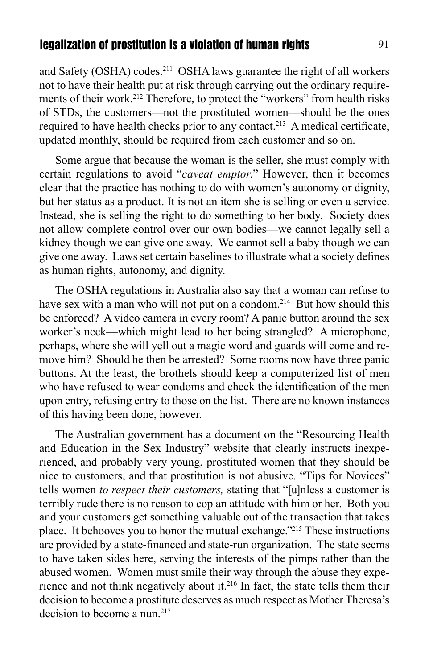and Safety (OSHA) codes.<sup>211</sup> OSHA laws guarantee the right of all workers not to have their health put at risk through carrying out the ordinary requirements of their work.<sup>212</sup> Therefore, to protect the "workers" from health risks of STDs, the customers—not the prostituted women—should be the ones required to have health checks prior to any contact.213 A medical certificate, updated monthly, should be required from each customer and so on.

Some argue that because the woman is the seller, she must comply with certain regulations to avoid "*caveat emptor*." However, then it becomes clear that the practice has nothing to do with women's autonomy or dignity, but her status as a product. It is not an item she is selling or even a service. Instead, she is selling the right to do something to her body. Society does not allow complete control over our own bodies—we cannot legally sell a kidney though we can give one away. We cannot sell a baby though we can give one away. Laws set certain baselines to illustrate what a society defines as human rights, autonomy, and dignity.

The OSHA regulations in Australia also say that a woman can refuse to have sex with a man who will not put on a condom.<sup>214</sup> But how should this be enforced? A video camera in every room? A panic button around the sex worker's neck—which might lead to her being strangled? A microphone, perhaps, where she will yell out a magic word and guards will come and remove him? Should he then be arrested? Some rooms now have three panic buttons. At the least, the brothels should keep a computerized list of men who have refused to wear condoms and check the identification of the men upon entry, refusing entry to those on the list. There are no known instances of this having been done, however.

The Australian government has a document on the "Resourcing Health and Education in the Sex Industry" website that clearly instructs inexperienced, and probably very young, prostituted women that they should be nice to customers, and that prostitution is not abusive. "Tips for Novices" tells women *to respect their customers,* stating that "[u]nless a customer is terribly rude there is no reason to cop an attitude with him or her. Both you and your customers get something valuable out of the transaction that takes place. It behooves you to honor the mutual exchange."215 These instructions are provided by a state-financed and state-run organization. The state seems to have taken sides here, serving the interests of the pimps rather than the abused women. Women must smile their way through the abuse they experience and not think negatively about it.216 In fact, the state tells them their decision to become a prostitute deserves as much respect as Mother Theresa's decision to become a nun.<sup>217</sup>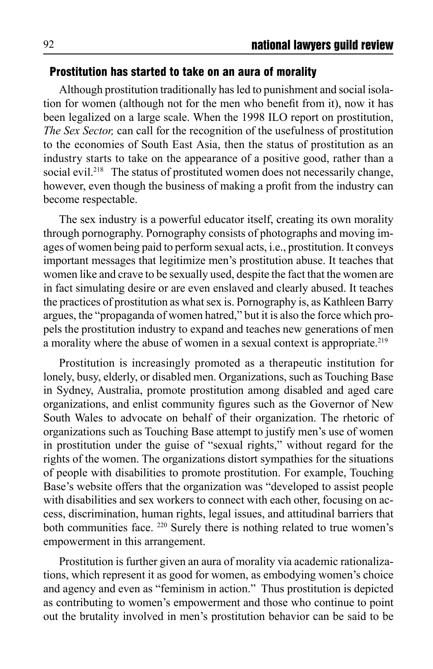### Prostitution has started to take on an aura of morality

Although prostitution traditionally has led to punishment and social isolation for women (although not for the men who benefit from it), now it has been legalized on a large scale. When the 1998 ILO report on prostitution, *The Sex Sector,* can call for the recognition of the usefulness of prostitution to the economies of South East Asia, then the status of prostitution as an industry starts to take on the appearance of a positive good, rather than a social evil.<sup>218</sup> The status of prostituted women does not necessarily change, however, even though the business of making a profit from the industry can become respectable.

The sex industry is a powerful educator itself, creating its own morality through pornography. Pornography consists of photographs and moving images of women being paid to perform sexual acts, i.e., prostitution. It conveys important messages that legitimize men's prostitution abuse. It teaches that women like and crave to be sexually used, despite the fact that the women are in fact simulating desire or are even enslaved and clearly abused. It teaches the practices of prostitution as what sex is. Pornography is, as Kathleen Barry argues, the "propaganda of women hatred," but it is also the force which propels the prostitution industry to expand and teaches new generations of men a morality where the abuse of women in a sexual context is appropriate.219

Prostitution is increasingly promoted as a therapeutic institution for lonely, busy, elderly, or disabled men. Organizations, such as Touching Base in Sydney, Australia, promote prostitution among disabled and aged care organizations, and enlist community figures such as the Governor of New South Wales to advocate on behalf of their organization. The rhetoric of organizations such as Touching Base attempt to justify men's use of women in prostitution under the guise of "sexual rights," without regard for the rights of the women. The organizations distort sympathies for the situations of people with disabilities to promote prostitution. For example, Touching Base's website offers that the organization was "developed to assist people with disabilities and sex workers to connect with each other, focusing on access, discrimination, human rights, legal issues, and attitudinal barriers that both communities face. <sup>220</sup> Surely there is nothing related to true women's empowerment in this arrangement.

Prostitution is further given an aura of morality via academic rationalizations, which represent it as good for women, as embodying women's choice and agency and even as "feminism in action." Thus prostitution is depicted as contributing to women's empowerment and those who continue to point out the brutality involved in men's prostitution behavior can be said to be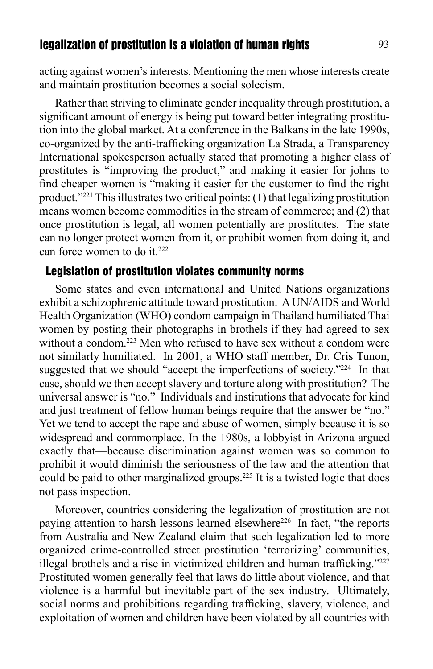acting against women's interests. Mentioning the men whose interests create and maintain prostitution becomes a social solecism.

Rather than striving to eliminate gender inequality through prostitution, a significant amount of energy is being put toward better integrating prostitution into the global market. At a conference in the Balkans in the late 1990s, co-organized by the anti-trafficking organization La Strada, a Transparency International spokesperson actually stated that promoting a higher class of prostitutes is "improving the product," and making it easier for johns to find cheaper women is "making it easier for the customer to find the right product." $2^{221}$  This illustrates two critical points: (1) that legalizing prostitution means women become commodities in the stream of commerce; and (2) that once prostitution is legal, all women potentially are prostitutes. The state can no longer protect women from it, or prohibit women from doing it, and can force women to do it.<sup>222</sup>

#### Legislation of prostitution violates community norms

Some states and even international and United Nations organizations exhibit a schizophrenic attitude toward prostitution. A UN/AIDS and World Health Organization (WHO) condom campaign in Thailand humiliated Thai women by posting their photographs in brothels if they had agreed to sex without a condom.<sup>223</sup> Men who refused to have sex without a condom were not similarly humiliated. In 2001, a WHO staff member, Dr. Cris Tunon, suggested that we should "accept the imperfections of society."<sup>224</sup> In that case, should we then accept slavery and torture along with prostitution? The universal answer is "no." Individuals and institutions that advocate for kind and just treatment of fellow human beings require that the answer be "no." Yet we tend to accept the rape and abuse of women, simply because it is so widespread and commonplace. In the 1980s, a lobbyist in Arizona argued exactly that—because discrimination against women was so common to prohibit it would diminish the seriousness of the law and the attention that could be paid to other marginalized groups.<sup>225</sup> It is a twisted logic that does not pass inspection.

Moreover, countries considering the legalization of prostitution are not paying attention to harsh lessons learned elsewhere<sup>226</sup> In fact, "the reports" from Australia and New Zealand claim that such legalization led to more organized crime-controlled street prostitution 'terrorizing' communities, illegal brothels and a rise in victimized children and human trafficking."<sup>227</sup> Prostituted women generally feel that laws do little about violence, and that violence is a harmful but inevitable part of the sex industry. Ultimately, social norms and prohibitions regarding trafficking, slavery, violence, and exploitation of women and children have been violated by all countries with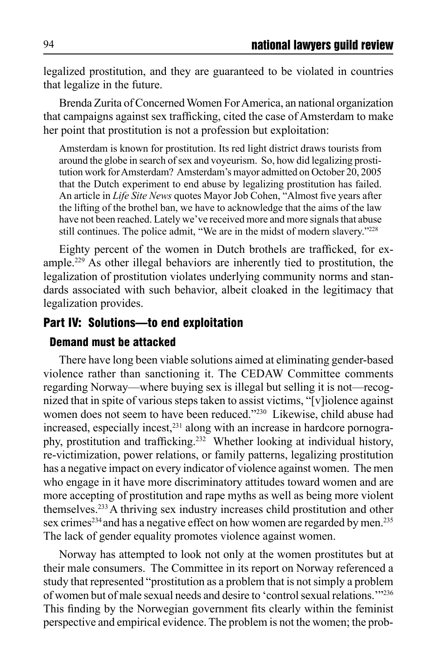legalized prostitution, and they are guaranteed to be violated in countries that legalize in the future.

Brenda Zurita of Concerned Women For America, an national organization that campaigns against sex trafficking, cited the case of Amsterdam to make her point that prostitution is not a profession but exploitation:

Amsterdam is known for prostitution. Its red light district draws tourists from around the globe in search of sex and voyeurism. So, how did legalizing prostitution work for Amsterdam? Amsterdam's mayor admitted on October 20, 2005 that the Dutch experiment to end abuse by legalizing prostitution has failed. An article in *Life Site News* quotes Mayor Job Cohen, "Almost five years after the lifting of the brothel ban, we have to acknowledge that the aims of the law have not been reached. Lately we've received more and more signals that abuse still continues. The police admit, "We are in the midst of modern slavery."<sup>228</sup>

Eighty percent of the women in Dutch brothels are trafficked, for example.229 As other illegal behaviors are inherently tied to prostitution, the legalization of prostitution violates underlying community norms and standards associated with such behavior, albeit cloaked in the legitimacy that legalization provides.

### Part IV: Solutions—to end exploitation

### Demand must be attacked

There have long been viable solutions aimed at eliminating gender-based violence rather than sanctioning it. The CEDAW Committee comments regarding Norway—where buying sex is illegal but selling it is not—recognized that in spite of various steps taken to assist victims, "[v]iolence against women does not seem to have been reduced."<sup>230</sup> Likewise, child abuse had increased, especially incest,<sup>231</sup> along with an increase in hardcore pornography, prostitution and trafficking.232 Whether looking at individual history, re-victimization, power relations, or family patterns, legalizing prostitution has a negative impact on every indicator of violence against women. The men who engage in it have more discriminatory attitudes toward women and are more accepting of prostitution and rape myths as well as being more violent themselves.233 A thriving sex industry increases child prostitution and other sex crimes<sup>234</sup> and has a negative effect on how women are regarded by men.<sup>235</sup> The lack of gender equality promotes violence against women.

Norway has attempted to look not only at the women prostitutes but at their male consumers. The Committee in its report on Norway referenced a study that represented "prostitution as a problem that is not simply a problem of women but of male sexual needs and desire to 'control sexual relations.'"236 This finding by the Norwegian government fits clearly within the feminist perspective and empirical evidence. The problem is not the women; the prob-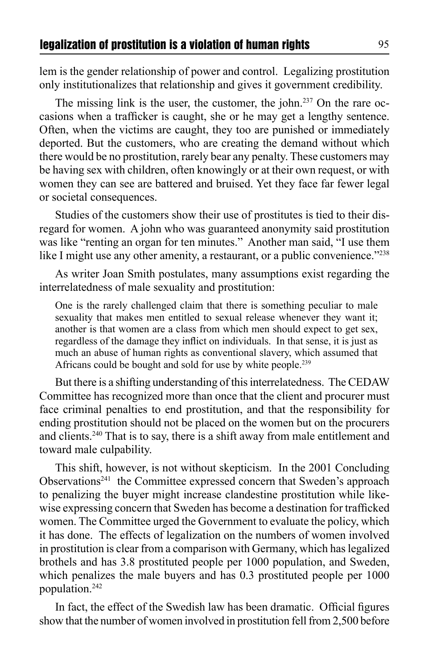lem is the gender relationship of power and control. Legalizing prostitution only institutionalizes that relationship and gives it government credibility.

The missing link is the user, the customer, the john.237 On the rare occasions when a trafficker is caught, she or he may get a lengthy sentence. Often, when the victims are caught, they too are punished or immediately deported. But the customers, who are creating the demand without which there would be no prostitution, rarely bear any penalty. These customers may be having sex with children, often knowingly or at their own request, or with women they can see are battered and bruised. Yet they face far fewer legal or societal consequences.

Studies of the customers show their use of prostitutes is tied to their disregard for women. A john who was guaranteed anonymity said prostitution was like "renting an organ for ten minutes." Another man said, "I use them like I might use any other amenity, a restaurant, or a public convenience.<sup>"238</sup>

As writer Joan Smith postulates, many assumptions exist regarding the interrelatedness of male sexuality and prostitution:

One is the rarely challenged claim that there is something peculiar to male sexuality that makes men entitled to sexual release whenever they want it; another is that women are a class from which men should expect to get sex, regardless of the damage they inflict on individuals. In that sense, it is just as much an abuse of human rights as conventional slavery, which assumed that Africans could be bought and sold for use by white people.<sup>239</sup>

But there is a shifting understanding of this interrelatedness. The CEDAW Committee has recognized more than once that the client and procurer must face criminal penalties to end prostitution, and that the responsibility for ending prostitution should not be placed on the women but on the procurers and clients.240 That is to say, there is a shift away from male entitlement and toward male culpability.

This shift, however, is not without skepticism. In the 2001 Concluding Observations<sup>241</sup> the Committee expressed concern that Sweden's approach to penalizing the buyer might increase clandestine prostitution while likewise expressing concern that Sweden has become a destination for trafficked women. The Committee urged the Government to evaluate the policy, which it has done. The effects of legalization on the numbers of women involved in prostitution is clear from a comparison with Germany, which has legalized brothels and has 3.8 prostituted people per 1000 population, and Sweden, which penalizes the male buyers and has 0.3 prostituted people per 1000 population.242

In fact, the effect of the Swedish law has been dramatic. Official figures show that the number of women involved in prostitution fell from 2,500 before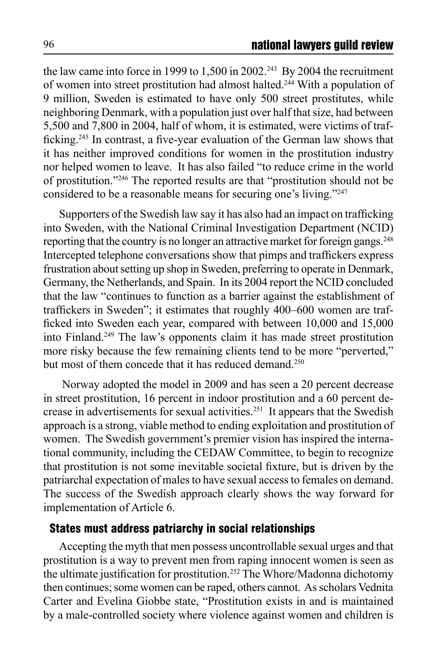the law came into force in 1999 to 1,500 in 2002.<sup>243</sup> By 2004 the recruitment of women into street prostitution had almost halted.244 With a population of 9 million, Sweden is estimated to have only 500 street prostitutes, while neighboring Denmark, with a population just over half that size, had between 5,500 and 7,800 in 2004, half of whom, it is estimated, were victims of trafficking.245 In contrast, a five-year evaluation of the German law shows that it has neither improved conditions for women in the prostitution industry nor helped women to leave. It has also failed "to reduce crime in the world of prostitution."246 The reported results are that "prostitution should not be considered to be a reasonable means for securing one's living."247

Supporters of the Swedish law say it has also had an impact on trafficking into Sweden, with the National Criminal Investigation Department (NCID) reporting that the country is no longer an attractive market for foreign gangs.<sup>248</sup> Intercepted telephone conversations show that pimps and traffickers express frustration about setting up shop in Sweden, preferring to operate in Denmark, Germany, the Netherlands, and Spain. In its 2004 report the NCID concluded that the law "continues to function as a barrier against the establishment of traffickers in Sweden"; it estimates that roughly 400–600 women are trafficked into Sweden each year, compared with between 10,000 and 15,000 into Finland.249 The law's opponents claim it has made street prostitution more risky because the few remaining clients tend to be more "perverted," but most of them concede that it has reduced demand.<sup>250</sup>

 Norway adopted the model in 2009 and has seen a 20 percent decrease in street prostitution, 16 percent in indoor prostitution and a 60 percent decrease in advertisements for sexual activities.251 It appears that the Swedish approach is a strong, viable method to ending exploitation and prostitution of women. The Swedish government's premier vision has inspired the international community, including the CEDAW Committee, to begin to recognize that prostitution is not some inevitable societal fixture, but is driven by the patriarchal expectation of males to have sexual access to females on demand. The success of the Swedish approach clearly shows the way forward for implementation of Article 6.

### States must address patriarchy in social relationships

Accepting the myth that men possess uncontrollable sexual urges and that prostitution is a way to prevent men from raping innocent women is seen as the ultimate justification for prostitution.252 The Whore/Madonna dichotomy then continues; some women can be raped, others cannot. As scholars Vednita Carter and Evelina Giobbe state, "Prostitution exists in and is maintained by a male-controlled society where violence against women and children is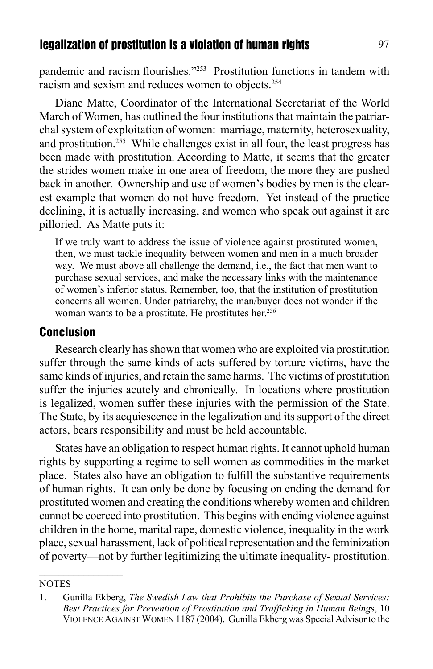pandemic and racism flourishes."253 Prostitution functions in tandem with racism and sexism and reduces women to objects.254

Diane Matte, Coordinator of the International Secretariat of the World March of Women, has outlined the four institutions that maintain the patriarchal system of exploitation of women: marriage, maternity, heterosexuality, and prostitution.255 While challenges exist in all four, the least progress has been made with prostitution. According to Matte, it seems that the greater the strides women make in one area of freedom, the more they are pushed back in another. Ownership and use of women's bodies by men is the clearest example that women do not have freedom. Yet instead of the practice declining, it is actually increasing, and women who speak out against it are pilloried. As Matte puts it:

If we truly want to address the issue of violence against prostituted women, then, we must tackle inequality between women and men in a much broader way. We must above all challenge the demand, i.e., the fact that men want to purchase sexual services, and make the necessary links with the maintenance of women's inferior status. Remember, too, that the institution of prostitution concerns all women. Under patriarchy, the man/buyer does not wonder if the woman wants to be a prostitute. He prostitutes her.<sup>256</sup>

### Conclusion

Research clearly has shown that women who are exploited via prostitution suffer through the same kinds of acts suffered by torture victims, have the same kinds of injuries, and retain the same harms. The victims of prostitution suffer the injuries acutely and chronically. In locations where prostitution is legalized, women suffer these injuries with the permission of the State. The State, by its acquiescence in the legalization and its support of the direct actors, bears responsibility and must be held accountable.

States have an obligation to respect human rights. It cannot uphold human rights by supporting a regime to sell women as commodities in the market place. States also have an obligation to fulfill the substantive requirements of human rights. It can only be done by focusing on ending the demand for prostituted women and creating the conditions whereby women and children cannot be coerced into prostitution. This begins with ending violence against children in the home, marital rape, domestic violence, inequality in the work place, sexual harassment, lack of political representation and the feminization of poverty—not by further legitimizing the ultimate inequality- prostitution.

#### **NOTES**

 $\overline{\phantom{a}}$  , where  $\overline{\phantom{a}}$ 

<sup>1.</sup> Gunilla Ekberg, *The Swedish Law that Prohibits the Purchase of Sexual Services: Best Practices for Prevention of Prostitution and Trafficking in Human Being*s, 10 Violence Against Women 1187 (2004). Gunilla Ekberg was Special Advisor to the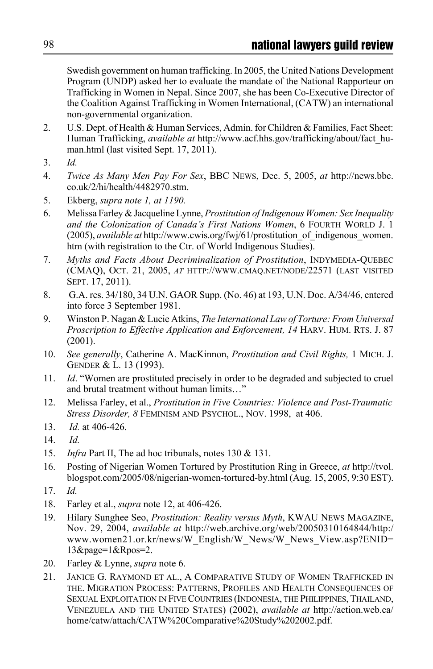Swedish government on human trafficking. In 2005, the United Nations Development Program (UNDP) asked her to evaluate the mandate of the National Rapporteur on Trafficking in Women in Nepal. Since 2007, she has been Co-Executive Director of the Coalition Against Trafficking in Women International, (CATW) an international non-governmental organization.

- 2. U.S. Dept. of Health & Human Services, Admin. for Children & Families, Fact Sheet: Human Trafficking, *available at* http://www.acf.hhs.gov/trafficking/about/fact\_human.html (last visited Sept. 17, 2011).
- 3. *Id.*
- 4. *Twice As Many Men Pay For Sex*, BBC News, Dec. 5, 2005, *at* http://news.bbc. co.uk/2/hi/health/4482970.stm.
- 5. Ekberg, *supra note 1, at 1190.*
- 6. Melissa Farley & Jacqueline Lynne, *Prostitution of Indigenous Women: Sex Inequality and the Colonization of Canada's First Nations Women*, 6 FOURTH WORLD J. 1 (2005), *available at* http://www.cwis.org/fwj/61/prostitution\_of\_indigenous\_women. htm (with registration to the Ctr. of World Indigenous Studies).
- 7. *Myths and Facts About Decriminalization of Prostitution*, Indymedia-Quebec (CMAQ), Oct. 21, 2005, *at* http://www.cmaq.net/node/22571 (last visited SEPT. 17, 2011).
- 8. G.A. res. 34/180, 34 U.N. GAOR Supp. (No. 46) at 193, U.N. Doc. A/34/46, entered into force 3 September 1981.
- 9. Winston P. Nagan & Lucie Atkins, *The International Law of Torture: From Universal Proscription to Effective Application and Enforcement, 14 HARV. HUM. RTS. J. 87* (2001).
- 10. *See generally*, Catherine A. MacKinnon, *Prostitution and Civil Rights,* 1 Mich. J. Gender & L. 13 (1993).
- 11. *Id*. "Women are prostituted precisely in order to be degraded and subjected to cruel and brutal treatment without human limits…"
- 12. Melissa Farley, et al., *Prostitution in Five Countries: Violence and Post-Traumatic Stress Disorder, 8* Feminism and Psychol., Nov. 1998, at 406.
- 13. *Id.* at 406-426.
- 14. *Id.*
- 15. *Infra* Part II, The ad hoc tribunals, notes 130 & 131.
- 16. Posting of Nigerian Women Tortured by Prostitution Ring in Greece, *at* http://tvol. blogspot.com/2005/08/nigerian-women-tortured-by.html (Aug. 15, 2005, 9:30 EST).
- 17. *Id.*
- 18. Farley et al., *supra* note 12, at 406-426.
- 19. Hilary Sunghee Seo, *Prostitution: Reality versus Myth*, KWAU News Magazine, Nov. 29, 2004, *available at* http://web.archive.org/web/20050310164844/http:/ www.women21.or.kr/news/W\_English/W\_News/W\_News\_View.asp?ENID= 13&page=1&Rpos=2.
- 20. Farley & Lynne, *supra* note 6.
- 21. Janice G. Raymond et al., A Comparative Study of Women Trafficked in the. Migration Process: Patterns, Profiles and Health Consequences of SEXUAL EXPLOITATION IN FIVE COUNTRIES (INDONESIA, THE PHILIPPINES, THAILAND, Venezuela and the United States) (2002), *available at* http://action.web.ca/ home/catw/attach/CATW%20Comparative%20Study%202002.pdf.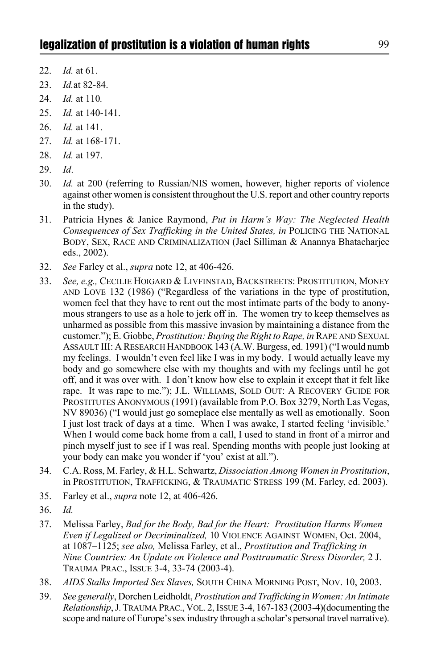- 22. *Id.* at 61.
- 23. *Id.*at 82-84.
- 24. *Id.* at 110*.*
- 25. *Id.* at 140-141.
- 26. *Id.* at 141.
- 27. *Id.* at 168-171.
- 28. *Id.* at 197.
- 29. *Id*.
- 30. *Id.* at 200 (referring to Russian/NIS women, however, higher reports of violence against other women is consistent throughout the U.S. report and other country reports in the study).
- 31. Patricia Hynes & Janice Raymond, *Put in Harm's Way: The Neglected Health Consequences of Sex Trafficking in the United States, in POLICING THE NATIONAL* Body, Sex, Race and Criminalization (Jael Silliman & Anannya Bhatacharjee eds., 2002).
- 32. *See* Farley et al., *supra* note 12, at 406-426.
- 33. *See, e.g.,* Cecilie Hoigard & Livfinstad, Backstreets: Prostitution, Money and Love 132 (1986) ("Regardless of the variations in the type of prostitution, women feel that they have to rent out the most intimate parts of the body to anonymous strangers to use as a hole to jerk off in. The women try to keep themselves as unharmed as possible from this massive invasion by maintaining a distance from the customer."); E. Giobbe, *Prostitution: Buying the Right to Rape, in* Rape and Sexual Assault III: A Research Handbook 143 (A.W. Burgess, ed. 1991) ("I would numb my feelings. I wouldn't even feel like I was in my body. I would actually leave my body and go somewhere else with my thoughts and with my feelings until he got off, and it was over with. I don't know how else to explain it except that it felt like rape. It was rape to me."); J.L. WILLIAMS, SOLD OUT: A RECOVERY GUIDE FOR Prostitutes Anonymous (1991) (available from P.O. Box 3279, North Las Vegas, NV 89036) ("I would just go someplace else mentally as well as emotionally. Soon I just lost track of days at a time. When I was awake, I started feeling 'invisible.' When I would come back home from a call, I used to stand in front of a mirror and pinch myself just to see if I was real. Spending months with people just looking at your body can make you wonder if 'you' exist at all.").
- 34. C.A. Ross, M. Farley, & H.L. Schwartz, *Dissociation Among Women in Prostitution*, in Prostitution, Trafficking, & Traumatic Stress 199 (M. Farley, ed. 2003).
- 35. Farley et al., *supra* note 12, at 406-426.
- 36. *Id.*
- 37. Melissa Farley, *Bad for the Body, Bad for the Heart: Prostitution Harms Women Even if Legalized or Decriminalized,* 10 Violence Against Women, Oct. 2004, at 1087–1125; *see also,* Melissa Farley, et al., *Prostitution and Trafficking in Nine Countries: An Update on Violence and Posttraumatic Stress Disorder,* 2 J. Trauma Prac., Issue 3-4, 33-74 (2003-4).
- 38. *AIDS Stalks Imported Sex Slaves,* South China Morning Post, Nov. 10, 2003.
- 39. *See generally*, Dorchen Leidholdt, *Prostitution and Trafficking in Women: An Intimate Relationship*, J. Trauma Prac., Vol. 2, Issue 3-4, 167-183 (2003-4)(documenting the scope and nature of Europe's sex industry through a scholar's personal travel narrative).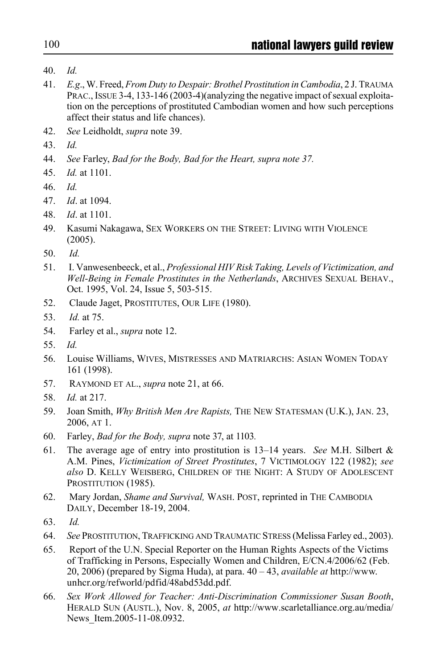- 40. *Id.*
- 41. *E.g*., W. Freed, *From Duty to Despair: Brothel Prostitution in Cambodia*, 2 J. Trauma Prac., Issue 3-4, 133-146 (2003-4)(analyzing the negative impact of sexual exploitation on the perceptions of prostituted Cambodian women and how such perceptions affect their status and life chances).
- 42. *See* Leidholdt, *supra* note 39.
- 43. *Id.*
- 44. *See* Farley, *Bad for the Body, Bad for the Heart, supra note 37.*
- 45. *Id.* at 1101.
- 46. *Id.*
- 47. *Id*. at 1094.
- 48. *Id*. at 1101.
- 49. Kasumi Nakagawa, Sex Workers on the Street: Living with Violence (2005).
- 50. *Id.*
- 51. I. Vanwesenbeeck, et al., *Professional HIV Risk Taking, Levels of Victimization, and Well-Being in Female Prostitutes in the Netherlands*, Archives Sexual Behav., Oct. 1995, Vol. 24, Issue 5, 503-515.
- 52. Claude Jaget, PROSTITUTES, OUR LIFE (1980).
- 53. *Id.* at 75.
- 54. Farley et al., *supra* note 12.
- 55. *Id.*
- 56. Louise Williams, Wives, Mistresses and Matriarchs: Asian Women Today 161 (1998).
- 57. Raymond et al., *supra* note 21, at 66.
- 58. *Id.* at 217.
- 59. Joan Smith, *Why British Men Are Rapists,* The New Statesman (U.K.), Jan. 23, 2006, at 1.
- 60. Farley, *Bad for the Body, supra* note 37, at 1103*.*
- 61. The average age of entry into prostitution is 13–14 years. *See* M.H. Silbert & A.M. Pines, *Victimization of Street Prostitutes*, 7 Victimology 122 (1982); *see also* D. Kelly Weisberg, Children of the Night: A Study of Adolescent PROSTITUTION (1985).
- 62. Mary Jordan, *Shame and Survival*, WASH. POST, reprinted in THE CAMBODIA Daily, December 18-19, 2004.
- 63. *Id.*
- 64. *See* Prostitution, Trafficking and Traumatic Stress (Melissa Farley ed., 2003).
- 65. Report of the U.N. Special Reporter on the Human Rights Aspects of the Victims of Trafficking in Persons, Especially Women and Children, E/CN.4/2006/62 (Feb. 20, 2006) (prepared by Sigma Huda), at para. 40 – 43, *available at* http://www. unhcr.org/refworld/pdfid/48abd53dd.pdf.
- 66. *Sex Work Allowed for Teacher: Anti-Discrimination Commissioner Susan Booth*, Herald Sun (Austl.), Nov. 8, 2005, *at* http://www.scarletalliance.org.au/media/ News Item.2005-11-08.0932.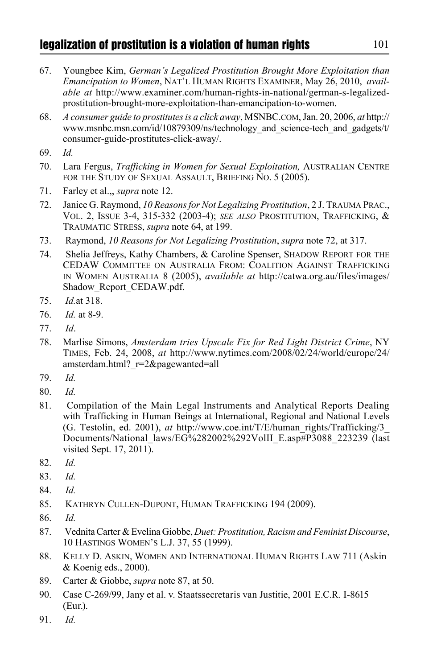# legalization of prostitution is a violation of human rights

- 67. Youngbee Kim, *German's Legalized Prostitution Brought More Exploitation than Emancipation to Women*, Nat'l Human Rights Examiner, May 26, 2010, *available at* http://www.examiner.com/human-rights-in-national/german-s-legalizedprostitution-brought-more-exploitation-than-emancipation-to-women.
- 68. *A consumer guide to prostitutes is a click away*, MSNBC.com, Jan. 20, 2006, *at* http:// www.msnbc.msn.com/id/10879309/ns/technology and science-tech and gadgets/t/ consumer-guide-prostitutes-click-away/.
- 69. *Id.*
- 70. Lara Fergus, *Trafficking in Women for Sexual Exploitation*, AUSTRALIAN CENTRE FOR THE STUDY OF SEXUAL ASSAULT, BRIEFING NO. 5 (2005).
- 71. Farley et al.,, *supra* note 12.
- 72. Janice G. Raymond, *10 Reasons for Not Legalizing Prostitution*, 2 J. Trauma Prac., Vol. 2, Issue 3-4, 315-332 (2003-4); *see also* Prostitution, Trafficking, & Traumatic Stress, *supra* note 64, at 199.
- 73. Raymond, *10 Reasons for Not Legalizing Prostitution*, *supra* note 72, at 317.
- 74. Shelia Jeffreys, Kathy Chambers, & Caroline Spenser, Shadow Report for the CEDAW Committee on Australia From: Coalition Against Trafficking in Women Australia 8 (2005), *available at* http://catwa.org.au/files/images/ Shadow\_Report\_CEDAW.pdf.
- 75. *Id.*at 318.
- 76. *Id.* at 8-9.
- 77. *Id*.
- 78. Marlise Simons, *Amsterdam tries Upscale Fix for Red Light District Crime*, NY Times, Feb. 24, 2008, *at* http://www.nytimes.com/2008/02/24/world/europe/24/ amsterdam.html? r=2&pagewanted=all
- 79. *Id.*
- 80. *Id.*
- 81. Compilation of the Main Legal Instruments and Analytical Reports Dealing with Trafficking in Human Beings at International, Regional and National Levels (G. Testolin, ed. 2001), *at* http://www.coe.int/T/E/human\_rights/Trafficking/3\_ Documents/National\_laws/EG%282002%292VolII\_E.asp#P3088\_223239 (last visited Sept. 17, 2011).
- 82. *Id.*
- 83. *Id.*
- 84. *Id.*
- 85. Kathryn Cullen-Dupont, Human Trafficking 194 (2009).
- 86. *Id.*
- 87. Vednita Carter & Evelina Giobbe, *Duet: Prostitution, Racism and Feminist Discourse*, 10 Hastings Women's L.J. 37, 55 (1999).
- 88. Kelly D. Askin, Women and International Human Rights Law 711 (Askin & Koenig eds., 2000).
- 89. Carter & Giobbe, *supra* note 87, at 50.
- 90. Case C-269/99, Jany et al. v. Staatssecretaris van Justitie, 2001 E.C.R. I-8615 (Eur.).
- 91. *Id.*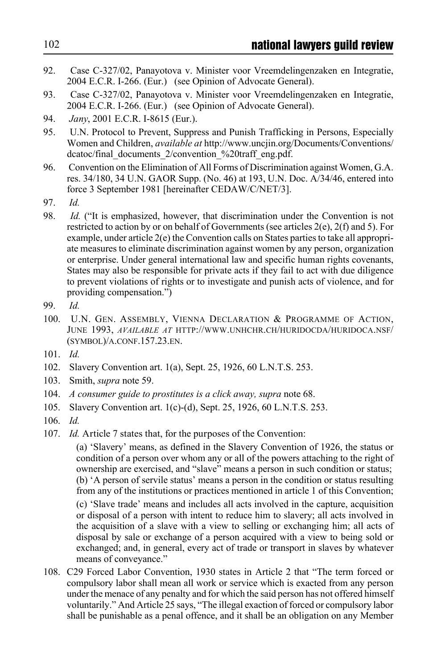- 92. Case C-327/02, Panayotova v. Minister voor Vreemdelingenzaken en Integratie, 2004 E.C.R. I-266. (Eur.) (see Opinion of Advocate General).
- 93. Case C-327/02, Panayotova v. Minister voor Vreemdelingenzaken en Integratie, 2004 E.C.R. I-266. (Eur.) (see Opinion of Advocate General).

- 95. U.N. Protocol to Prevent, Suppress and Punish Trafficking in Persons, Especially Women and Children, *available at* http://www.uncjin.org/Documents/Conventions/ dcatoc/final\_documents\_2/convention\_%20traff\_eng.pdf.
- 96. Convention on the Elimination of All Forms of Discrimination against Women, G.A. res. 34/180, 34 U.N. GAOR Supp. (No. 46) at 193, U.N. Doc. A/34/46, entered into force 3 September 1981 [hereinafter CEDAW/C/NET/3].
- 97. *Id.*
- 98. *Id.* ("It is emphasized, however, that discrimination under the Convention is not restricted to action by or on behalf of Governments (see articles 2(e), 2(f) and 5). For example, under article 2(e) the Convention calls on States parties to take all appropriate measures to eliminate discrimination against women by any person, organization or enterprise. Under general international law and specific human rights covenants, States may also be responsible for private acts if they fail to act with due diligence to prevent violations of rights or to investigate and punish acts of violence, and for providing compensation.")
- 99. *Id.*
- 100. U.N. Gen. Assembly, Vienna Declaration & Programme of Action, June 1993, *available at* http://www.unhchr.ch/huridocda/huridoca.nsf/ (symbol)/a.conf.157.23.en.
- 101. *Id.*
- 102. Slavery Convention art. 1(a), Sept. 25, 1926, 60 L.N.T.S. 253.
- 103. Smith, *supra* note 59.
- 104. *A consumer guide to prostitutes is a click away, supra* note 68.
- 105. Slavery Convention art. 1(c)-(d), Sept. 25, 1926, 60 L.N.T.S. 253.
- 106. *Id.*
- 107. *Id.* Article 7 states that, for the purposes of the Convention:

(a) 'Slavery' means, as defined in the Slavery Convention of 1926, the status or condition of a person over whom any or all of the powers attaching to the right of ownership are exercised, and "slave" means a person in such condition or status; (b) 'A person of servile status' means a person in the condition or status resulting from any of the institutions or practices mentioned in article 1 of this Convention; (c) 'Slave trade' means and includes all acts involved in the capture, acquisition or disposal of a person with intent to reduce him to slavery; all acts involved in the acquisition of a slave with a view to selling or exchanging him; all acts of disposal by sale or exchange of a person acquired with a view to being sold or exchanged; and, in general, every act of trade or transport in slaves by whatever means of conveyance."

108. C29 Forced Labor Convention, 1930 states in Article 2 that "The term forced or compulsory labor shall mean all work or service which is exacted from any person under the menace of any penalty and for which the said person has not offered himself voluntarily." And Article 25 says, "The illegal exaction of forced or compulsory labor shall be punishable as a penal offence, and it shall be an obligation on any Member

<sup>94.</sup> *Jany*, 2001 E.C.R. I-8615 (Eur.).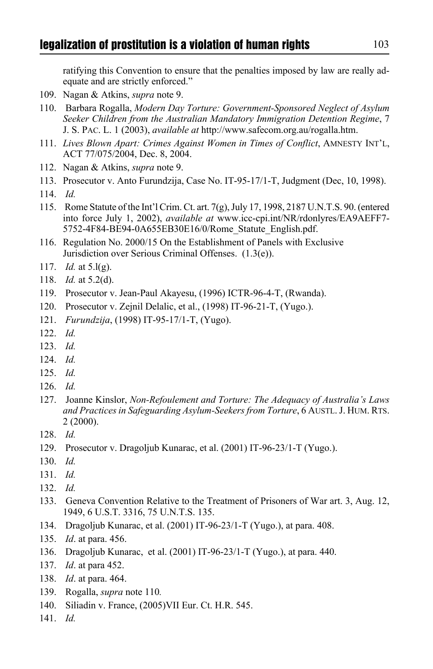ratifying this Convention to ensure that the penalties imposed by law are really adequate and are strictly enforced."

- 109. Nagan & Atkins, *supra* note 9.
- 110. Barbara Rogalla, *Modern Day Torture: Government-Sponsored Neglect of Asylum Seeker Children from the Australian Mandatory Immigration Detention Regime*, 7 J. S. Pac. L. 1 (2003), *available at* http://www.safecom.org.au/rogalla.htm.
- 111. *Lives Blown Apart: Crimes Against Women in Times of Conflict*, Amnesty Int'l, ACT 77/075/2004, Dec. 8, 2004.
- 112. Nagan & Atkins, *supra* note 9.
- 113. Prosecutor v. Anto Furundzija, Case No. IT-95-17/1-T, Judgment (Dec, 10, 1998).
- 114. *Id.*
- 115. Rome Statute of the Int'l Crim. Ct. art. 7(g), July 17, 1998, 2187 U.N.T.S. 90. (entered into force July 1, 2002), *available at* www.icc-cpi.int/NR/rdonlyres/EA9AEFF7- 5752-4F84-BE94-0A655EB30E16/0/Rome\_Statute\_English.pdf.
- 116. Regulation No. 2000/15 On the Establishment of Panels with Exclusive Jurisdiction over Serious Criminal Offenses. (1.3(e)).
- 117. *Id.* at 5.l(g).
- 118. *Id.* at 5.2(d).
- 119. Prosecutor v. Jean-Paul Akayesu, (1996) ICTR-96-4-T, (Rwanda).
- 120. Prosecutor v. Zejnil Delalic, et al., (1998) IT-96-21-T, (Yugo.).
- 121. *Furundzija*, (1998) IT-95-17/1-T, (Yugo).
- 122. *Id.*
- 123. *Id.*
- 124. *Id.*
- 125. *Id.*
- 126. *Id.*
- 127. Joanne Kinslor, *Non-Refoulement and Torture: The Adequacy of Australia's Laws*  and Practices in Safeguarding Asylum-Seekers from Torture, 6 AUSTL. J. HUM. RTS. 2 (2000).
- 128. *Id.*
- 129. Prosecutor v. Dragoljub Kunarac, et al. (2001) IT-96-23/1-T (Yugo.).
- 130. *Id.*
- 131. *Id.*
- 132. *Id.*
- 133. Geneva Convention Relative to the Treatment of Prisoners of War art. 3, Aug. 12, 1949, 6 U.S.T. 3316, 75 U.N.T.S. 135.
- 134. Dragoljub Kunarac, et al. (2001) IT-96-23/1-T (Yugo.), at para. 408.
- 135. *Id*. at para. 456.
- 136. Dragoljub Kunarac, et al. (2001) IT-96-23/1-T (Yugo.), at para. 440.
- 137. *Id*. at para 452.
- 138. *Id*. at para. 464.
- 139. Rogalla, *supra* note 110*.*
- 140. Siliadin v. France, (2005)VII Eur. Ct. H.R. 545.
- 141. *Id.*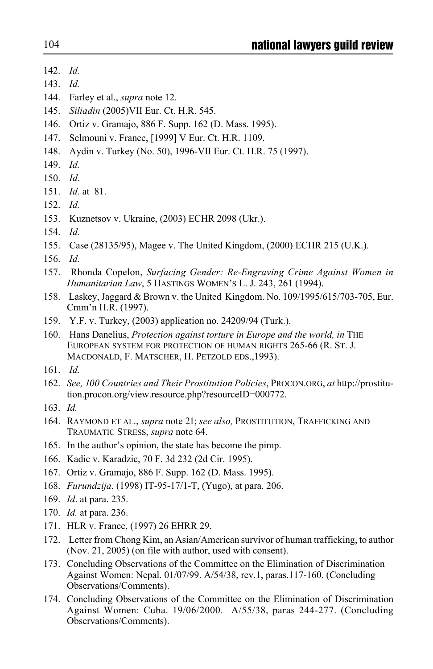- 142. *Id.*
- 143. *Id.*
- 144. Farley et al., *supra* note 12.
- 145. *Siliadin* (2005)VII Eur. Ct. H.R. 545.
- 146. Ortiz v. Gramajo, 886 F. Supp. 162 (D. Mass. 1995).
- 147. Selmouni v. France, [1999] V Eur. Ct. H.R. 1109.
- 148. Aydin v. Turkey (No. 50), 1996-VII Eur. Ct. H.R. 75 (1997).
- 149. *Id.*
- 150. *Id*.
- 151. *Id.* at 81.
- 152. *Id.*
- 153. Kuznetsov v. Ukraine, (2003) ECHR 2098 (Ukr.).
- 154. *Id.*
- 155. Case (28135/95), Magee v. The United Kingdom, (2000) ECHR 215 (U.K.).
- 156. *Id.*
- 157. Rhonda Copelon, *Surfacing Gender: Re-Engraving Crime Against Women in Humanitarian Law*, 5 Hastings Women's L. J. 243, 261 (1994).
- 158. Laskey, Jaggard & Brown v. the United Kingdom. No. 109/1995/615/703-705, Eur. Cmm'n H.R. (1997).
- 159. Y.F. v. Turkey, (2003) application no. 24209/94 (Turk.).
- 160. Hans Danelius, *Protection against torture in Europe and the world, in* The European system for protection of human rights 265-66 (R. St. J. Macdonald, F. Matscher, H. Petzold eds.,1993).
- 161. *Id.*
- 162. *See, 100 Countries and Their Prostitution Policies*, Procon.org, *at* http://prostitution.procon.org/view.resource.php?resourceID=000772.
- 163. *Id.*
- 164. Raymond et al., *supra* note 21; *see also,* Prostitution, Trafficking and Traumatic Stress, *supra* note 64.
- 165. In the author's opinion, the state has become the pimp.
- 166. Kadic v. Karadzic, 70 F. 3d 232 (2d Cir. 1995).
- 167. Ortiz v. Gramajo, 886 F. Supp. 162 (D. Mass. 1995).
- 168. *Furundzija*, (1998) IT-95-17/1-T, (Yugo), at para. 206.
- 169. *Id*. at para. 235.
- 170. *Id.* at para. 236.
- 171. HLR v. France, (1997) 26 EHRR 29.
- 172. Letter from Chong Kim, an Asian/American survivor of human trafficking, to author (Nov. 21, 2005) (on file with author, used with consent).
- 173. Concluding Observations of the Committee on the Elimination of Discrimination Against Women: Nepal. 01/07/99. A/54/38, rev.1, paras.117-160. (Concluding Observations/Comments).
- 174. Concluding Observations of the Committee on the Elimination of Discrimination Against Women: Cuba. 19/06/2000. A/55/38, paras 244-277. (Concluding Observations/Comments).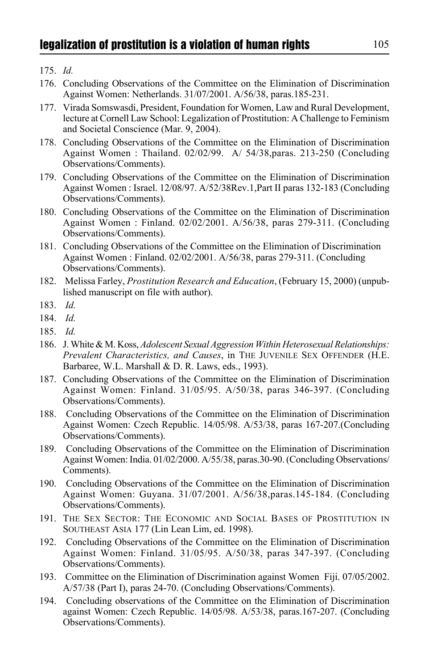- 175. *Id.*
- 176. Concluding Observations of the Committee on the Elimination of Discrimination Against Women: Netherlands. 31/07/2001. A/56/38, paras.185-231.
- 177. Virada Somswasdi, President, Foundation for Women, Law and Rural Development, lecture at Cornell Law School: Legalization of Prostitution: A Challenge to Feminism and Societal Conscience (Mar. 9, 2004).
- 178. Concluding Observations of the Committee on the Elimination of Discrimination Against Women : Thailand. 02/02/99. A/ 54/38,paras. 213-250 (Concluding Observations/Comments).
- 179. Concluding Observations of the Committee on the Elimination of Discrimination Against Women : Israel. 12/08/97. A/52/38Rev.1,Part II paras 132-183 (Concluding Observations/Comments).
- 180. Concluding Observations of the Committee on the Elimination of Discrimination Against Women : Finland. 02/02/2001. A/56/38, paras 279-311. (Concluding Observations/Comments).
- 181. Concluding Observations of the Committee on the Elimination of Discrimination Against Women : Finland. 02/02/2001. A/56/38, paras 279-311. (Concluding Observations/Comments).
- 182. Melissa Farley, *Prostitution Research and Education*, (February 15, 2000) (unpublished manuscript on file with author).
- 183. *Id.*
- 184. *Id.*
- 185. *Id.*
- 186. J. White & M. Koss, *Adolescent Sexual Aggression Within Heterosexual Relationships: Prevalent Characteristics, and Causes*, in The Juvenile Sex Offender (H.E. Barbaree, W.L. Marshall & D. R. Laws, eds., 1993).
- 187. Concluding Observations of the Committee on the Elimination of Discrimination Against Women: Finland. 31/05/95. A/50/38, paras 346-397. (Concluding Observations/Comments).
- 188. Concluding Observations of the Committee on the Elimination of Discrimination Against Women: Czech Republic. 14/05/98. A/53/38, paras 167-207.(Concluding Observations/Comments).
- 189. Concluding Observations of the Committee on the Elimination of Discrimination Against Women: India. 01/02/2000. A/55/38, paras.30-90. (Concluding Observations/ Comments).
- 190. Concluding Observations of the Committee on the Elimination of Discrimination Against Women: Guyana. 31/07/2001. A/56/38,paras.145-184. (Concluding Observations/Comments).
- 191. The Sex Sector: The Economic and Social Bases of Prostitution in Southeast Asia 177 (Lin Lean Lim, ed. 1998).
- 192. Concluding Observations of the Committee on the Elimination of Discrimination Against Women: Finland. 31/05/95. A/50/38, paras 347-397. (Concluding Observations/Comments).
- 193. Committee on the Elimination of Discrimination against Women Fiji. 07/05/2002. A/57/38 (Part I), paras 24-70. (Concluding Observations/Comments).
- 194. Concluding observations of the Committee on the Elimination of Discrimination against Women: Czech Republic. 14/05/98. A/53/38, paras.167-207. (Concluding Observations/Comments).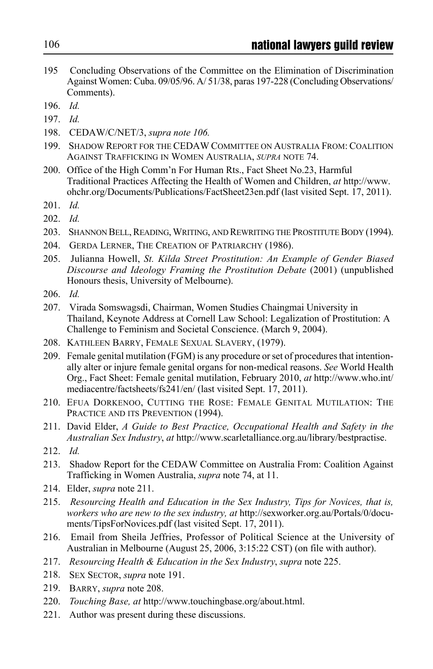- 195 Concluding Observations of the Committee on the Elimination of Discrimination Against Women: Cuba. 09/05/96. A/ 51/38, paras 197-228 (Concluding Observations/ Comments).
- 196. *Id.*
- 197. *Id.*
- 198. CEDAW/C/NET/3, *supra note 106.*
- 199. Shadow Report for the CEDAW Committee on Australia From: Coalition Against Trafficking in Women Australia, *supra* note 74.
- 200. Office of the High Comm'n For Human Rts., Fact Sheet No.23, Harmful Traditional Practices Affecting the Health of Women and Children, *at* http://www. ohchr.org/Documents/Publications/FactSheet23en.pdf (last visited Sept. 17, 2011).
- 201. *Id.*
- 202. *Id.*
- 203. Shannon Bell, Reading, Writing, and Rewriting the Prostitute Body (1994).
- 204. Gerda Lerner, The Creation of Patriarchy (1986).
- 205. Julianna Howell, *St. Kilda Street Prostitution: An Example of Gender Biased Discourse and Ideology Framing the Prostitution Debate* (2001) (unpublished Honours thesis, University of Melbourne).
- 206. *Id.*
- 207. Virada Somswagsdi, Chairman, Women Studies Chaingmai University in Thailand, Keynote Address at Cornell Law School: Legalization of Prostitution: A Challenge to Feminism and Societal Conscience. (March 9, 2004).
- 208. Kathleen Barry, Female Sexual Slavery, (1979).
- 209. Female genital mutilation (FGM) is any procedure or set of procedures that intentionally alter or injure female genital organs for non-medical reasons. *See* World Health Org., Fact Sheet: Female genital mutilation, February 2010, *at* http://www.who.int/ mediacentre/factsheets/fs241/en/ (last visited Sept. 17, 2011).
- 210. Efua Dorkenoo, Cutting the Rose: Female Genital Mutilation: The PRACTICE AND ITS PREVENTION (1994).
- 211. David Elder, *A Guide to Best Practice, Occupational Health and Safety in the Australian Sex Industry*, *at* http://www.scarletalliance.org.au/library/bestpractise.
- 212. *Id.*
- 213. Shadow Report for the CEDAW Committee on Australia From: Coalition Against Trafficking in Women Australia, *supra* note 74, at 11.
- 214. Elder, *supra* note 211.
- 215. *Resourcing Health and Education in the Sex Industry, Tips for Novices, that is, workers who are new to the sex industry, at* http://sexworker.org.au/Portals/0/documents/TipsForNovices.pdf (last visited Sept. 17, 2011).
- 216. Email from Sheila Jeffries, Professor of Political Science at the University of Australian in Melbourne (August 25, 2006, 3:15:22 CST) (on file with author).
- 217. *Resourcing Health & Education in the Sex Industry*, *supra* note 225.
- 218. Sex Sector, *supra* note 191.
- 219. Barry, *supra* note 208.
- 220. *Touching Base, at* http://www.touchingbase.org/about.html.
- 221. Author was present during these discussions.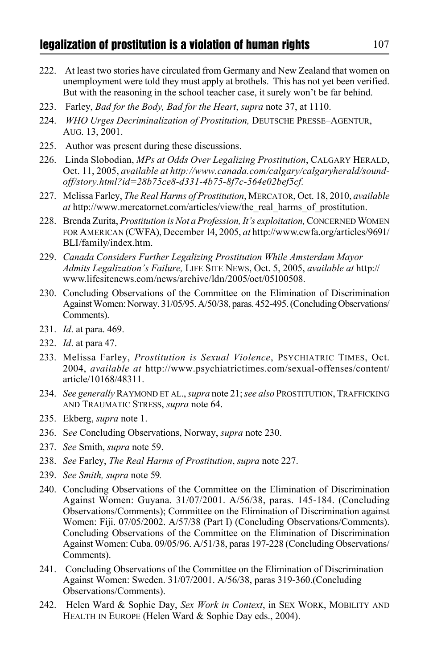- 222. At least two stories have circulated from Germany and New Zealand that women on unemployment were told they must apply at brothels. This has not yet been verified. But with the reasoning in the school teacher case, it surely won't be far behind.
- 223. Farley, *Bad for the Body, Bad for the Heart*, *supra* note 37, at 1110.
- 224. *WHO Urges Decriminalization of Prostitution,* Deutsche Presse–Agentur, Aug. 13, 2001.
- 225. Author was present during these discussions.
- 226. Linda Slobodian, *MPs at Odds Over Legalizing Prostitution*, Calgary Herald, Oct. 11, 2005, *available at http://www.canada.com/calgary/calgaryherald/soundoff/story.html?id=28b75ce8-d331-4b75-8f7c-564e02bef5cf.*
- 227. Melissa Farley, *The Real Harms of Prostitution*, MERCATOR, Oct. 18, 2010, *available at* http://www.mercatornet.com/articles/view/the\_real\_harms\_of\_prostitution.
- 228. Brenda Zurita, *Prostitution is Not a Profession, It's exploitation,* Concerned Women for American (CWFA), December 14, 2005, *at* http://www.cwfa.org/articles/9691/ BLI/family/index.htm.
- 229. *Canada Considers Further Legalizing Prostitution While Amsterdam Mayor Admits Legalization's Failure,* Life Site News, Oct. 5, 2005, *available at* http:// www.lifesitenews.com/news/archive/ldn/2005/oct/05100508.
- 230. Concluding Observations of the Committee on the Elimination of Discrimination Against Women: Norway. 31/05/95. A/50/38, paras. 452-495. (Concluding Observations/ Comments).
- 231. *Id*. at para. 469.
- 232. *Id*. at para 47.
- 233. Melissa Farley, *Prostitution is Sexual Violence*, Psychiatric Times, Oct. 2004, *available at* http://www.psychiatrictimes.com/sexual-offenses/content/ article/10168/48311.
- 234. *See generally* Raymond et al., *supra* note 21; *see also* Prostitution, Trafficking and Traumatic Stress, *supra* note 64.
- 235. Ekberg, *supra* note 1.
- 236. S*ee* Concluding Observations, Norway, *supra* note 230.
- 237. *See* Smith, *supra* note 59.
- 238. *See* Farley, *The Real Harms of Prostitution*, *supra* note 227.
- 239. *See Smith, supra* note 59*.*
- 240. Concluding Observations of the Committee on the Elimination of Discrimination Against Women: Guyana. 31/07/2001. A/56/38, paras. 145-184. (Concluding Observations/Comments); Committee on the Elimination of Discrimination against Women: Fiji. 07/05/2002. A/57/38 (Part I) (Concluding Observations/Comments). Concluding Observations of the Committee on the Elimination of Discrimination Against Women: Cuba. 09/05/96. A/51/38, paras 197-228 (Concluding Observations/ Comments).
- 241. Concluding Observations of the Committee on the Elimination of Discrimination Against Women: Sweden. 31/07/2001. A/56/38, paras 319-360.(Concluding Observations/Comments).
- 242. Helen Ward & Sophie Day, *Sex Work in Context*, in Sex Work, Mobility and HEALTH IN EUROPE (Helen Ward & Sophie Day eds., 2004).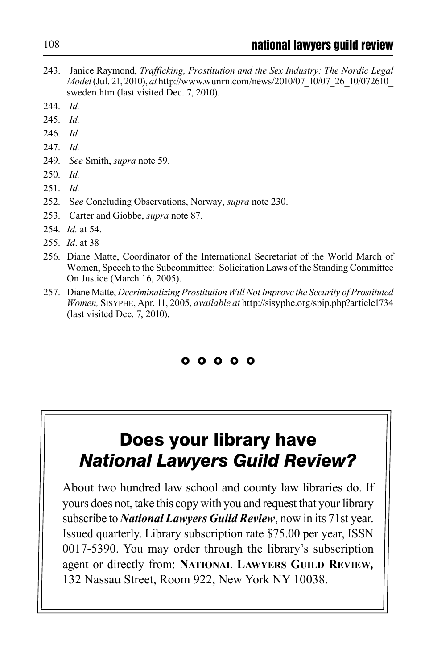- 243. Janice Raymond, *Trafficking, Prostitution and the Sex Industry: The Nordic Legal Model* (Jul. 21, 2010), *at* http://www.wunrn.com/news/2010/07\_10/07\_26\_10/072610\_ sweden.htm (last visited Dec. 7, 2010).
- 244. *Id.*
- 245. *Id.*
- 246. *Id.*
- 247. *Id.*
- 249. *See* Smith, *supra* note 59.
- 250. *Id.*
- 251. *Id.*
- 252. S*ee* Concluding Observations, Norway, *supra* note 230.
- 253. Carter and Giobbe, *supra* note 87.
- 254. *Id.* at 54.
- 255. *Id*. at 38

j

- 256. Diane Matte, Coordinator of the International Secretariat of the World March of Women, Speech to the Subcommittee: Solicitation Laws of the Standing Committee On Justice (March 16, 2005).
- 257. Diane Matte, *Decriminalizing Prostitution Will Not Improve the Security of Prostituted Women,* Sisyphe, Apr. 11, 2005, *available at* http://sisyphe.org/spip.php?article1734 (last visited Dec. 7, 2010).

### $00000$

# Does your library have *National Lawyers Guild Review?*

About two hundred law school and county law libraries do. If yours does not, take this copy with you and request that your library subscribe to *National Lawyers Guild Review*, now in its 71st year. Issued quarterly. Library subscription rate \$75.00 per year, ISSN 0017-5390. You may order through the library's subscription agent or directly from: **National Lawyers Guild Review***,*  132 Nassau Street, Room 922, New York NY 10038.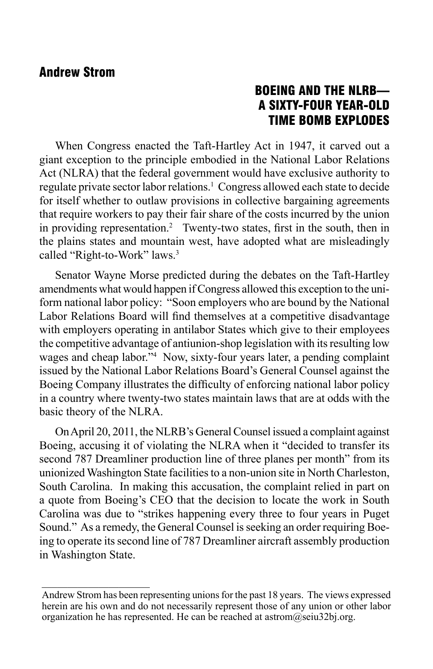### Andrew Strom

## Boeing and the NLRB— A Sixty-Four Year-old **TIME BOMB EXPLODES**

When Congress enacted the Taft-Hartley Act in 1947, it carved out a giant exception to the principle embodied in the National Labor Relations Act (NLRA) that the federal government would have exclusive authority to regulate private sector labor relations.1 Congress allowed each state to decide for itself whether to outlaw provisions in collective bargaining agreements that require workers to pay their fair share of the costs incurred by the union in providing representation.<sup>2</sup> Twenty-two states, first in the south, then in the plains states and mountain west, have adopted what are misleadingly called "Right-to-Work" laws.3

Senator Wayne Morse predicted during the debates on the Taft-Hartley amendments what would happen if Congress allowed this exception to the uniform national labor policy: "Soon employers who are bound by the National Labor Relations Board will find themselves at a competitive disadvantage with employers operating in antilabor States which give to their employees the competitive advantage of antiunion-shop legislation with its resulting low wages and cheap labor."<sup>4</sup> Now, sixty-four years later, a pending complaint issued by the National Labor Relations Board's General Counsel against the Boeing Company illustrates the difficulty of enforcing national labor policy in a country where twenty-two states maintain laws that are at odds with the basic theory of the NLRA.

On April 20, 2011, the NLRB's General Counsel issued a complaint against Boeing, accusing it of violating the NLRA when it "decided to transfer its second 787 Dreamliner production line of three planes per month" from its unionized Washington State facilities to a non-union site in North Charleston, South Carolina. In making this accusation, the complaint relied in part on a quote from Boeing's CEO that the decision to locate the work in South Carolina was due to "strikes happening every three to four years in Puget Sound." As a remedy, the General Counsel is seeking an order requiring Boeing to operate its second line of 787 Dreamliner aircraft assembly production in Washington State.

Andrew Strom has been representing unions for the past 18 years. The views expressed herein are his own and do not necessarily represent those of any union or other labor organization he has represented. He can be reached at astrom@seiu32bj.org.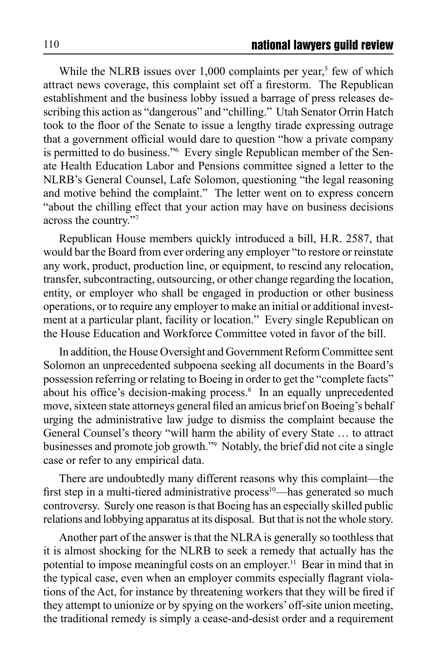While the NLRB issues over  $1,000$  complaints per year,<sup>5</sup> few of which attract news coverage, this complaint set off a firestorm. The Republican establishment and the business lobby issued a barrage of press releases describing this action as "dangerous" and "chilling." Utah Senator Orrin Hatch took to the floor of the Senate to issue a lengthy tirade expressing outrage that a government official would dare to question "how a private company is permitted to do business."6 Every single Republican member of the Senate Health Education Labor and Pensions committee signed a letter to the NLRB's General Counsel, Lafe Solomon, questioning "the legal reasoning and motive behind the complaint." The letter went on to express concern "about the chilling effect that your action may have on business decisions across the country."7

Republican House members quickly introduced a bill, H.R. 2587, that would bar the Board from ever ordering any employer "to restore or reinstate any work, product, production line, or equipment, to rescind any relocation, transfer, subcontracting, outsourcing, or other change regarding the location, entity, or employer who shall be engaged in production or other business operations, or to require any employer to make an initial or additional investment at a particular plant, facility or location." Every single Republican on the House Education and Workforce Committee voted in favor of the bill.

In addition, the House Oversight and Government Reform Committee sent Solomon an unprecedented subpoena seeking all documents in the Board's possession referring or relating to Boeing in order to get the "complete facts" about his office's decision-making process.<sup>8</sup> In an equally unprecedented move, sixteen state attorneys general filed an amicus brief on Boeing's behalf urging the administrative law judge to dismiss the complaint because the General Counsel's theory "will harm the ability of every State … to attract businesses and promote job growth."9 Notably, the brief did not cite a single case or refer to any empirical data.

There are undoubtedly many different reasons why this complaint—the first step in a multi-tiered administrative process<sup>10</sup>—has generated so much controversy. Surely one reason is that Boeing has an especially skilled public relations and lobbying apparatus at its disposal. But that is not the whole story.

Another part of the answer is that the NLRA is generally so toothless that it is almost shocking for the NLRB to seek a remedy that actually has the potential to impose meaningful costs on an employer.<sup>11</sup> Bear in mind that in the typical case, even when an employer commits especially flagrant violations of the Act, for instance by threatening workers that they will be fired if they attempt to unionize or by spying on the workers' off-site union meeting, the traditional remedy is simply a cease-and-desist order and a requirement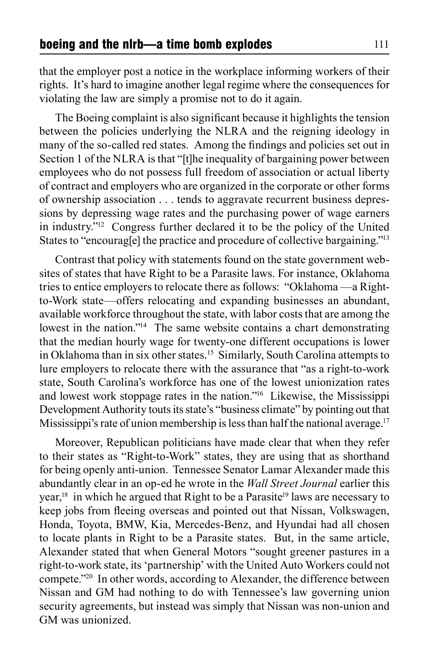that the employer post a notice in the workplace informing workers of their rights. It's hard to imagine another legal regime where the consequences for violating the law are simply a promise not to do it again.

The Boeing complaint is also significant because it highlights the tension between the policies underlying the NLRA and the reigning ideology in many of the so-called red states. Among the findings and policies set out in Section 1 of the NLRA is that "[t]he inequality of bargaining power between employees who do not possess full freedom of association or actual liberty of contract and employers who are organized in the corporate or other forms of ownership association . . . tends to aggravate recurrent business depressions by depressing wage rates and the purchasing power of wage earners in industry."12 Congress further declared it to be the policy of the United States to "encourag[e] the practice and procedure of collective bargaining."<sup>13</sup>

Contrast that policy with statements found on the state government websites of states that have Right to be a Parasite laws. For instance, Oklahoma tries to entice employers to relocate there as follows: "Oklahoma —a Rightto-Work state—offers relocating and expanding businesses an abundant, available workforce throughout the state, with labor costs that are among the lowest in the nation."<sup>14</sup> The same website contains a chart demonstrating that the median hourly wage for twenty-one different occupations is lower in Oklahoma than in six other states. 15 Similarly, South Carolina attempts to lure employers to relocate there with the assurance that "as a right-to-work state, South Carolina's workforce has one of the lowest unionization rates and lowest work stoppage rates in the nation."16 Likewise, the Mississippi Development Authority touts its state's "business climate" by pointing out that Mississippi's rate of union membership is less than half the national average.<sup>17</sup>

Moreover, Republican politicians have made clear that when they refer to their states as "Right-to-Work" states, they are using that as shorthand for being openly anti-union. Tennessee Senator Lamar Alexander made this abundantly clear in an op-ed he wrote in the *Wall Street Journal* earlier this year,<sup>18</sup> in which he argued that Right to be a Parasite<sup>19</sup> laws are necessary to keep jobs from fleeing overseas and pointed out that Nissan, Volkswagen, Honda, Toyota, BMW, Kia, Mercedes-Benz, and Hyundai had all chosen to locate plants in Right to be a Parasite states. But, in the same article, Alexander stated that when General Motors "sought greener pastures in a right-to-work state, its 'partnership' with the United Auto Workers could not compete."20 In other words, according to Alexander, the difference between Nissan and GM had nothing to do with Tennessee's law governing union security agreements, but instead was simply that Nissan was non-union and GM was unionized.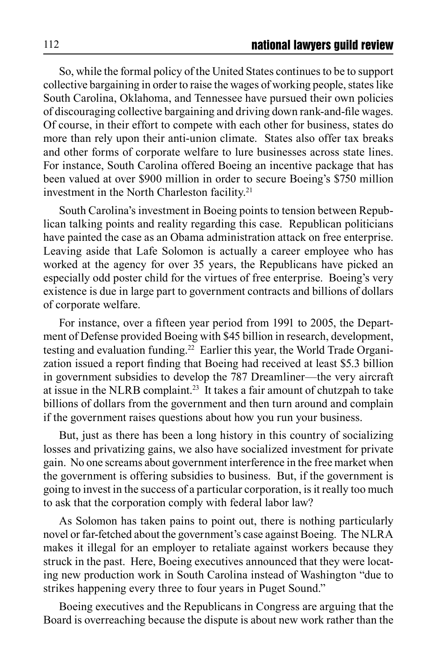So, while the formal policy of the United States continues to be to support collective bargaining in order to raise the wages of working people, states like South Carolina, Oklahoma, and Tennessee have pursued their own policies of discouraging collective bargaining and driving down rank-and-file wages. Of course, in their effort to compete with each other for business, states do more than rely upon their anti-union climate. States also offer tax breaks and other forms of corporate welfare to lure businesses across state lines. For instance, South Carolina offered Boeing an incentive package that has been valued at over \$900 million in order to secure Boeing's \$750 million investment in the North Charleston facility.21

South Carolina's investment in Boeing points to tension between Republican talking points and reality regarding this case. Republican politicians have painted the case as an Obama administration attack on free enterprise. Leaving aside that Lafe Solomon is actually a career employee who has worked at the agency for over 35 years, the Republicans have picked an especially odd poster child for the virtues of free enterprise. Boeing's very existence is due in large part to government contracts and billions of dollars of corporate welfare.

For instance, over a fifteen year period from 1991 to 2005, the Department of Defense provided Boeing with \$45 billion in research, development, testing and evaluation funding.<sup>22</sup> Earlier this year, the World Trade Organization issued a report finding that Boeing had received at least \$5.3 billion in government subsidies to develop the 787 Dreamliner—the very aircraft at issue in the NLRB complaint.23 It takes a fair amount of chutzpah to take billions of dollars from the government and then turn around and complain if the government raises questions about how you run your business.

But, just as there has been a long history in this country of socializing losses and privatizing gains, we also have socialized investment for private gain. No one screams about government interference in the free market when the government is offering subsidies to business. But, if the government is going to invest in the success of a particular corporation, is it really too much to ask that the corporation comply with federal labor law?

As Solomon has taken pains to point out, there is nothing particularly novel or far-fetched about the government's case against Boeing. The NLRA makes it illegal for an employer to retaliate against workers because they struck in the past. Here, Boeing executives announced that they were locating new production work in South Carolina instead of Washington "due to strikes happening every three to four years in Puget Sound."

Boeing executives and the Republicans in Congress are arguing that the Board is overreaching because the dispute is about new work rather than the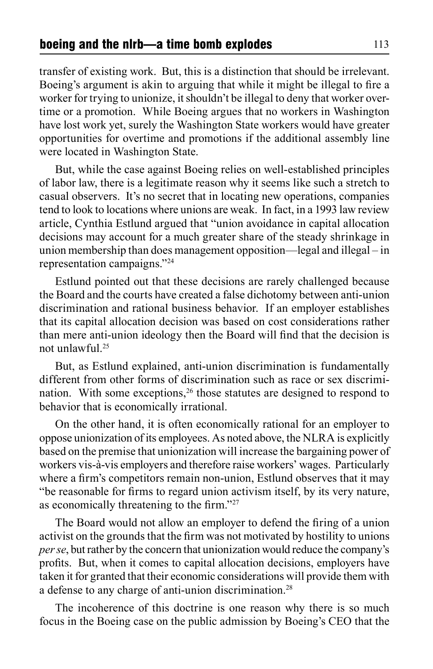transfer of existing work. But, this is a distinction that should be irrelevant. Boeing's argument is akin to arguing that while it might be illegal to fire a worker for trying to unionize, it shouldn't be illegal to deny that worker overtime or a promotion. While Boeing argues that no workers in Washington have lost work yet, surely the Washington State workers would have greater opportunities for overtime and promotions if the additional assembly line were located in Washington State.

But, while the case against Boeing relies on well-established principles of labor law, there is a legitimate reason why it seems like such a stretch to casual observers. It's no secret that in locating new operations, companies tend to look to locations where unions are weak. In fact, in a 1993 law review article, Cynthia Estlund argued that "union avoidance in capital allocation decisions may account for a much greater share of the steady shrinkage in union membership than does management opposition—legal and illegal – in representation campaigns."24

Estlund pointed out that these decisions are rarely challenged because the Board and the courts have created a false dichotomy between anti-union discrimination and rational business behavior. If an employer establishes that its capital allocation decision was based on cost considerations rather than mere anti-union ideology then the Board will find that the decision is not unlawful.25

But, as Estlund explained, anti-union discrimination is fundamentally different from other forms of discrimination such as race or sex discrimination. With some exceptions,<sup>26</sup> those statutes are designed to respond to behavior that is economically irrational.

On the other hand, it is often economically rational for an employer to oppose unionization of its employees. As noted above, the NLRA is explicitly based on the premise that unionization will increase the bargaining power of workers vis-à-vis employers and therefore raise workers' wages. Particularly where a firm's competitors remain non-union, Estlund observes that it may "be reasonable for firms to regard union activism itself, by its very nature, as economically threatening to the firm."27

The Board would not allow an employer to defend the firing of a union activist on the grounds that the firm was not motivated by hostility to unions *per se*, but rather by the concern that unionization would reduce the company's profits. But, when it comes to capital allocation decisions, employers have taken it for granted that their economic considerations will provide them with a defense to any charge of anti-union discrimination.28

The incoherence of this doctrine is one reason why there is so much focus in the Boeing case on the public admission by Boeing's CEO that the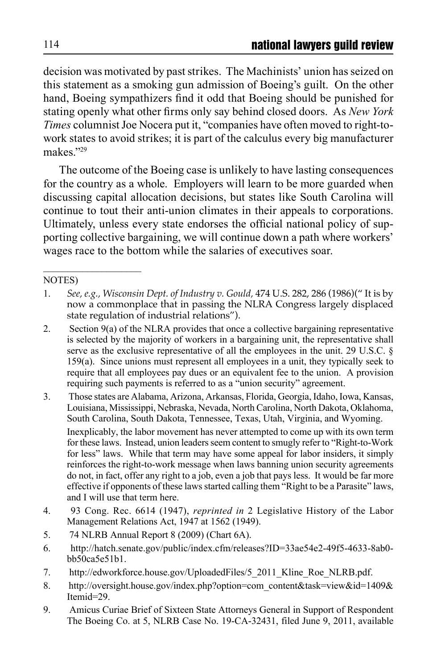decision was motivated by past strikes. The Machinists' union has seized on this statement as a smoking gun admission of Boeing's guilt. On the other hand, Boeing sympathizers find it odd that Boeing should be punished for stating openly what other firms only say behind closed doors. As *New York Times* columnist Joe Nocera put it, "companies have often moved to right-towork states to avoid strikes; it is part of the calculus every big manufacturer makes<sup>"29</sup>

The outcome of the Boeing case is unlikely to have lasting consequences for the country as a whole. Employers will learn to be more guarded when discussing capital allocation decisions, but states like South Carolina will continue to tout their anti-union climates in their appeals to corporations. Ultimately, unless every state endorses the official national policy of supporting collective bargaining, we will continue down a path where workers' wages race to the bottom while the salaries of executives soar.

#### NOTES)

- 1. *See, e.g., Wisconsin Dept. of Industry v. Gould,* 474 U.S. 282, 286 (1986)(" It is by now a commonplace that in passing the NLRA Congress largely displaced state regulation of industrial relations").
- 2. Section 9(a) of the NLRA provides that once a collective bargaining representative is selected by the majority of workers in a bargaining unit, the representative shall serve as the exclusive representative of all the employees in the unit. 29 U.S.C. § 159(a). Since unions must represent all employees in a unit, they typically seek to require that all employees pay dues or an equivalent fee to the union. A provision requiring such payments is referred to as a "union security" agreement.
- 3. Those states are Alabama, Arizona, Arkansas, Florida, Georgia, Idaho, Iowa, Kansas, Louisiana, Mississippi, Nebraska, Nevada, North Carolina, North Dakota, Oklahoma, South Carolina, South Dakota, Tennessee, Texas, Utah, Virginia, and Wyoming. Inexplicably, the labor movement has never attempted to come up with its own term for these laws. Instead, union leaders seem content to smugly refer to "Right-to-Work for less" laws. While that term may have some appeal for labor insiders, it simply reinforces the right-to-work message when laws banning union security agreements do not, in fact, offer any right to a job, even a job that pays less. It would be far more effective if opponents of these laws started calling them "Right to be a Parasite" laws, and I will use that term here.
- 4. 93 Cong. Rec. 6614 (1947), *reprinted in* 2 Legislative History of the Labor Management Relations Act, 1947 at 1562 (1949).
- 5. 74 NLRB Annual Report 8 (2009) (Chart 6A).
- 6. http://hatch.senate.gov/public/index.cfm/releases?ID=33ae54e2-49f5-4633-8ab0 bb50ca5e51b1.
- 7. http://edworkforce.house.gov/UploadedFiles/5\_2011\_Kline\_Roe\_NLRB.pdf.
- 8. http://oversight.house.gov/index.php?option=com\_content&task=view&id=1409& Itemid=29.
- 9. Amicus Curiae Brief of Sixteen State Attorneys General in Support of Respondent The Boeing Co. at 5, NLRB Case No. 19-CA-32431, filed June 9, 2011, available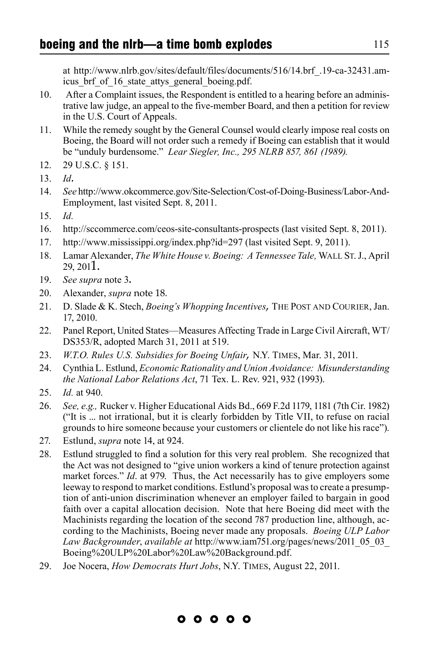at http://www.nlrb.gov/sites/default/files/documents/516/14.brf\_.19-ca-32431.amicus brf of 16 state attys general boeing.pdf.

- 10. After a Complaint issues, the Respondent is entitled to a hearing before an administrative law judge, an appeal to the five-member Board, and then a petition for review in the U.S. Court of Appeals.
- 11. While the remedy sought by the General Counsel would clearly impose real costs on Boeing, the Board will not order such a remedy if Boeing can establish that it would be "unduly burdensome." *Lear Siegler, Inc., 295 NLRB 857, 861 (1989).*
- 12. 29 U.S.C. § 151.
- 13. *Id.*
- 14. *See* http://www.okcommerce.gov/Site-Selection/Cost-of-Doing-Business/Labor-And-Employment, last visited Sept. 8, 2011.
- 15. *Id.*
- 16. http://sccommerce.com/ceos-site-consultants-prospects (last visited Sept. 8, 2011).
- 17. http://www.mississippi.org/index.php?id=297 (last visited Sept. 9, 2011).
- 18. Lamar Alexander, *The White House v. Boeing: A Tennessee Tale*, WALL ST. J., April 29, 2011.
- 19. *See supra* note 3.
- 20. Alexander, *supra* note 18.
- 21. D. Slade & K. Stech, *Boeing's Whopping Incentives,* The Post and Courier, Jan. 17, 2010.
- 22. Panel Report, United States—Measures Affecting Trade in Large Civil Aircraft, WT/ DS353/R, adopted March 31, 2011 at 519.
- 23. *W.T.O. Rules U.S. Subsidies for Boeing Unfair,* N.Y. Times, Mar. 31, 2011.
- 24. Cynthia L. Estlund, *Economic Rationality and Union Avoidance: Misunderstanding the National Labor Relations Act*, 71 Tex. L. Rev. 921, 932 (1993).
- 25. *Id.* at 940.
- 26. *See, e.g.,* Rucker v. Higher Educational Aids Bd., 669 F.2d 1179, 1181 (7th Cir. 1982) ("It is ... not irrational, but it is clearly forbidden by Title VII, to refuse on racial grounds to hire someone because your customers or clientele do not like his race").
- 27. Estlund, *supra* note 14, at 924.
- 28. Estlund struggled to find a solution for this very real problem. She recognized that the Act was not designed to "give union workers a kind of tenure protection against market forces." *Id.* at 979. Thus, the Act necessarily has to give employers some leeway to respond to market conditions. Estlund's proposal was to create a presumption of anti-union discrimination whenever an employer failed to bargain in good faith over a capital allocation decision. Note that here Boeing did meet with the Machinists regarding the location of the second 787 production line, although, according to the Machinists, Boeing never made any proposals. *Boeing ULP Labor Law Backgrounder*, *available at* http://www.iam751.org/pages/news/2011\_05\_03\_ Boeing%20ULP%20Labor%20Law%20Background.pdf.
- 29. Joe Nocera, *How Democrats Hurt Jobs*, N.Y. Times, August 22, 2011.

 $000000$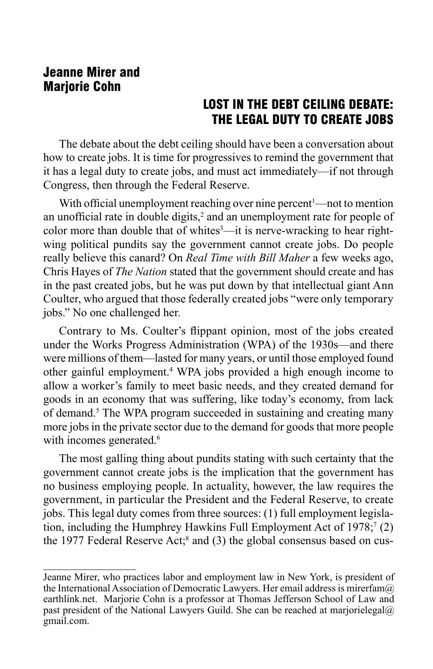### Jeanne Mirer and Marjorie Cohn

 $\overline{\phantom{a}}$  , where  $\overline{\phantom{a}}$ 

## Lost in the Debt Ceiling Debate: The Legal Duty to Create Jobs

The debate about the debt ceiling should have been a conversation about how to create jobs. It is time for progressives to remind the government that it has a legal duty to create jobs, and must act immediately—if not through Congress, then through the Federal Reserve.

With official unemployment reaching over nine percent<sup>1</sup>—not to mention an unofficial rate in double digits,<sup>2</sup> and an unemployment rate for people of color more than double that of whites<sup>3</sup>—it is nerve-wracking to hear rightwing political pundits say the government cannot create jobs. Do people really believe this canard? On *Real Time with Bill Maher* a few weeks ago, Chris Hayes of *The Nation* stated that the government should create and has in the past created jobs, but he was put down by that intellectual giant Ann Coulter, who argued that those federally created jobs "were only temporary jobs." No one challenged her.

Contrary to Ms. Coulter's flippant opinion, most of the jobs created under the Works Progress Administration (WPA) of the 1930s—and there were millions of them—lasted for many years, or until those employed found other gainful employment.<sup>4</sup> WPA jobs provided a high enough income to allow a worker's family to meet basic needs, and they created demand for goods in an economy that was suffering, like today's economy, from lack of demand.<sup>5</sup> The WPA program succeeded in sustaining and creating many more jobs in the private sector due to the demand for goods that more people with incomes generated.<sup>6</sup>

The most galling thing about pundits stating with such certainty that the government cannot create jobs is the implication that the government has no business employing people. In actuality, however, the law requires the government, in particular the President and the Federal Reserve, to create jobs. This legal duty comes from three sources: (1) full employment legislation, including the Humphrey Hawkins Full Employment Act of 1978;<sup>7</sup> (2) the 1977 Federal Reserve Act;<sup>8</sup> and (3) the global consensus based on cus-

Jeanne Mirer, who practices labor and employment law in New York, is president of the International Association of Democratic Lawyers. Her email address is mirerfam $@$ earthlink.net. Marjorie Cohn is a professor at Thomas Jefferson School of Law and past president of the National Lawyers Guild. She can be reached at marjorielegal $@$ gmail.com.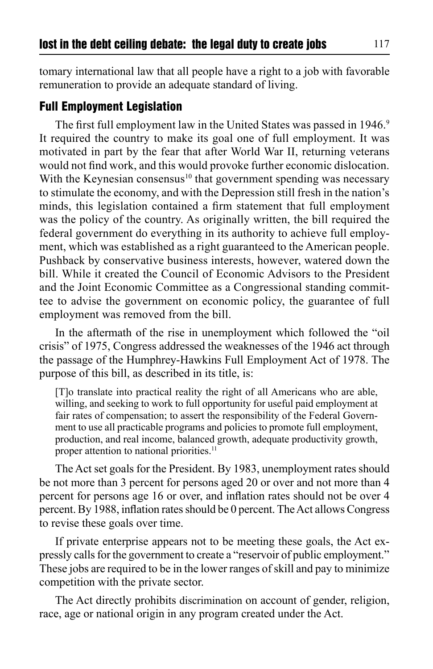tomary international law that all people have a right to a job with favorable remuneration to provide an adequate standard of living.

### Full Employment Legislation

The first full employment law in the United States was passed in 1946.9 It required the country to make its goal one of full employment. It was motivated in part by the fear that after World War II, returning veterans would not find work, and this would provoke further economic dislocation. With the Keynesian consensus<sup>10</sup> that government spending was necessary to stimulate the economy, and with the Depression still fresh in the nation's minds, this legislation contained a firm statement that full employment was the policy of the country. As originally written, the bill required the federal government do everything in its authority to achieve full employment, which was established as a right guaranteed to the American people. Pushback by conservative business interests, however, watered down the bill. While it created the Council of Economic Advisors to the President and the Joint Economic Committee as a Congressional standing committee to advise the government on economic policy, the guarantee of full employment was removed from the bill.

In the aftermath of the rise in unemployment which followed the "oil crisis" of 1975, Congress addressed the weaknesses of the 1946 act through the passage of the Humphrey-Hawkins Full Employment Act of 1978. The purpose of this bill, as described in its title, is:

[T]o translate into practical reality the right of all Americans who are able, willing, and seeking to work to full opportunity for useful paid employment at fair rates of compensation; to assert the responsibility of the Federal Government to use all practicable programs and policies to promote full employment, production, and real income, balanced growth, adequate productivity growth, proper attention to national priorities.<sup>11</sup>

The Act set goals for the President. By 1983, unemployment rates should be not more than 3 percent for persons aged 20 or over and not more than 4 percent for persons age 16 or over, and inflation rates should not be over 4 percent. By 1988, inflation rates should be 0 percent. The Act allows Congress to revise these goals over time.

If private enterprise appears not to be meeting these goals, the Act expressly calls for the government to create a "reservoir of public employment." These jobs are required to be in the lower ranges of skill and pay to minimize competition with the private sector.

The Act directly prohibits discrimination on account of gender, religion, race, age or national origin in any program created under the Act.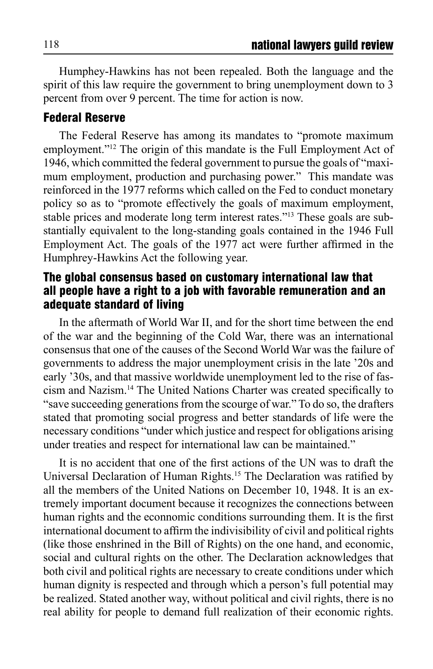Humphey-Hawkins has not been repealed. Both the language and the spirit of this law require the government to bring unemployment down to 3 percent from over 9 percent. The time for action is now.

### Federal Reserve

The Federal Reserve has among its mandates to "promote maximum employment."<sup>12</sup> The origin of this mandate is the Full Employment Act of 1946, which committed the federal government to pursue the goals of "maximum employment, production and purchasing power." This mandate was reinforced in the 1977 reforms which called on the Fed to conduct monetary policy so as to "promote effectively the goals of maximum employment, stable prices and moderate long term interest rates."13 These goals are substantially equivalent to the long-standing goals contained in the 1946 Full Employment Act. The goals of the 1977 act were further affirmed in the Humphrey-Hawkins Act the following year.

### The global consensus based on customary international law that all people have a right to a job with favorable remuneration and an adequate standard of living

In the aftermath of World War II, and for the short time between the end of the war and the beginning of the Cold War, there was an international consensus that one of the causes of the Second World War was the failure of governments to address the major unemployment crisis in the late '20s and early '30s, and that massive worldwide unemployment led to the rise of fascism and Nazism.14 The United Nations Charter was created specifically to "save succeeding generations from the scourge of war." To do so, the drafters stated that promoting social progress and better standards of life were the necessary conditions "under which justice and respect for obligations arising under treaties and respect for international law can be maintained."

It is no accident that one of the first actions of the UN was to draft the Universal Declaration of Human Rights.15 The Declaration was ratified by all the members of the United Nations on December 10, 1948. It is an extremely important document because it recognizes the connections between human rights and the econnomic conditions surrounding them. It is the first international document to affirm the indivisibility of civil and political rights (like those enshrined in the Bill of Rights) on the one hand, and economic, social and cultural rights on the other. The Declaration acknowledges that both civil and political rights are necessary to create conditions under which human dignity is respected and through which a person's full potential may be realized. Stated another way, without political and civil rights, there is no real ability for people to demand full realization of their economic rights.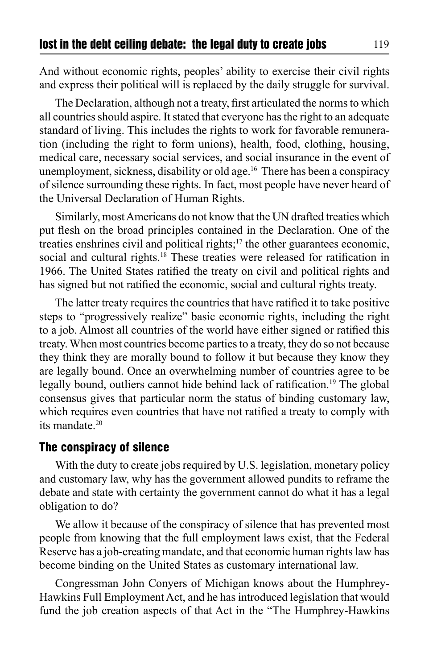And without economic rights, peoples' ability to exercise their civil rights and express their political will is replaced by the daily struggle for survival.

The Declaration, although not a treaty, first articulated the norms to which all countries should aspire. It stated that everyone has the right to an adequate standard of living. This includes the rights to work for favorable remuneration (including the right to form unions), health, food, clothing, housing, medical care, necessary social services, and social insurance in the event of unemployment, sickness, disability or old age.<sup>16</sup> There has been a conspiracy of silence surrounding these rights. In fact, most people have never heard of the Universal Declaration of Human Rights.

Similarly, most Americans do not know that the UN drafted treaties which put flesh on the broad principles contained in the Declaration. One of the treaties enshrines civil and political rights;17 the other guarantees economic, social and cultural rights.<sup>18</sup> These treaties were released for ratification in 1966. The United States ratified the treaty on civil and political rights and has signed but not ratified the economic, social and cultural rights treaty.

The latter treaty requires the countries that have ratified it to take positive steps to "progressively realize" basic economic rights, including the right to a job. Almost all countries of the world have either signed or ratified this treaty. When most countries become parties to a treaty, they do so not because they think they are morally bound to follow it but because they know they are legally bound. Once an overwhelming number of countries agree to be legally bound, outliers cannot hide behind lack of ratification.19 The global consensus gives that particular norm the status of binding customary law, which requires even countries that have not ratified a treaty to comply with its mandate  $20$ 

### The conspiracy of silence

With the duty to create jobs required by U.S. legislation, monetary policy and customary law, why has the government allowed pundits to reframe the debate and state with certainty the government cannot do what it has a legal obligation to do?

We allow it because of the conspiracy of silence that has prevented most people from knowing that the full employment laws exist, that the Federal Reserve has a job-creating mandate, and that economic human rights law has become binding on the United States as customary international law.

Congressman John Conyers of Michigan knows about the Humphrey-Hawkins Full Employment Act, and he has introduced legislation that would fund the job creation aspects of that Act in the "The Humphrey-Hawkins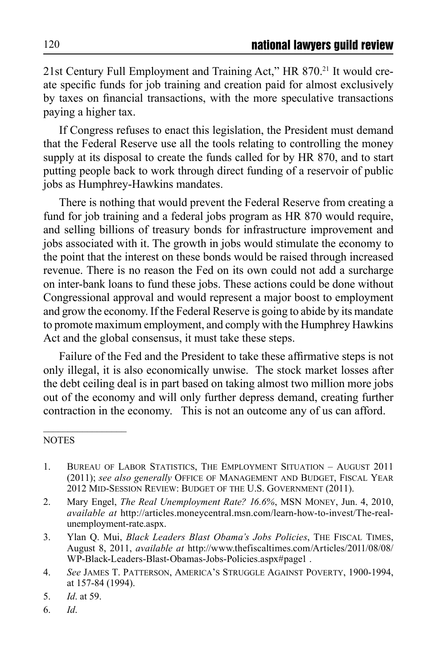21st Century Full Employment and Training Act," HR 870.<sup>21</sup> It would create specific funds for job training and creation paid for almost exclusively by taxes on financial transactions, with the more speculative transactions paying a higher tax.

If Congress refuses to enact this legislation, the President must demand that the Federal Reserve use all the tools relating to controlling the money supply at its disposal to create the funds called for by HR 870, and to start putting people back to work through direct funding of a reservoir of public jobs as Humphrey-Hawkins mandates.

There is nothing that would prevent the Federal Reserve from creating a fund for job training and a federal jobs program as HR 870 would require, and selling billions of treasury bonds for infrastructure improvement and jobs associated with it. The growth in jobs would stimulate the economy to the point that the interest on these bonds would be raised through increased revenue. There is no reason the Fed on its own could not add a surcharge on inter-bank loans to fund these jobs. These actions could be done without Congressional approval and would represent a major boost to employment and grow the economy. If the Federal Reserve is going to abide by its mandate to promote maximum employment, and comply with the Humphrey Hawkins Act and the global consensus, it must take these steps.

Failure of the Fed and the President to take these affirmative steps is not only illegal, it is also economically unwise. The stock market losses after the debt ceiling deal is in part based on taking almost two million more jobs out of the economy and will only further depress demand, creating further contraction in the economy. This is not an outcome any of us can afford.

#### **NOTES**

- 1. Bureau of Labor Statistics, The Employment Situation August 2011 (2011); *see also generally* Office of Management and Budget, Fiscal Year 2012 Mid-Session Review: Budget of the U.S. Government (2011).
- 2. Mary Engel, *The Real Unemployment Rate? 16.6%*, MSN Money, Jun. 4, 2010, *available at* http://articles.moneycentral.msn.com/learn-how-to-invest/The-realunemployment-rate.aspx.
- 3. Ylan Q. Mui, *Black Leaders Blast Obama's Jobs Policies*, The Fiscal Times, August 8, 2011, *available at* http://www.thefiscaltimes.com/Articles/2011/08/08/ WP-Black-Leaders-Blast-Obamas-Jobs-Policies.aspx#page1 .
- 4. *See* James T. Patterson, America's Struggle Against Poverty, 1900-1994, at 157-84 (1994).
- 5. *Id*. at 59.
- 6. *Id*.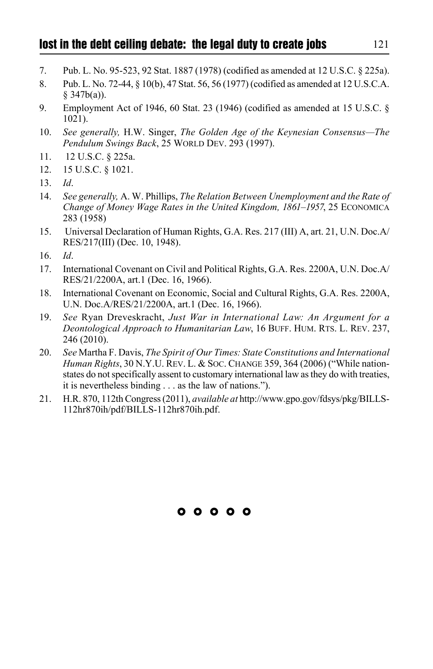- 7. Pub. L. No. 95-523, 92 Stat. 1887 (1978) (codified as amended at 12 U.S.C. § 225a).
- 8. Pub. L. No. 72-44, § 10(b), 47 Stat. 56, 56 (1977) (codified as amended at 12 U.S.C.A. § 347b(a)).
- 9. Employment Act of 1946, 60 Stat. 23 (1946) (codified as amended at 15 U.S.C. § 1021).
- 10. *See generally,* H.W. Singer, *The Golden Age of the Keynesian Consensus—The Pendulum Swings Back*, 25 WORLD DEV. 293 (1997).
- 11. 12 U.S.C. § 225a.
- 12. 15 U.S.C. § 1021.
- 13. *Id*.
- 14. *See generally,* A. W. Phillips, *The Relation Between Unemployment and the Rate of Change of Money Wage Rates in the United Kingdom, 1861–1957*, 25 Economica 283 (1958)
- 15. Universal Declaration of Human Rights, G.A. Res. 217 (III) A, art. 21, U.N. Doc.A/ RES/217(III) (Dec. 10, 1948).
- 16. *Id*.
- 17. International Covenant on Civil and Political Rights, G.A. Res. 2200A, U.N. Doc.A/ RES/21/2200A, art.1 (Dec. 16, 1966).
- 18. International Covenant on Economic, Social and Cultural Rights, G.A. Res. 2200A, U.N. Doc.A/RES/21/2200A, art.1 (Dec. 16, 1966).
- 19. *See* Ryan Dreveskracht, *Just War in International Law: An Argument for a Deontological Approach to Humanitarian Law*, 16 Buff. Hum. Rts. L. Rev. 237, 246 (2010).
- 20. *See* Martha F. Davis, *The Spirit of Our Times: State Constitutions and International Human Rights*, 30 N.Y.U. Rev. L. & Soc. Change 359, 364 (2006) ("While nationstates do not specifically assent to customary international law as they do with treaties, it is nevertheless binding . . . as the law of nations.").
- 21. H.R. 870, 112th Congress (2011), *available at* http://www.gpo.gov/fdsys/pkg/BILLS-112hr870ih/pdf/BILLS-112hr870ih.pdf.

# $00000$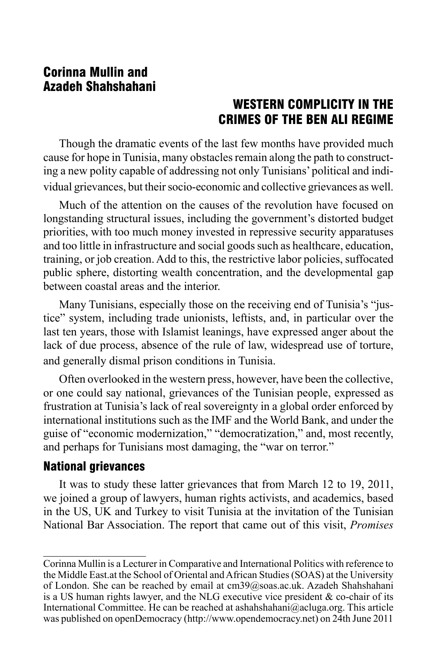## Corinna Mullin and Azadeh Shahshahani

## Western complicity in the crimes of the Ben Ali regime

Though the dramatic events of the last few months have provided much cause for hope in Tunisia, many obstacles remain along the path to constructing a new polity capable of addressing not only Tunisians' political and individual grievances, but their socio-economic and collective grievances as well.

Much of the attention on the causes of the revolution have focused on longstanding structural issues, including the government's distorted budget priorities, with too much money invested in repressive security apparatuses and too little in infrastructure and social goods such as healthcare, education, training, or job creation. Add to this, the restrictive labor policies, suffocated public sphere, distorting wealth concentration, and the developmental gap between coastal areas and the interior.

Many Tunisians, especially those on the receiving end of Tunisia's "justice" system, including trade unionists, leftists, and, in particular over the last ten years, those with Islamist leanings, have expressed anger about the lack of due process, absence of the rule of law, widespread use of torture, and generally dismal prison conditions in Tunisia.

Often overlooked in the western press, however, have been the collective, or one could say national, grievances of the Tunisian people, expressed as frustration at Tunisia's lack of real sovereignty in a global order enforced by international institutions such as the IMF and the World Bank, and under the guise of "economic modernization," "democratization," and, most recently, and perhaps for Tunisians most damaging, the "war on terror."

### National grievances

 $\overline{\phantom{a}}$  , where  $\overline{\phantom{a}}$ 

It was to study these latter grievances that from March 12 to 19, 2011, we joined a group of lawyers, human rights activists, and academics, based in the US, UK and Turkey to visit Tunisia at the invitation of the Tunisian National Bar Association. The report that came out of this visit, *Promises* 

Corinna Mullin is a Lecturer in Comparative and International Politics with reference to the Middle East.at the School of Oriental and African Studies (SOAS) at the University of London. She can be reached by email at cm39@soas.ac.uk. Azadeh Shahshahani is a US human rights lawyer, and the NLG executive vice president & co-chair of its International Committee. He can be reached at ashahshahani@acluga.org. This article was published on openDemocracy (http://www.opendemocracy.net) on 24th June 2011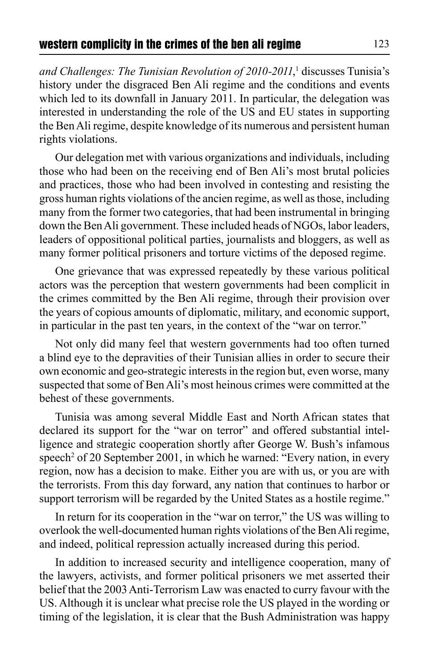### western complicity in the crimes of the ben ali regime

*and Challenges: The Tunisian Revolution of 2010-2011*, 1 discusses Tunisia's history under the disgraced Ben Ali regime and the conditions and events which led to its downfall in January 2011. In particular, the delegation was interested in understanding the role of the US and EU states in supporting the Ben Ali regime, despite knowledge of its numerous and persistent human rights violations.

Our delegation met with various organizations and individuals, including those who had been on the receiving end of Ben Ali's most brutal policies and practices, those who had been involved in contesting and resisting the gross human rights violations of the ancien regime, as well as those, including many from the former two categories, that had been instrumental in bringing down the Ben Ali government. These included heads of NGOs, labor leaders, leaders of oppositional political parties, journalists and bloggers, as well as many former political prisoners and torture victims of the deposed regime.

One grievance that was expressed repeatedly by these various political actors was the perception that western governments had been complicit in the crimes committed by the Ben Ali regime, through their provision over the years of copious amounts of diplomatic, military, and economic support, in particular in the past ten years, in the context of the "war on terror."

Not only did many feel that western governments had too often turned a blind eye to the depravities of their Tunisian allies in order to secure their own economic and geo-strategic interests in the region but, even worse, many suspected that some of Ben Ali's most heinous crimes were committed at the behest of these governments.

Tunisia was among several Middle East and North African states that declared its support for the "war on terror" and offered substantial intelligence and strategic cooperation shortly after George W. Bush's infamous speech<sup>2</sup> of 20 September 2001, in which he warned: "Every nation, in every region, now has a decision to make. Either you are with us, or you are with the terrorists. From this day forward, any nation that continues to harbor or support terrorism will be regarded by the United States as a hostile regime."

In return for its cooperation in the "war on terror," the US was willing to overlook the well-documented human rights violations of the Ben Ali regime, and indeed, political repression actually increased during this period.

In addition to increased security and intelligence cooperation, many of the lawyers, activists, and former political prisoners we met asserted their belief that the 2003 Anti-Terrorism Law was enacted to curry favour with the US. Although it is unclear what precise role the US played in the wording or timing of the legislation, it is clear that the Bush Administration was happy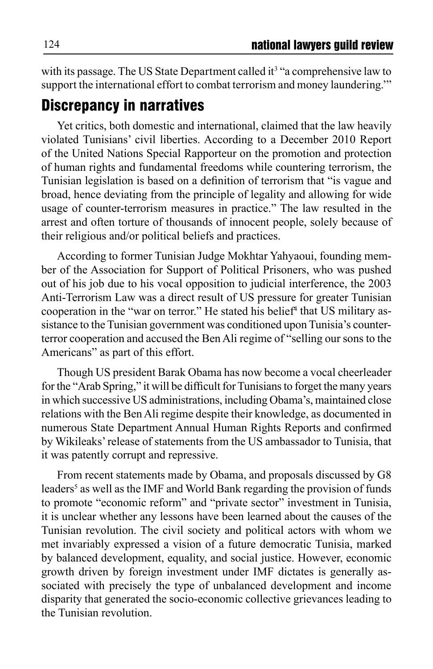with its passage. The US State Department called it<sup>3</sup> "a comprehensive law to support the international effort to combat terrorism and money laundering."

# Discrepancy in narratives

Yet critics, both domestic and international, claimed that the law heavily violated Tunisians' civil liberties. According to a December 2010 Report of the United Nations Special Rapporteur on the promotion and protection of human rights and fundamental freedoms while countering terrorism, the Tunisian legislation is based on a definition of terrorism that "is vague and broad, hence deviating from the principle of legality and allowing for wide usage of counter-terrorism measures in practice." The law resulted in the arrest and often torture of thousands of innocent people, solely because of their religious and/or political beliefs and practices.

According to former Tunisian Judge Mokhtar Yahyaoui, founding member of the Association for Support of Political Prisoners, who was pushed out of his job due to his vocal opposition to judicial interference, the 2003 Anti-Terrorism Law was a direct result of US pressure for greater Tunisian cooperation in the "war on terror." He stated his belief<sup>4</sup> that US military assistance to the Tunisian government was conditioned upon Tunisia's counterterror cooperation and accused the Ben Ali regime of "selling our sons to the Americans" as part of this effort.

Though US president Barak Obama has now become a vocal cheerleader for the "Arab Spring," it will be difficult for Tunisians to forget the many years in which successive US administrations, including Obama's, maintained close relations with the Ben Ali regime despite their knowledge, as documented in numerous State Department Annual Human Rights Reports and confirmed by Wikileaks' release of statements from the US ambassador to Tunisia, that it was patently corrupt and repressive.

From recent statements made by Obama, and proposals discussed by G8 leaders<sup>5</sup> as well as the IMF and World Bank regarding the provision of funds to promote "economic reform" and "private sector" investment in Tunisia, it is unclear whether any lessons have been learned about the causes of the Tunisian revolution. The civil society and political actors with whom we met invariably expressed a vision of a future democratic Tunisia, marked by balanced development, equality, and social justice. However, economic growth driven by foreign investment under IMF dictates is generally associated with precisely the type of unbalanced development and income disparity that generated the socio-economic collective grievances leading to the Tunisian revolution.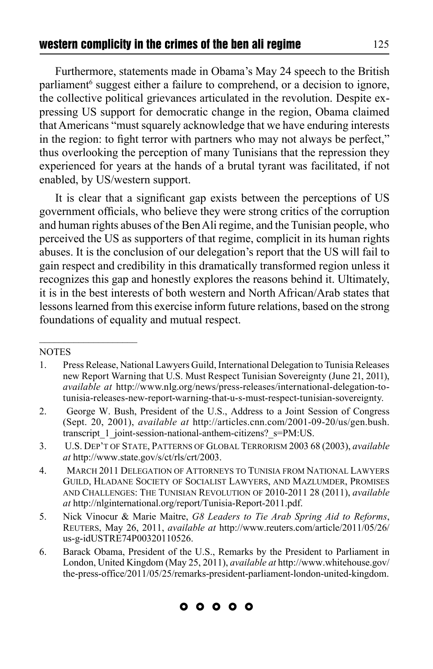Furthermore, statements made in Obama's May 24 speech to the British parliament<sup>6</sup> suggest either a failure to comprehend, or a decision to ignore, the collective political grievances articulated in the revolution. Despite expressing US support for democratic change in the region, Obama claimed that Americans "must squarely acknowledge that we have enduring interests in the region: to fight terror with partners who may not always be perfect," thus overlooking the perception of many Tunisians that the repression they experienced for years at the hands of a brutal tyrant was facilitated, if not enabled, by US/western support.

It is clear that a significant gap exists between the perceptions of US government officials, who believe they were strong critics of the corruption and human rights abuses of the Ben Ali regime, and the Tunisian people, who perceived the US as supporters of that regime, complicit in its human rights abuses. It is the conclusion of our delegation's report that the US will fail to gain respect and credibility in this dramatically transformed region unless it recognizes this gap and honestly explores the reasons behind it. Ultimately, it is in the best interests of both western and North African/Arab states that lessons learned from this exercise inform future relations, based on the strong foundations of equality and mutual respect.

#### **NOTES**

 $\mathcal{L}=\mathcal{L}^{\mathcal{L}}$ 

- 2. George W. Bush, President of the U.S., Address to a Joint Session of Congress (Sept. 20, 2001), *available at* http://articles.cnn.com/2001-09-20/us/gen.bush. transcript\_1\_joint-session-national-anthem-citizens?\_s=PM:US.
- 3. U.S. Dep't of State, Patterns of Global Terrorism 2003 68 (2003), *available at* http://www.state.gov/s/ct/rls/crt/2003.
- 4. March 2011 Delegation of Attorneys to Tunisia from National Lawyers Guild, Hladane Society of Socialist Lawyers, and Mazlumder, Promises and Challenges: The Tunisian Revolution of 2010-2011 28 (2011), *available at* http://nlginternational.org/report/Tunisia-Report-2011.pdf.
- 5. Nick Vinocur & Marie Maitre, *G8 Leaders to Tie Arab Spring Aid to Reforms*, Reuters, May 26, 2011, *available at* http://www.reuters.com/article/2011/05/26/ us-g-idUSTRE74P00320110526.
- 6. Barack Obama, President of the U.S., Remarks by the President to Parliament in London, United Kingdom (May 25, 2011), *available at* http://www.whitehouse.gov/ the-press-office/2011/05/25/remarks-president-parliament-london-united-kingdom.



<sup>1.</sup> Press Release, National Lawyers Guild, International Delegation to Tunisia Releases new Report Warning that U.S. Must Respect Tunisian Sovereignty (June 21, 2011), *available at* http://www.nlg.org/news/press-releases/international-delegation-totunisia-releases-new-report-warning-that-u-s-must-respect-tunisian-sovereignty.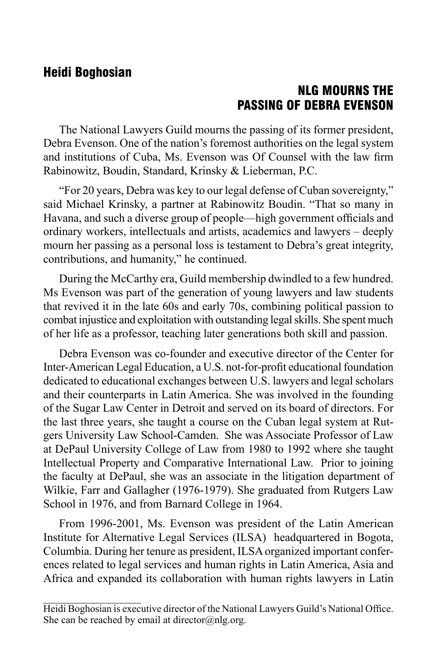### Heidi Boghosian

 $\overline{\phantom{a}}$  , where  $\overline{\phantom{a}}$ 

### NLG Mourns the Passing of Debra Evenson

The National Lawyers Guild mourns the passing of its former president, Debra Evenson. One of the nation's foremost authorities on the legal system and institutions of Cuba, Ms. Evenson was Of Counsel with the law firm Rabinowitz, Boudin, Standard, Krinsky & Lieberman, P.C.

"For 20 years, Debra was key to our legal defense of Cuban sovereignty," said Michael Krinsky, a partner at Rabinowitz Boudin. "That so many in Havana, and such a diverse group of people—high government officials and ordinary workers, intellectuals and artists, academics and lawyers – deeply mourn her passing as a personal loss is testament to Debra's great integrity, contributions, and humanity," he continued.

During the McCarthy era, Guild membership dwindled to a few hundred. Ms Evenson was part of the generation of young lawyers and law students that revived it in the late 60s and early 70s, combining political passion to combat injustice and exploitation with outstanding legal skills. She spent much of her life as a professor, teaching later generations both skill and passion.

Debra Evenson was co-founder and executive director of the Center for Inter-American Legal Education, a U.S. not-for-profit educational foundation dedicated to educational exchanges between U.S. lawyers and legal scholars and their counterparts in Latin America. She was involved in the founding of the Sugar Law Center in Detroit and served on its board of directors. For the last three years, she taught a course on the Cuban legal system at Rutgers University Law School-Camden. She was Associate Professor of Law at DePaul University College of Law from 1980 to 1992 where she taught Intellectual Property and Comparative International Law. Prior to joining the faculty at DePaul, she was an associate in the litigation department of Wilkie, Farr and Gallagher (1976-1979). She graduated from Rutgers Law School in 1976, and from Barnard College in 1964.

From 1996-2001, Ms. Evenson was president of the Latin American Institute for Alternative Legal Services (ILSA) headquartered in Bogota, Columbia. During her tenure as president, ILSA organized important conferences related to legal services and human rights in Latin America, Asia and Africa and expanded its collaboration with human rights lawyers in Latin

Heidi Boghosian is executive director of the National Lawyers Guild's National Office. She can be reached by email at director@nlg.org.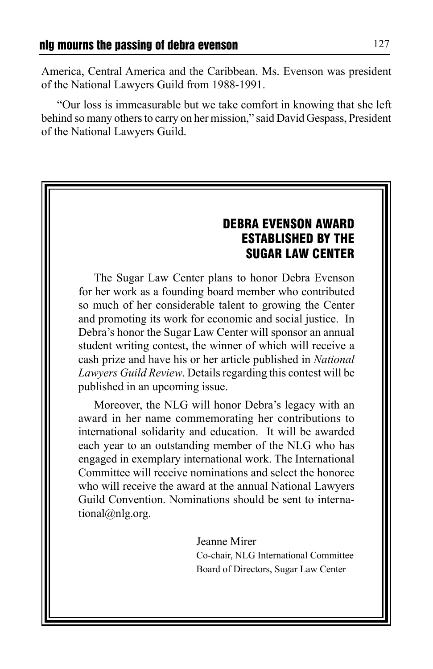America, Central America and the Caribbean. Ms. Evenson was president of the National Lawyers Guild from 1988-1991.

"Our loss is immeasurable but we take comfort in knowing that she left behind so many others to carry on her mission," said David Gespass, President of the National Lawyers Guild.

### DEbra Evenson award Established by the sugar law center

The Sugar Law Center plans to honor Debra Evenson for her work as a founding board member who contributed so much of her considerable talent to growing the Center and promoting its work for economic and social justice. In Debra's honor the Sugar Law Center will sponsor an annual student writing contest, the winner of which will receive a cash prize and have his or her article published in *National Lawyers Guild Review*. Details regarding this contest will be published in an upcoming issue.

Moreover, the NLG will honor Debra's legacy with an award in her name commemorating her contributions to international solidarity and education. It will be awarded each year to an outstanding member of the NLG who has engaged in exemplary international work. The International Committee will receive nominations and select the honoree who will receive the award at the annual National Lawyers Guild Convention. Nominations should be sent to international@nlg.org.

> Jeanne Mirer Co-chair, NLG International Committee Board of Directors, Sugar Law Center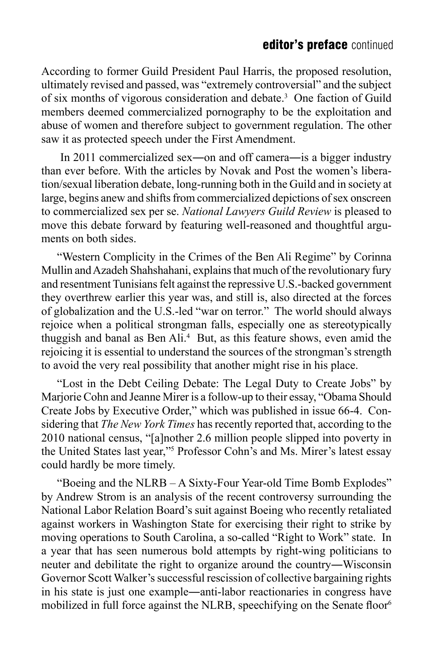### editor's preface continued

According to former Guild President Paul Harris, the proposed resolution, ultimately revised and passed, was "extremely controversial" and the subject of six months of vigorous consideration and debate.3 One faction of Guild members deemed commercialized pornography to be the exploitation and abuse of women and therefore subject to government regulation. The other saw it as protected speech under the First Amendment.

In 2011 commercialized sex—on and off camera—is a bigger industry than ever before. With the articles by Novak and Post the women's liberation/sexual liberation debate, long-running both in the Guild and in society at large, begins anew and shifts from commercialized depictions of sex onscreen to commercialized sex per se. *National Lawyers Guild Review* is pleased to move this debate forward by featuring well-reasoned and thoughtful arguments on both sides.

"Western Complicity in the Crimes of the Ben Ali Regime" by Corinna Mullin and Azadeh Shahshahani, explains that much of the revolutionary fury and resentment Tunisians felt against the repressive U.S.-backed government they overthrew earlier this year was, and still is, also directed at the forces of globalization and the U.S.-led "war on terror." The world should always rejoice when a political strongman falls, especially one as stereotypically thuggish and banal as Ben Ali.<sup>4</sup> But, as this feature shows, even amid the rejoicing it is essential to understand the sources of the strongman's strength to avoid the very real possibility that another might rise in his place.

"Lost in the Debt Ceiling Debate: The Legal Duty to Create Jobs" by Marjorie Cohn and Jeanne Mirer is a follow-up to their essay, "Obama Should Create Jobs by Executive Order," which was published in issue 66-4. Considering that *The New York Times* has recently reported that, according to the 2010 national census, "[a]nother 2.6 million people slipped into poverty in the United States last year,"5 Professor Cohn's and Ms. Mirer's latest essay could hardly be more timely.

"Boeing and the NLRB – A Sixty-Four Year-old Time Bomb Explodes" by Andrew Strom is an analysis of the recent controversy surrounding the National Labor Relation Board's suit against Boeing who recently retaliated against workers in Washington State for exercising their right to strike by moving operations to South Carolina, a so-called "Right to Work" state. In a year that has seen numerous bold attempts by right-wing politicians to neuter and debilitate the right to organize around the country―Wisconsin Governor Scott Walker's successful rescission of collective bargaining rights in his state is just one example―anti-labor reactionaries in congress have mobilized in full force against the NLRB, speechifying on the Senate floor<sup>6</sup>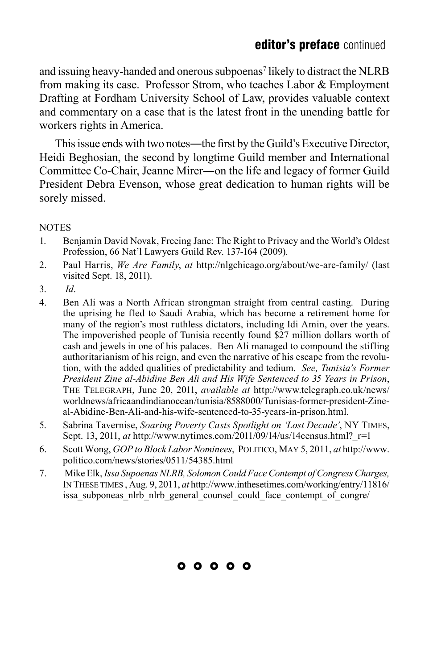### editor's preface continued

and issuing heavy-handed and onerous subpoenas<sup>7</sup> likely to distract the NLRB from making its case. Professor Strom, who teaches Labor & Employment Drafting at Fordham University School of Law, provides valuable context and commentary on a case that is the latest front in the unending battle for workers rights in America.

This issue ends with two notes—the first by the Guild's Executive Director, Heidi Beghosian, the second by longtime Guild member and International Committee Co-Chair, Jeanne Mirer―on the life and legacy of former Guild President Debra Evenson, whose great dedication to human rights will be sorely missed.

#### **NOTES**

- 1. Benjamin David Novak, Freeing Jane: The Right to Privacy and the World's Oldest Profession, 66 Nat'l Lawyers Guild Rev. 137-164 (2009).
- 2. Paul Harris, *We Are Family*, *at* http://nlgchicago.org/about/we-are-family/ (last visited Sept. 18, 2011).
- 3. *Id*.
- 4. Ben Ali was a North African strongman straight from central casting. During the uprising he fled to Saudi Arabia, which has become a retirement home for many of the region's most ruthless dictators, including Idi Amin, over the years. The impoverished people of Tunisia recently found \$27 million dollars worth of cash and jewels in one of his palaces. Ben Ali managed to compound the stifling authoritarianism of his reign, and even the narrative of his escape from the revolution, with the added qualities of predictability and tedium. *See, Tunisia's Former President Zine al-Abidine Ben Ali and His Wife Sentenced to 35 Years in Prison*, The Telegraph, June 20, 2011, *available at* http://www.telegraph.co.uk/news/ worldnews/africaandindianocean/tunisia/8588000/Tunisias-former-president-Zineal-Abidine-Ben-Ali-and-his-wife-sentenced-to-35-years-in-prison.html.
- 5. Sabrina Tavernise, *Soaring Poverty Casts Spotlight on 'Lost Decade'*, NY Times, Sept. 13, 2011, *at* http://www.nytimes.com/2011/09/14/us/14census.html?\_r=1
- 6. Scott Wong, *GOP to Block Labor Nominees*, Politico, May 5, 2011, *at* http://www. politico.com/news/stories/0511/54385.html
- 7. Mike Elk, *Issa Supoenas NLRB, Solomon Could Face Contempt of Congress Charges,* In These times , Aug. 9, 2011, *at* http://www.inthesetimes.com/working/entry/11816/ issa subponeas nlrb nlrb general counsel could face contempt of congre/

### $00000$